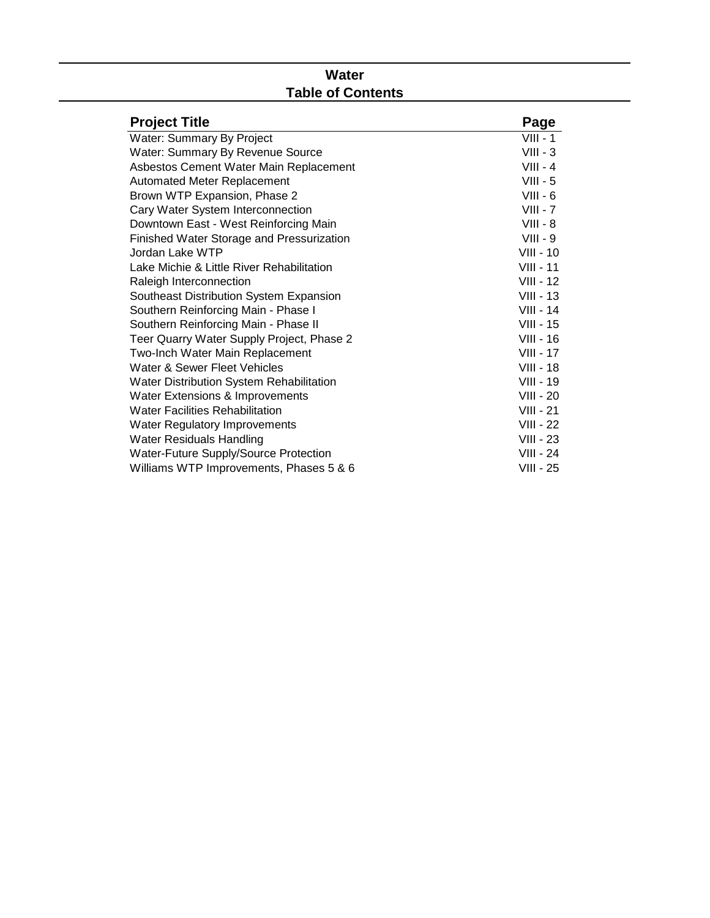# **Water Table of Contents**

| <b>Project Title</b>                      | Page             |
|-------------------------------------------|------------------|
| Water: Summary By Project                 | $VIII - 1$       |
| <b>Water: Summary By Revenue Source</b>   | $VIII - 3$       |
| Asbestos Cement Water Main Replacement    | $VIII - 4$       |
| Automated Meter Replacement               | $VIII - 5$       |
| Brown WTP Expansion, Phase 2              | $VIII - 6$       |
| Cary Water System Interconnection         | $VIII - 7$       |
| Downtown East - West Reinforcing Main     | $VIII - 8$       |
| Finished Water Storage and Pressurization | $VIII - 9$       |
| Jordan Lake WTP                           | VIII - 10        |
| Lake Michie & Little River Rehabilitation | <b>VIII - 11</b> |
| Raleigh Interconnection                   | VIII - 12        |
| Southeast Distribution System Expansion   | $VIII - 13$      |
| Southern Reinforcing Main - Phase I       | $VIII - 14$      |
| Southern Reinforcing Main - Phase II      | $VIII - 15$      |
| Teer Quarry Water Supply Project, Phase 2 | <b>VIII - 16</b> |
| Two-Inch Water Main Replacement           | <b>VIII - 17</b> |
| Water & Sewer Fleet Vehicles              | <b>VIII - 18</b> |
| Water Distribution System Rehabilitation  | $VIII - 19$      |
| Water Extensions & Improvements           | <b>VIII - 20</b> |
| <b>Water Facilities Rehabilitation</b>    | $VIII - 21$      |
| <b>Water Regulatory Improvements</b>      | <b>VIII - 22</b> |
| <b>Water Residuals Handling</b>           | $VIII - 23$      |
| Water-Future Supply/Source Protection     | <b>VIII - 24</b> |
| Williams WTP Improvements, Phases 5 & 6   | VIII - 25        |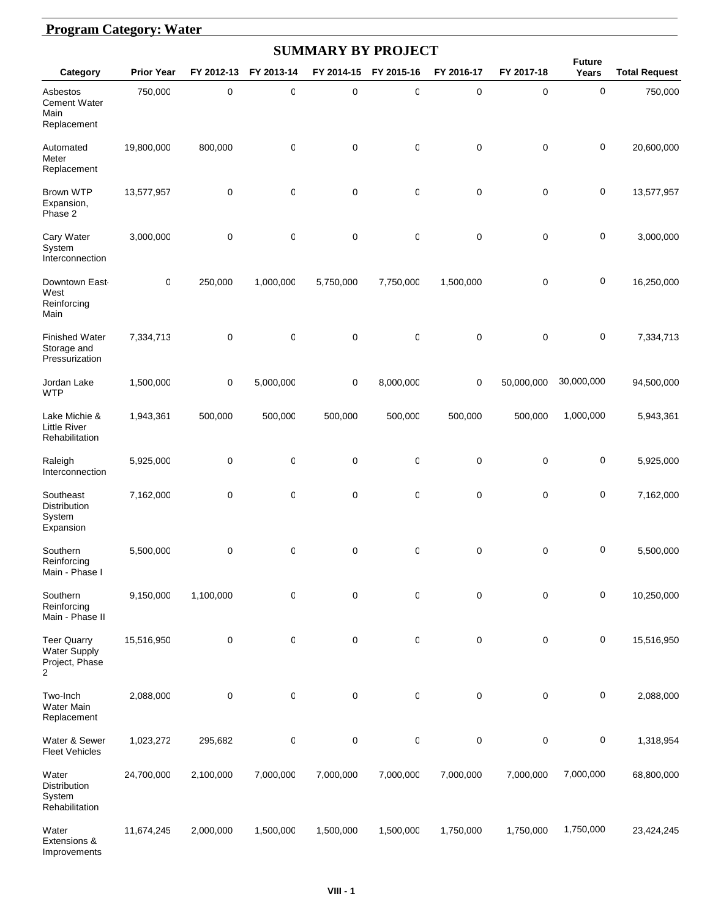#### **Program Category: Water**

|                                                                             |                   |             |            |             | <b>SUMMARY BY PROJECT</b> |            |             |                        |                      |
|-----------------------------------------------------------------------------|-------------------|-------------|------------|-------------|---------------------------|------------|-------------|------------------------|----------------------|
| Category                                                                    | <b>Prior Year</b> | FY 2012-13  | FY 2013-14 | FY 2014-15  | FY 2015-16                | FY 2016-17 | FY 2017-18  | <b>Future</b><br>Years | <b>Total Request</b> |
| Asbestos<br><b>Cement Water</b><br>Main<br>Replacement                      | 750,000           | 0           | O          | $\pmb{0}$   | 0                         | 0          | 0           | 0                      | 750,000              |
| Automated<br>Meter<br>Replacement                                           | 19,800,000        | 800,000     | O          | $\mathbf 0$ | 0                         | 0          | $\pmb{0}$   | 0                      | 20,600,000           |
| <b>Brown WTP</b><br>Expansion,<br>Phase 2                                   | 13,577,957        | 0           | 0          | 0           | 0                         | 0          | 0           | 0                      | 13,577,957           |
| Cary Water<br>System<br>Interconnection                                     | 3,000,000         | $\pmb{0}$   | 0          | $\mathbf 0$ | 0                         | 0          | $\mathbf 0$ | 0                      | 3,000,000            |
| Downtown East-<br>West<br>Reinforcing<br>Main                               | 0                 | 250,000     | 1,000,000  | 5,750,000   | 7,750,000                 | 1,500,000  | 0           | 0                      | 16,250,000           |
| <b>Finished Water</b><br>Storage and<br>Pressurization                      | 7,334,713         | 0           | 0          | $\mathbf 0$ | 0                         | 0          | $\mathbf 0$ | 0                      | 7,334,713            |
| Jordan Lake<br><b>WTP</b>                                                   | 1,500,000         | $\mathbf 0$ | 5,000,000  | $\mathbf 0$ | 8,000,000                 | 0          | 50,000,000  | 30,000,000             | 94,500,000           |
| Lake Michie &<br><b>Little River</b><br>Rehabilitation                      | 1,943,361         | 500,000     | 500,000    | 500,000     | 500,000                   | 500,000    | 500,000     | 1,000,000              | 5,943,361            |
| Raleigh<br>Interconnection                                                  | 5,925,000         | 0           | 0          | $\pmb{0}$   | 0                         | 0          | 0           | 0                      | 5,925,000            |
| Southeast<br>Distribution<br>System<br>Expansion                            | 7,162,000         | $\mathbf 0$ | 0          | $\mathbf 0$ | 0                         | 0          | $\pmb{0}$   | 0                      | 7,162,000            |
| Southern<br>Reinforcing<br>Main - Phase I                                   | 5,500,000         | 0           | 0          | 0           | 0                         | 0          | 0           | 0                      | 5,500,000            |
| Southern<br>Reinforcing<br>Main - Phase II                                  | 9,150,000         | 1,100,000   | 0          | $\mathbf 0$ | 0                         | 0          | 0           | 0                      | 10,250,000           |
| <b>Teer Quarry</b><br><b>Water Supply</b><br>Project, Phase<br>$\mathbf{2}$ | 15,516,950        | 0           | 0          | $\pmb{0}$   | 0                         | 0          | 0           | 0                      | 15,516,950           |
| Two-Inch<br>Water Main<br>Replacement                                       | 2,088,000         | $\pmb{0}$   | 0          | $\pmb{0}$   | 0                         | 0          | 0           | 0                      | 2,088,000            |
| Water & Sewer<br><b>Fleet Vehicles</b>                                      | 1,023,272         | 295,682     | 0          | $\pmb{0}$   | 0                         | 0          | 0           | 0                      | 1,318,954            |
| Water<br>Distribution<br>System<br>Rehabilitation                           | 24,700,000        | 2,100,000   | 7,000,000  | 7,000,000   | 7,000,000                 | 7,000,000  | 7,000,000   | 7,000,000              | 68,800,000           |
| Water<br>Extensions &<br>Improvements                                       | 11,674,245        | 2,000,000   | 1,500,000  | 1,500,000   | 1,500,000                 | 1,750,000  | 1,750,000   | 1,750,000              | 23,424,245           |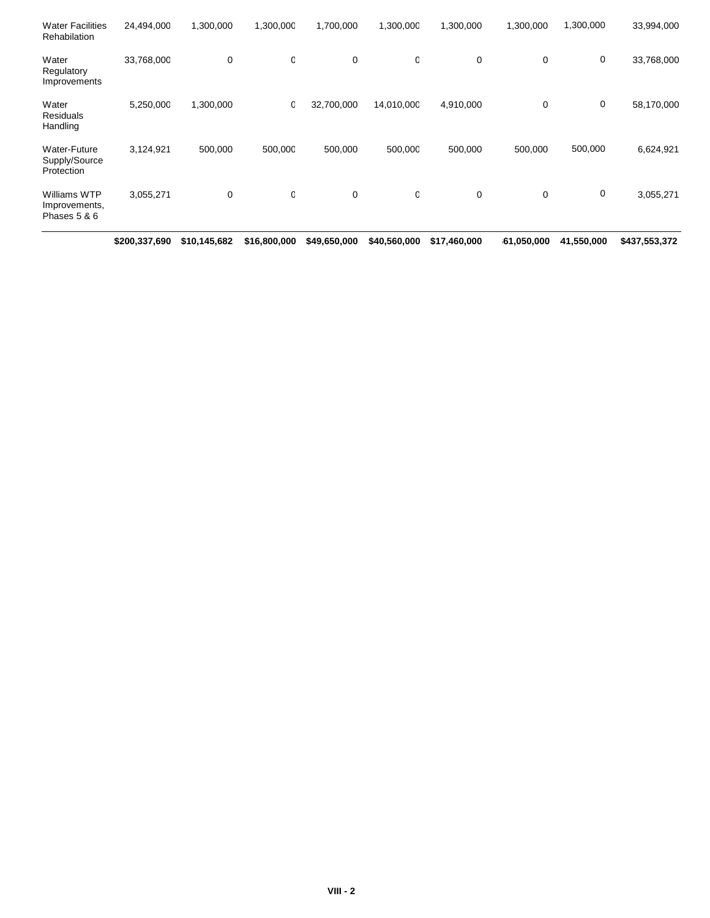|                                               | \$200,337,690 | \$10,145,682 | \$16,800,000 | \$49,650,000 | \$40,560,000 | \$17,460,000 | 61,050,000 | 41,550,000 | \$437,553,372 |
|-----------------------------------------------|---------------|--------------|--------------|--------------|--------------|--------------|------------|------------|---------------|
| Williams WTP<br>Improvements,<br>Phases 5 & 6 | 3,055,271     | 0            | O            | 0            | 0            | 0            | 0          | 0          | 3,055,271     |
| Water-Future<br>Supply/Source<br>Protection   | 3,124,921     | 500,000      | 500,000      | 500,000      | 500,000      | 500,000      | 500,000    | 500,000    | 6,624,921     |
| Water<br><b>Residuals</b><br>Handling         | 5,250,000     | 1,300,000    | 0            | 32,700,000   | 14,010,000   | 4,910,000    | 0          | 0          | 58,170,000    |
| Water<br>Regulatory<br>Improvements           | 33,768,000    | 0            | O            | 0            | 0            | 0            | 0          | 0          | 33,768,000    |
| <b>Water Facilities</b><br>Rehabilation       | 24,494,000    | 1,300,000    | 1,300,000    | 1,700,000    | 1,300,000    | 1,300,000    | 1,300,000  | 1,300,000  | 33,994,000    |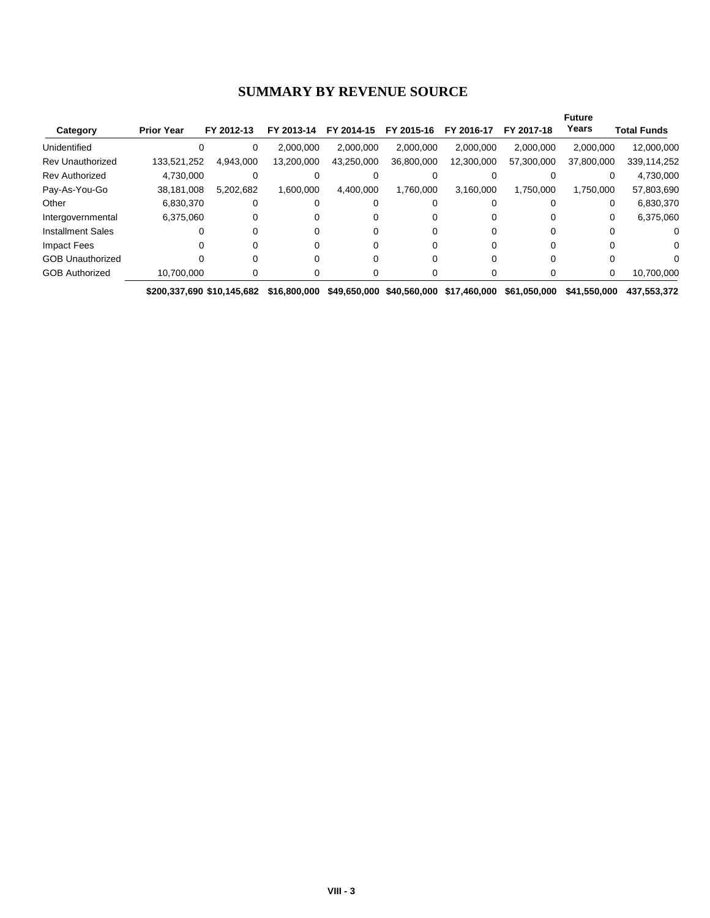#### **SUMMARY BY REVENUE SOURCE**

|                          |                   |            |            |            |            |            |            | <b>Future</b> |             |
|--------------------------|-------------------|------------|------------|------------|------------|------------|------------|---------------|-------------|
| Category                 | <b>Prior Year</b> | FY 2012-13 | FY 2013-14 | FY 2014-15 | FY 2015-16 | FY 2016-17 | FY 2017-18 | Years         | Total Funds |
| Unidentified             |                   | 0          | 2.000.000  | 2.000.000  | 2.000.000  | 2.000.000  | 2.000.000  | 2.000.000     | 12,000,000  |
| <b>Rev Unauthorized</b>  | 133.521.252       | 4.943.000  | 13.200.000 | 43.250.000 | 36,800,000 | 12.300.000 | 57,300,000 | 37,800,000    | 339,114,252 |
| <b>Rev Authorized</b>    | 4.730.000         |            |            |            |            |            |            |               | 4,730,000   |
| Pay-As-You-Go            | 38,181,008        | 5.202.682  | 1.600.000  | 4,400,000  | 1.760.000  | 3,160,000  | 1,750,000  | 1,750,000     | 57,803,690  |
| Other                    | 6.830.370         | 0          |            |            |            |            |            | 0             | 6,830,370   |
| Intergovernmental        | 6.375.060         |            |            |            |            | 0          |            | 0             | 6.375.060   |
| <b>Installment Sales</b> |                   |            |            |            |            |            |            |               |             |
| Impact Fees              |                   |            |            |            |            |            |            |               | 0           |
| <b>GOB Unauthorized</b>  |                   |            |            |            |            |            |            |               |             |
| <b>GOB Authorized</b>    | 10.700.000        |            |            |            |            | 0          |            | 0             | 10,700,000  |
|                          |                   |            |            |            |            |            |            |               |             |

**\$200,337,690 \$10,145,682 \$16,800,000 \$49,650,000 \$40,560,000 \$17,460,000 \$61,050,000 \$41,550,000 \$437,553,372**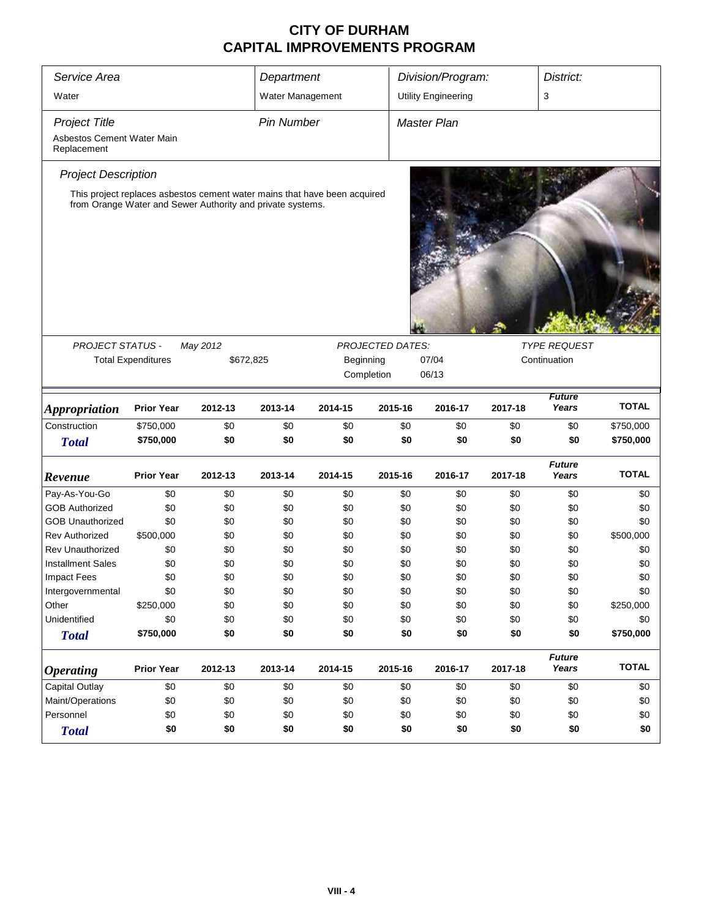| 3<br>Water<br>Water Management<br><b>Utility Engineering</b><br><b>Pin Number</b><br><b>Project Title</b><br><b>Master Plan</b><br>Asbestos Cement Water Main<br>Replacement<br><b>Project Description</b><br>This project replaces asbestos cement water mains that have been acquired<br>from Orange Water and Sewer Authority and private systems.<br><b>TYPE REQUEST</b><br><b>PROJECT STATUS -</b><br><b>PROJECTED DATES:</b><br>May 2012<br>07/04<br>Continuation<br><b>Total Expenditures</b><br>\$672,825<br>Beginning<br>06/13<br>Completion<br><b>Future</b><br><b>Prior Year</b><br>2013-14<br>2015-16<br>Years<br>2012-13<br>2014-15<br>2016-17<br>2017-18<br><b>Appropriation</b><br>Construction<br>\$0<br>\$0<br>\$750,000<br>\$0<br>\$0<br>\$0<br>\$0<br>\$0<br>\$750,000<br>\$0<br>\$0<br>\$0<br>\$0<br>\$0<br>\$0<br>\$0<br><b>Total</b><br><b>Future</b><br><b>Prior Year</b><br>Years<br>2012-13<br>2013-14<br>2014-15<br>2015-16<br>2016-17<br>2017-18<br>Revenue<br>Pay-As-You-Go<br>\$0<br>\$0<br>\$0<br>\$0<br>\$0<br>\$0<br>\$0<br>\$0<br>\$0<br><b>GOB Authorized</b><br>\$0<br>\$0<br>\$0<br>\$0<br>\$0<br>\$0<br>\$0<br><b>GOB Unauthorized</b><br>\$0<br>\$0<br>\$0<br>\$0<br>\$0<br>\$0<br>\$0<br>\$0<br><b>Rev Authorized</b><br>\$500,000<br>\$0<br>\$0<br>\$0<br>\$0<br>\$0<br>\$0<br>\$0<br><b>Rev Unauthorized</b><br>\$0<br>\$0<br>\$0<br>\$0<br>\$0<br>\$0<br>\$0<br>\$0<br>\$0<br><b>Installment Sales</b><br>\$0<br>\$0<br>\$0<br>\$0<br>\$0<br>\$0<br>\$0<br>\$0<br>\$0<br>\$0<br>\$0<br><b>Impact Fees</b><br>\$0<br>\$0<br>\$0<br>\$0<br>\$0<br>\$0<br>\$0<br>\$0<br>\$0<br>\$0<br>\$0<br>\$0<br>Intergovernmental<br>\$0<br>\$0<br>Other<br>\$250,000<br>\$0<br>\$0<br>\$0<br>\$0<br>\$0<br>\$0<br>\$0<br>Unidentified<br>\$0<br>\$0<br>\$0<br>\$0<br>\$0<br>\$0<br>\$0<br>\$0<br>\$0<br>\$0<br>\$0<br>\$0<br>\$750,000<br>\$0<br><b>Total</b> | Service Area |  | Department |  | Division/Program: | District: |              |
|-------------------------------------------------------------------------------------------------------------------------------------------------------------------------------------------------------------------------------------------------------------------------------------------------------------------------------------------------------------------------------------------------------------------------------------------------------------------------------------------------------------------------------------------------------------------------------------------------------------------------------------------------------------------------------------------------------------------------------------------------------------------------------------------------------------------------------------------------------------------------------------------------------------------------------------------------------------------------------------------------------------------------------------------------------------------------------------------------------------------------------------------------------------------------------------------------------------------------------------------------------------------------------------------------------------------------------------------------------------------------------------------------------------------------------------------------------------------------------------------------------------------------------------------------------------------------------------------------------------------------------------------------------------------------------------------------------------------------------------------------------------------------------------------------------------------------------------------------------------------------------------------|--------------|--|------------|--|-------------------|-----------|--------------|
|                                                                                                                                                                                                                                                                                                                                                                                                                                                                                                                                                                                                                                                                                                                                                                                                                                                                                                                                                                                                                                                                                                                                                                                                                                                                                                                                                                                                                                                                                                                                                                                                                                                                                                                                                                                                                                                                                           |              |  |            |  |                   |           |              |
|                                                                                                                                                                                                                                                                                                                                                                                                                                                                                                                                                                                                                                                                                                                                                                                                                                                                                                                                                                                                                                                                                                                                                                                                                                                                                                                                                                                                                                                                                                                                                                                                                                                                                                                                                                                                                                                                                           |              |  |            |  |                   |           |              |
|                                                                                                                                                                                                                                                                                                                                                                                                                                                                                                                                                                                                                                                                                                                                                                                                                                                                                                                                                                                                                                                                                                                                                                                                                                                                                                                                                                                                                                                                                                                                                                                                                                                                                                                                                                                                                                                                                           |              |  |            |  |                   |           |              |
|                                                                                                                                                                                                                                                                                                                                                                                                                                                                                                                                                                                                                                                                                                                                                                                                                                                                                                                                                                                                                                                                                                                                                                                                                                                                                                                                                                                                                                                                                                                                                                                                                                                                                                                                                                                                                                                                                           |              |  |            |  |                   |           |              |
|                                                                                                                                                                                                                                                                                                                                                                                                                                                                                                                                                                                                                                                                                                                                                                                                                                                                                                                                                                                                                                                                                                                                                                                                                                                                                                                                                                                                                                                                                                                                                                                                                                                                                                                                                                                                                                                                                           |              |  |            |  |                   |           |              |
|                                                                                                                                                                                                                                                                                                                                                                                                                                                                                                                                                                                                                                                                                                                                                                                                                                                                                                                                                                                                                                                                                                                                                                                                                                                                                                                                                                                                                                                                                                                                                                                                                                                                                                                                                                                                                                                                                           |              |  |            |  |                   |           |              |
|                                                                                                                                                                                                                                                                                                                                                                                                                                                                                                                                                                                                                                                                                                                                                                                                                                                                                                                                                                                                                                                                                                                                                                                                                                                                                                                                                                                                                                                                                                                                                                                                                                                                                                                                                                                                                                                                                           |              |  |            |  |                   |           |              |
|                                                                                                                                                                                                                                                                                                                                                                                                                                                                                                                                                                                                                                                                                                                                                                                                                                                                                                                                                                                                                                                                                                                                                                                                                                                                                                                                                                                                                                                                                                                                                                                                                                                                                                                                                                                                                                                                                           |              |  |            |  |                   |           |              |
|                                                                                                                                                                                                                                                                                                                                                                                                                                                                                                                                                                                                                                                                                                                                                                                                                                                                                                                                                                                                                                                                                                                                                                                                                                                                                                                                                                                                                                                                                                                                                                                                                                                                                                                                                                                                                                                                                           |              |  |            |  |                   |           |              |
|                                                                                                                                                                                                                                                                                                                                                                                                                                                                                                                                                                                                                                                                                                                                                                                                                                                                                                                                                                                                                                                                                                                                                                                                                                                                                                                                                                                                                                                                                                                                                                                                                                                                                                                                                                                                                                                                                           |              |  |            |  |                   |           | <b>TOTAL</b> |
|                                                                                                                                                                                                                                                                                                                                                                                                                                                                                                                                                                                                                                                                                                                                                                                                                                                                                                                                                                                                                                                                                                                                                                                                                                                                                                                                                                                                                                                                                                                                                                                                                                                                                                                                                                                                                                                                                           |              |  |            |  |                   |           | \$750,000    |
|                                                                                                                                                                                                                                                                                                                                                                                                                                                                                                                                                                                                                                                                                                                                                                                                                                                                                                                                                                                                                                                                                                                                                                                                                                                                                                                                                                                                                                                                                                                                                                                                                                                                                                                                                                                                                                                                                           |              |  |            |  |                   |           | \$750,000    |
|                                                                                                                                                                                                                                                                                                                                                                                                                                                                                                                                                                                                                                                                                                                                                                                                                                                                                                                                                                                                                                                                                                                                                                                                                                                                                                                                                                                                                                                                                                                                                                                                                                                                                                                                                                                                                                                                                           |              |  |            |  |                   |           | <b>TOTAL</b> |
|                                                                                                                                                                                                                                                                                                                                                                                                                                                                                                                                                                                                                                                                                                                                                                                                                                                                                                                                                                                                                                                                                                                                                                                                                                                                                                                                                                                                                                                                                                                                                                                                                                                                                                                                                                                                                                                                                           |              |  |            |  |                   |           | \$0          |
|                                                                                                                                                                                                                                                                                                                                                                                                                                                                                                                                                                                                                                                                                                                                                                                                                                                                                                                                                                                                                                                                                                                                                                                                                                                                                                                                                                                                                                                                                                                                                                                                                                                                                                                                                                                                                                                                                           |              |  |            |  |                   |           | \$0          |
|                                                                                                                                                                                                                                                                                                                                                                                                                                                                                                                                                                                                                                                                                                                                                                                                                                                                                                                                                                                                                                                                                                                                                                                                                                                                                                                                                                                                                                                                                                                                                                                                                                                                                                                                                                                                                                                                                           |              |  |            |  |                   |           | \$0          |
|                                                                                                                                                                                                                                                                                                                                                                                                                                                                                                                                                                                                                                                                                                                                                                                                                                                                                                                                                                                                                                                                                                                                                                                                                                                                                                                                                                                                                                                                                                                                                                                                                                                                                                                                                                                                                                                                                           |              |  |            |  |                   |           | \$500,000    |
|                                                                                                                                                                                                                                                                                                                                                                                                                                                                                                                                                                                                                                                                                                                                                                                                                                                                                                                                                                                                                                                                                                                                                                                                                                                                                                                                                                                                                                                                                                                                                                                                                                                                                                                                                                                                                                                                                           |              |  |            |  |                   |           | \$0          |
|                                                                                                                                                                                                                                                                                                                                                                                                                                                                                                                                                                                                                                                                                                                                                                                                                                                                                                                                                                                                                                                                                                                                                                                                                                                                                                                                                                                                                                                                                                                                                                                                                                                                                                                                                                                                                                                                                           |              |  |            |  |                   |           | \$0          |
|                                                                                                                                                                                                                                                                                                                                                                                                                                                                                                                                                                                                                                                                                                                                                                                                                                                                                                                                                                                                                                                                                                                                                                                                                                                                                                                                                                                                                                                                                                                                                                                                                                                                                                                                                                                                                                                                                           |              |  |            |  |                   |           | \$0          |
|                                                                                                                                                                                                                                                                                                                                                                                                                                                                                                                                                                                                                                                                                                                                                                                                                                                                                                                                                                                                                                                                                                                                                                                                                                                                                                                                                                                                                                                                                                                                                                                                                                                                                                                                                                                                                                                                                           |              |  |            |  |                   |           | \$0          |
|                                                                                                                                                                                                                                                                                                                                                                                                                                                                                                                                                                                                                                                                                                                                                                                                                                                                                                                                                                                                                                                                                                                                                                                                                                                                                                                                                                                                                                                                                                                                                                                                                                                                                                                                                                                                                                                                                           |              |  |            |  |                   |           | \$250,000    |
|                                                                                                                                                                                                                                                                                                                                                                                                                                                                                                                                                                                                                                                                                                                                                                                                                                                                                                                                                                                                                                                                                                                                                                                                                                                                                                                                                                                                                                                                                                                                                                                                                                                                                                                                                                                                                                                                                           |              |  |            |  |                   |           | \$0          |
|                                                                                                                                                                                                                                                                                                                                                                                                                                                                                                                                                                                                                                                                                                                                                                                                                                                                                                                                                                                                                                                                                                                                                                                                                                                                                                                                                                                                                                                                                                                                                                                                                                                                                                                                                                                                                                                                                           |              |  |            |  |                   |           | \$750,000    |
| <b>Future</b><br>Years<br><b>Prior Year</b><br>2012-13<br>2013-14<br>2014-15<br>2015-16<br>2016-17<br>2017-18<br><b>Operating</b>                                                                                                                                                                                                                                                                                                                                                                                                                                                                                                                                                                                                                                                                                                                                                                                                                                                                                                                                                                                                                                                                                                                                                                                                                                                                                                                                                                                                                                                                                                                                                                                                                                                                                                                                                         |              |  |            |  |                   |           | <b>TOTAL</b> |
| <b>Capital Outlay</b><br>\$0<br>\$0<br>\$0<br>\$0<br>\$0<br>\$0<br>\$0<br>\$0                                                                                                                                                                                                                                                                                                                                                                                                                                                                                                                                                                                                                                                                                                                                                                                                                                                                                                                                                                                                                                                                                                                                                                                                                                                                                                                                                                                                                                                                                                                                                                                                                                                                                                                                                                                                             |              |  |            |  |                   |           | \$0          |
| Maint/Operations<br>\$0<br>\$0<br>\$0<br>\$0<br>\$0<br>\$0<br>\$0<br>\$0                                                                                                                                                                                                                                                                                                                                                                                                                                                                                                                                                                                                                                                                                                                                                                                                                                                                                                                                                                                                                                                                                                                                                                                                                                                                                                                                                                                                                                                                                                                                                                                                                                                                                                                                                                                                                  |              |  |            |  |                   |           | \$0          |
| \$0<br>Personnel<br>\$0<br>\$0<br>\$0<br>\$0<br>\$0<br>\$0<br>\$0                                                                                                                                                                                                                                                                                                                                                                                                                                                                                                                                                                                                                                                                                                                                                                                                                                                                                                                                                                                                                                                                                                                                                                                                                                                                                                                                                                                                                                                                                                                                                                                                                                                                                                                                                                                                                         |              |  |            |  |                   |           | \$0          |
| \$0<br>\$0<br>\$0<br>\$0<br>\$0<br>\$0<br>\$0<br>\$0<br><b>Total</b>                                                                                                                                                                                                                                                                                                                                                                                                                                                                                                                                                                                                                                                                                                                                                                                                                                                                                                                                                                                                                                                                                                                                                                                                                                                                                                                                                                                                                                                                                                                                                                                                                                                                                                                                                                                                                      |              |  |            |  |                   |           | \$0          |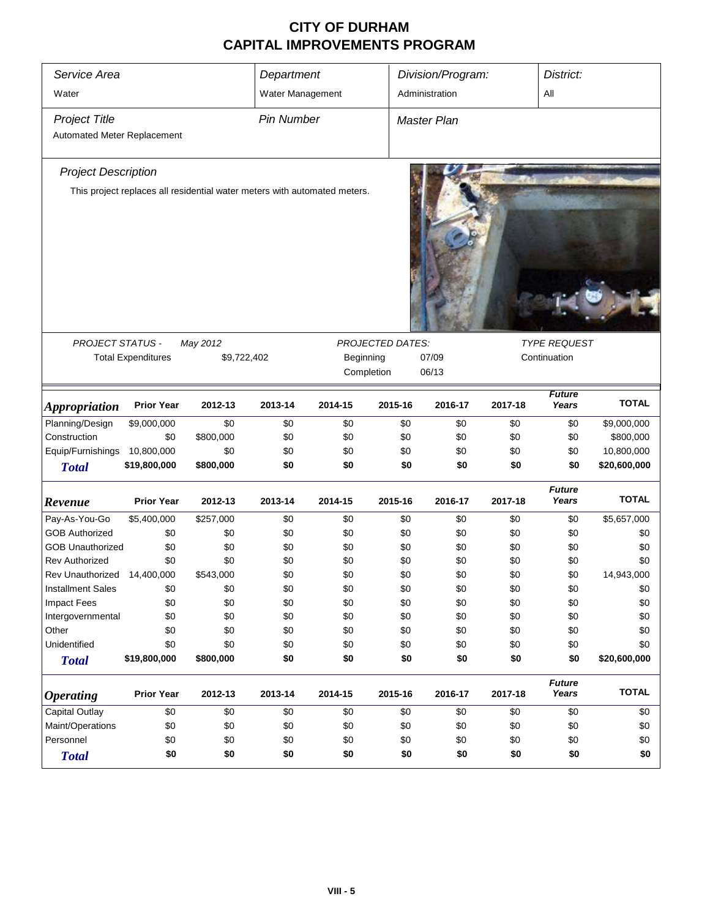| Service Area                                        |                           |                                                                           | Department        |            |         | Division/Program:         |         | District:                           |              |
|-----------------------------------------------------|---------------------------|---------------------------------------------------------------------------|-------------------|------------|---------|---------------------------|---------|-------------------------------------|--------------|
| Water                                               |                           |                                                                           | Water Management  |            |         | Administration            |         | All                                 |              |
| <b>Project Title</b><br>Automated Meter Replacement |                           |                                                                           | <b>Pin Number</b> |            |         | <b>Master Plan</b>        |         |                                     |              |
| <b>Project Description</b>                          |                           |                                                                           |                   |            |         |                           |         |                                     |              |
|                                                     |                           | This project replaces all residential water meters with automated meters. |                   |            |         |                           |         |                                     |              |
|                                                     |                           |                                                                           |                   |            |         |                           |         |                                     |              |
| PROJECT STATUS -                                    | <b>Total Expenditures</b> | May 2012<br>\$9,722,402                                                   |                   | Beginning  |         | PROJECTED DATES:<br>07/09 |         | <b>TYPE REQUEST</b><br>Continuation |              |
|                                                     |                           |                                                                           |                   | Completion |         | 06/13                     |         |                                     |              |
| <i><b>Appropriation</b></i>                         | <b>Prior Year</b>         | 2012-13                                                                   | 2013-14           | 2014-15    | 2015-16 | 2016-17                   | 2017-18 | <b>Future</b><br>Years              | <b>TOTAL</b> |
| Planning/Design                                     | \$9,000,000               | \$0                                                                       | \$0               | \$0        | \$0     | \$0                       | \$0     | \$0                                 | \$9,000,000  |
| Construction                                        | \$0                       | \$800,000                                                                 | \$0               | \$0        | \$0     | \$0                       | \$0     | \$0                                 | \$800,000    |
| Equip/Furnishings                                   | 10,800,000                | \$0                                                                       | \$0               | \$0        | \$0     | \$0                       | \$0     | \$0                                 | 10,800,000   |
| <b>Total</b>                                        | \$19,800,000              | \$800,000                                                                 | \$0               | \$0        | \$0     | \$0                       | \$0     | \$0                                 | \$20,600,000 |
| Revenue                                             | <b>Prior Year</b>         | 2012-13                                                                   | 2013-14           | 2014-15    | 2015-16 | 2016-17                   | 2017-18 | <b>Future</b><br>Years              | <b>TOTAL</b> |
| Pay-As-You-Go                                       | \$5,400,000               | \$257,000                                                                 | \$0               | \$0        | \$0     | \$0                       | \$0     | \$0                                 | \$5,657,000  |
| <b>GOB Authorized</b>                               | \$0                       | \$0                                                                       | \$0               | \$0        | \$0     | \$0                       | \$0     | \$0                                 | \$0          |
| <b>GOB Unauthorized</b>                             | \$0                       | \$0                                                                       | \$0               | \$0        | \$0     | \$0                       | \$0     | \$0                                 | \$0          |
| Rev Authorized                                      | \$0                       | \$0                                                                       | \$0               | \$0        | \$0     | \$0                       | \$0     | \$0                                 | \$0          |
| Rev Unauthorized 14,400,000                         |                           | \$543,000                                                                 | \$0               | \$0        | \$0     | \$0                       | \$0     | \$0                                 | 14,943,000   |
| <b>Installment Sales</b>                            | \$0                       | \$0                                                                       | \$0               | \$0        | \$0     | \$0                       | \$0     | \$0                                 | \$0          |
| Impact Fees                                         | \$0                       | \$0                                                                       | \$0               | \$0        | \$0     | \$0                       | \$0     | \$0                                 | \$0          |
| Intergovernmental                                   | \$0                       | \$0                                                                       | \$0               | \$0        | \$0     | \$0                       | \$0     | \$0                                 | \$0          |
| Other                                               | \$0                       | \$0                                                                       | \$0               | \$0        | \$0     | \$0                       | \$0     | \$0                                 | \$0          |
| Unidentified                                        | \$0                       | \$0                                                                       | \$0               | \$0        | \$0     | \$0                       | \$0     | \$0                                 | \$0          |
| <b>Total</b>                                        | \$19,800,000              | \$800,000                                                                 | \$0               | \$0        | \$0     | \$0                       | \$0     | \$0                                 | \$20,600,000 |
| <i><b>Operating</b></i>                             | <b>Prior Year</b>         | 2012-13                                                                   | 2013-14           | 2014-15    | 2015-16 | 2016-17                   | 2017-18 | <b>Future</b><br>Years              | <b>TOTAL</b> |
| Capital Outlay                                      | \$0                       | \$0                                                                       | \$0               | \$0        | \$0     | \$0                       | \$0     | \$0                                 | \$0          |
| Maint/Operations                                    | \$0                       | \$0                                                                       | \$0               | \$0        | \$0     | \$0                       | \$0     | \$0                                 | \$0          |
| Personnel                                           | \$0                       | \$0                                                                       | \$0               | \$0        | \$0     | \$0                       | \$0     | \$0                                 | \$0          |
| <b>Total</b>                                        | \$0                       | \$0                                                                       | \$0               | \$0        | \$0     | \$0                       | \$0     | \$0                                 | \$0          |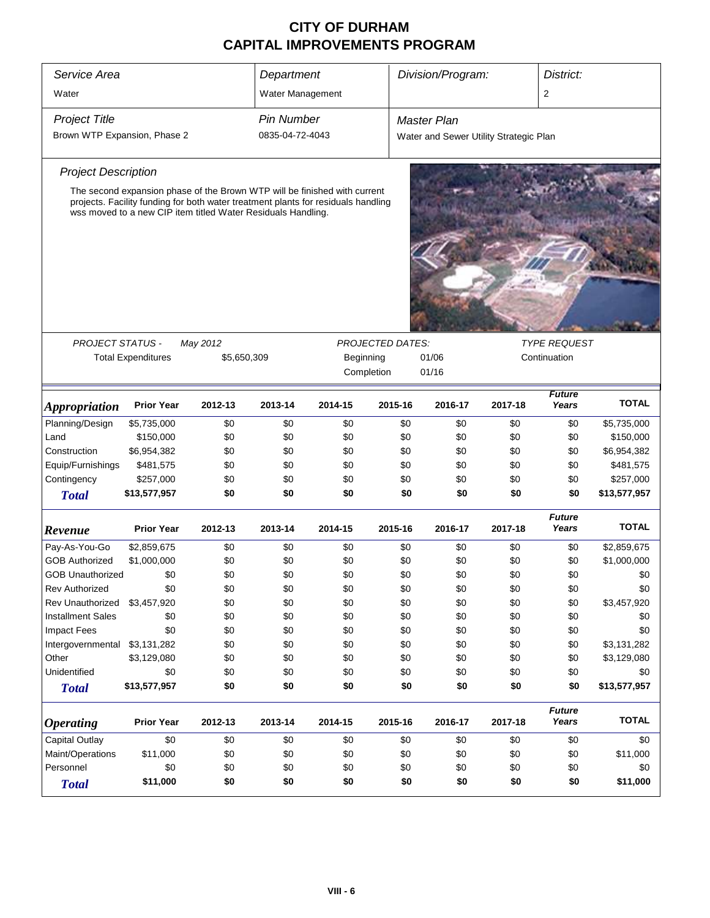| Service Area                 |                                                                                                                                                   |             | Department        |            |                         | Division/Program:                      |              | District:              |                          |  |
|------------------------------|---------------------------------------------------------------------------------------------------------------------------------------------------|-------------|-------------------|------------|-------------------------|----------------------------------------|--------------|------------------------|--------------------------|--|
| Water                        |                                                                                                                                                   |             | Water Management  |            |                         |                                        |              | 2                      |                          |  |
|                              |                                                                                                                                                   |             |                   |            |                         |                                        |              |                        |                          |  |
| <b>Project Title</b>         |                                                                                                                                                   |             | <b>Pin Number</b> |            |                         | <b>Master Plan</b>                     |              |                        |                          |  |
| Brown WTP Expansion, Phase 2 |                                                                                                                                                   |             | 0835-04-72-4043   |            |                         | Water and Sewer Utility Strategic Plan |              |                        |                          |  |
| <b>Project Description</b>   |                                                                                                                                                   |             |                   |            |                         |                                        |              |                        |                          |  |
|                              | The second expansion phase of the Brown WTP will be finished with current                                                                         |             |                   |            |                         |                                        |              |                        |                          |  |
|                              | projects. Facility funding for both water treatment plants for residuals handling<br>wss moved to a new CIP item titled Water Residuals Handling. |             |                   |            |                         |                                        |              |                        |                          |  |
|                              |                                                                                                                                                   |             |                   |            |                         |                                        |              |                        |                          |  |
|                              |                                                                                                                                                   |             |                   |            |                         |                                        |              |                        |                          |  |
|                              |                                                                                                                                                   |             |                   |            |                         |                                        |              |                        |                          |  |
|                              |                                                                                                                                                   |             |                   |            |                         |                                        |              |                        |                          |  |
|                              |                                                                                                                                                   |             |                   |            |                         |                                        |              |                        |                          |  |
| <b>PROJECT STATUS -</b>      |                                                                                                                                                   | May 2012    |                   |            | <b>PROJECTED DATES:</b> |                                        |              | <b>TYPE REQUEST</b>    |                          |  |
|                              | <b>Total Expenditures</b>                                                                                                                         | \$5,650,309 |                   | Beginning  |                         | 01/06                                  | Continuation |                        |                          |  |
|                              |                                                                                                                                                   |             |                   | Completion |                         | 01/16                                  |              |                        |                          |  |
|                              |                                                                                                                                                   |             |                   |            |                         |                                        |              | <b>Future</b>          | <b>TOTAL</b>             |  |
| <i><b>Appropriation</b></i>  | <b>Prior Year</b>                                                                                                                                 | 2012-13     | 2013-14           | 2014-15    | 2015-16                 | 2016-17                                | 2017-18      | Years                  |                          |  |
| Planning/Design<br>Land      | \$5,735,000<br>\$150,000                                                                                                                          | \$0<br>\$0  | \$0<br>\$0        | \$0<br>\$0 | \$0<br>\$0              | \$0<br>\$0                             | \$0<br>\$0   | \$0<br>\$0             | \$5,735,000              |  |
| Construction                 | \$6,954,382                                                                                                                                       | \$0         | \$0               | \$0        | \$0                     | \$0                                    | \$0          | \$0                    | \$150,000<br>\$6,954,382 |  |
| Equip/Furnishings            | \$481,575                                                                                                                                         | \$0         | \$0               | \$0        | \$0                     | \$0                                    | \$0          | \$0                    | \$481,575                |  |
| Contingency                  | \$257,000                                                                                                                                         | \$0         | \$0               | \$0        | \$0                     | \$0                                    | \$0          | \$0                    | \$257,000                |  |
| <b>Total</b>                 | \$13,577,957                                                                                                                                      | \$0         | \$0               | \$0        | \$0                     | \$0                                    | \$0          | \$0                    | \$13,577,957             |  |
|                              |                                                                                                                                                   |             |                   |            |                         |                                        |              |                        |                          |  |
| Revenue                      | <b>Prior Year</b>                                                                                                                                 | 2012-13     | 2013-14           | 2014-15    | 2015-16                 | 2016-17                                | 2017-18      | <b>Future</b><br>Years | <b>TOTAL</b>             |  |
| Pay-As-You-Go                | \$2,859,675                                                                                                                                       | \$0         | \$0               | \$0        | \$0                     | \$0                                    | \$0          | \$0                    | \$2,859,675              |  |
| <b>GOB Authorized</b>        | \$1,000,000                                                                                                                                       | \$0         | \$0               | \$0        | \$0                     | \$0                                    | \$0          | \$0                    | \$1,000,000              |  |
| <b>GOB Unauthorized</b>      | \$0                                                                                                                                               | \$0         | \$0               | \$0        | \$0                     | \$0                                    | \$0          | \$0                    | \$0                      |  |
| <b>Rev Authorized</b>        | \$0                                                                                                                                               | \$0         | \$0               | \$0        | \$0                     | \$0                                    | \$0          | \$0                    | \$0                      |  |
| Rev Unauthorized             | \$3,457,920                                                                                                                                       | \$0         | \$0               | \$0        | \$0                     | \$0                                    | \$0          | \$0                    | \$3,457,920              |  |
| <b>Installment Sales</b>     | \$0                                                                                                                                               | \$0         | \$0               | \$0        | \$0                     | \$0                                    | \$0          | \$0                    | \$0                      |  |
| <b>Impact Fees</b>           | \$0                                                                                                                                               | \$0         | \$0               | \$0        | \$0                     | \$0                                    | \$0          | \$0                    | \$0                      |  |
| Intergovernmental            | \$3,131,282                                                                                                                                       | \$0         | \$0               | \$0        | \$0                     | \$0                                    | \$0          | \$0                    | \$3,131,282              |  |
| Other                        | \$3,129,080                                                                                                                                       | \$0         | \$0               | \$0        | \$0                     | \$0                                    | \$0          | \$0                    | \$3,129,080              |  |
| Unidentified                 | \$0                                                                                                                                               | \$0         | \$0               | \$0        | \$0                     | \$0                                    | \$0          | \$0                    | \$0                      |  |
| <b>Total</b>                 | \$13,577,957                                                                                                                                      | \$0         | \$0               | \$0        | \$0                     | \$0                                    | \$0          | \$0                    | \$13,577,957             |  |
| <b>Operating</b>             | <b>Prior Year</b>                                                                                                                                 | 2012-13     | 2013-14           | 2014-15    | 2015-16                 | 2016-17                                | 2017-18      | <b>Future</b><br>Years | <b>TOTAL</b>             |  |
| Capital Outlay               | \$0                                                                                                                                               | \$0         | \$0               | \$0        | \$0                     | \$0                                    | \$0          | \$0                    | \$0                      |  |
| Maint/Operations             | \$11,000                                                                                                                                          | \$0         | \$0               | \$0        | \$0                     | \$0                                    | \$0          | \$0                    | \$11,000                 |  |
| Personnel                    | \$0                                                                                                                                               | \$0         | \$0               | \$0        | \$0                     | \$0                                    | \$0          | \$0                    | \$0                      |  |
| <b>Total</b>                 | \$11,000                                                                                                                                          | \$0         | \$0               | \$0        | \$0                     | \$0                                    | \$0          | \$0                    | \$11,000                 |  |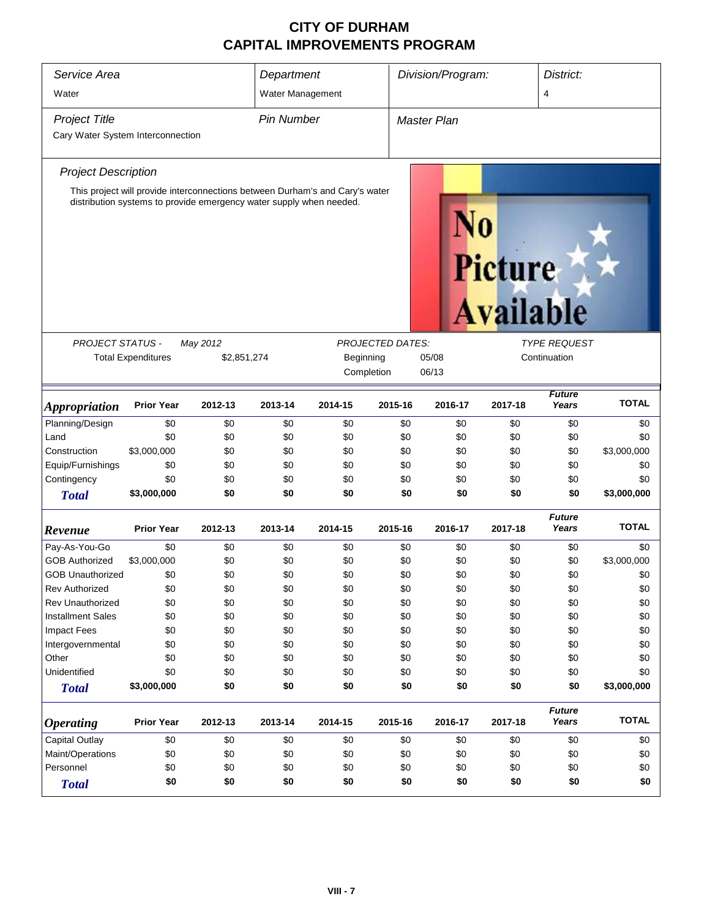| Service Area<br>Water             |                                                                     |             | Department<br>Water Management |                                                                              |                         | Division/Program:  |                             |                        | District:<br>4 |  |
|-----------------------------------|---------------------------------------------------------------------|-------------|--------------------------------|------------------------------------------------------------------------------|-------------------------|--------------------|-----------------------------|------------------------|----------------|--|
| <b>Project Title</b>              |                                                                     |             | <b>Pin Number</b>              |                                                                              |                         | <b>Master Plan</b> |                             |                        |                |  |
| Cary Water System Interconnection |                                                                     |             |                                |                                                                              |                         |                    |                             |                        |                |  |
| <b>Project Description</b>        |                                                                     |             |                                |                                                                              |                         |                    |                             |                        |                |  |
|                                   | distribution systems to provide emergency water supply when needed. |             |                                | This project will provide interconnections between Durham's and Cary's water |                         |                    | Picture<br><b>Available</b> |                        |                |  |
| <b>PROJECT STATUS -</b>           |                                                                     | May 2012    |                                |                                                                              | <b>PROJECTED DATES:</b> |                    |                             | <b>TYPE REQUEST</b>    |                |  |
|                                   | <b>Total Expenditures</b>                                           | \$2,851,274 |                                | Beginning                                                                    |                         | 05/08              |                             | Continuation           |                |  |
|                                   |                                                                     |             |                                | Completion                                                                   |                         | 06/13              |                             |                        |                |  |
| <i><b>Appropriation</b></i>       | <b>Prior Year</b>                                                   | 2012-13     | 2013-14                        | 2014-15                                                                      | 2015-16                 | 2016-17            | 2017-18                     | <b>Future</b><br>Years | <b>TOTAL</b>   |  |
| Planning/Design                   | \$0                                                                 | \$0         | \$0                            | \$0                                                                          | \$0                     | \$0                | \$0                         | \$0                    | \$0            |  |
| Land                              | \$0                                                                 | \$0         | \$0                            | \$0                                                                          | \$0                     | \$0                | \$0                         | \$0                    | \$0            |  |
| Construction                      | \$3,000,000                                                         | \$0         | \$0                            | \$0                                                                          | \$0                     | \$0                | \$0                         | \$0                    | \$3,000,000    |  |
| Equip/Furnishings                 | \$0                                                                 | \$0         | \$0                            | \$0                                                                          | \$0                     | \$0                | \$0                         | \$0                    | \$0            |  |
| Contingency                       | \$0                                                                 | \$0         | \$0                            | \$0                                                                          | \$0                     | \$0                | \$0                         | \$0                    | \$0            |  |
| <b>Total</b>                      | \$3,000,000                                                         | \$0         | \$0                            | \$0                                                                          | \$0                     | \$0                | \$0                         | \$0                    | \$3,000,000    |  |
| Revenue                           | <b>Prior Year</b>                                                   | 2012-13     | 2013-14                        | 2014-15                                                                      | 2015-16                 | 2016-17            | 2017-18                     | <b>Future</b><br>Years | <b>TOTAL</b>   |  |
| Pay-As-You-Go                     | \$0                                                                 | \$0         | \$0                            | \$0                                                                          | \$0                     | \$0                | \$0                         | \$0                    | \$0            |  |
| <b>GOB Authorized</b>             | \$3,000,000                                                         | \$0         | \$0                            | \$0                                                                          | \$0                     | \$0                | \$0                         | \$0                    | \$3,000,000    |  |
| <b>GOB Unauthorized</b>           | \$0                                                                 | \$0         | \$0                            | \$0                                                                          | \$0                     | \$0                | \$0                         | \$0                    | \$0            |  |
| <b>Rev Authorized</b>             | \$0                                                                 | \$0         | \$0                            | \$0                                                                          | \$0                     | \$0                | \$0                         | \$0                    | \$0            |  |
| <b>Rev Unauthorized</b>           | \$0                                                                 | \$0         | \$0                            | \$0                                                                          | \$0                     | \$0                | \$0                         | \$0                    | \$0            |  |
| <b>Installment Sales</b>          | \$0                                                                 | \$0         | \$0                            | \$0                                                                          | \$0                     | \$0                | \$0                         | \$0                    | \$0            |  |
| <b>Impact Fees</b>                | \$0                                                                 | \$0         | \$0                            | \$0                                                                          | \$0                     | \$0                | \$0                         | \$0                    | \$0            |  |
| Intergovernmental                 | \$0                                                                 | \$0         | \$0                            | \$0                                                                          | \$0                     | \$0                | \$0                         | \$0                    | \$0            |  |
| Other                             | \$0                                                                 | \$0         | \$0                            | \$0                                                                          | \$0                     | \$0                | \$0                         | \$0                    | \$0            |  |
| Unidentified                      | \$0                                                                 | \$0         | \$0                            | \$0                                                                          | \$0                     | \$0                | \$0                         | \$0                    | \$0            |  |
| <b>Total</b>                      | \$3,000,000                                                         | \$0         | \$0                            | \$0                                                                          | \$0                     | \$0                | \$0                         | \$0                    | \$3,000,000    |  |
| <b>Operating</b>                  | <b>Prior Year</b>                                                   | 2012-13     | 2013-14                        | 2014-15                                                                      | 2015-16                 | 2016-17            | 2017-18                     | <b>Future</b><br>Years | <b>TOTAL</b>   |  |
| <b>Capital Outlay</b>             | \$0                                                                 | \$0         | \$0                            | \$0                                                                          | \$0                     | \$0                | \$0                         | \$0                    | \$0            |  |
| Maint/Operations                  | \$0                                                                 | \$0         | \$0                            | \$0                                                                          | \$0                     | \$0                | \$0                         | \$0                    | \$0            |  |
| Personnel                         | \$0                                                                 | \$0         | \$0                            | \$0                                                                          | \$0                     | \$0                | \$0                         | \$0                    | \$0            |  |
| <b>Total</b>                      | \$0                                                                 | \$0         | \$0                            | \$0                                                                          | \$0                     | \$0                | \$0                         | \$0                    | \$0            |  |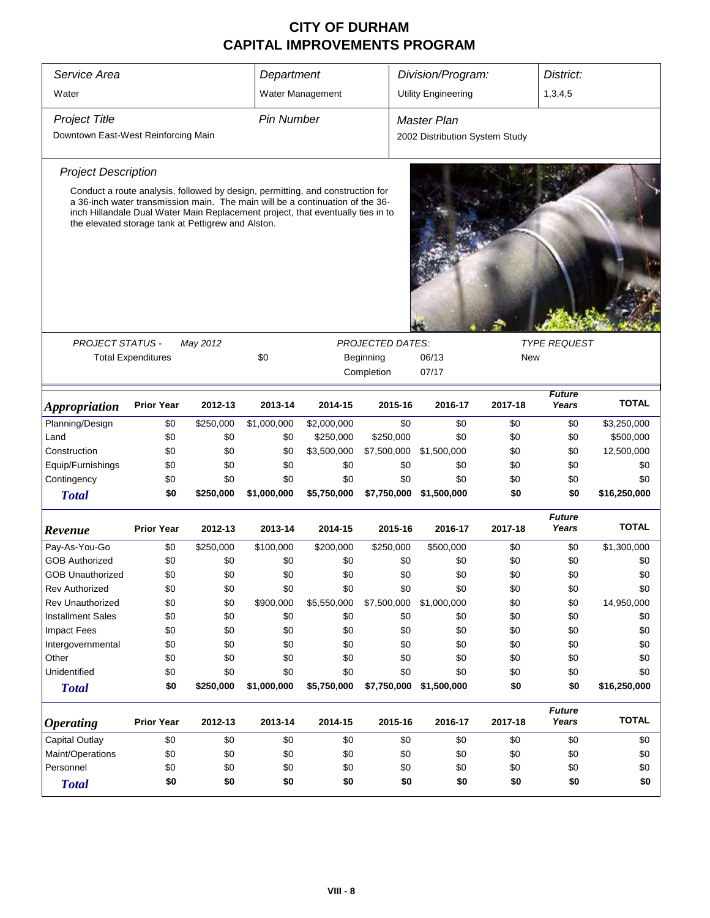| Service Area<br>Division/Program:<br>District:<br>Department<br>1,3,4,5<br>Water<br>Water Management<br><b>Utility Engineering</b><br><b>Pin Number</b><br><b>Project Title</b><br>Master Plan<br>Downtown East-West Reinforcing Main<br>2002 Distribution System Study<br><b>Project Description</b><br>Conduct a route analysis, followed by design, permitting, and construction for<br>a 36-inch water transmission main. The main will be a continuation of the 36-<br>inch Hillandale Dual Water Main Replacement project, that eventually ties in to<br>the elevated storage tank at Pettigrew and Alston. |
|-------------------------------------------------------------------------------------------------------------------------------------------------------------------------------------------------------------------------------------------------------------------------------------------------------------------------------------------------------------------------------------------------------------------------------------------------------------------------------------------------------------------------------------------------------------------------------------------------------------------|
|                                                                                                                                                                                                                                                                                                                                                                                                                                                                                                                                                                                                                   |
|                                                                                                                                                                                                                                                                                                                                                                                                                                                                                                                                                                                                                   |
|                                                                                                                                                                                                                                                                                                                                                                                                                                                                                                                                                                                                                   |
|                                                                                                                                                                                                                                                                                                                                                                                                                                                                                                                                                                                                                   |
|                                                                                                                                                                                                                                                                                                                                                                                                                                                                                                                                                                                                                   |
|                                                                                                                                                                                                                                                                                                                                                                                                                                                                                                                                                                                                                   |
|                                                                                                                                                                                                                                                                                                                                                                                                                                                                                                                                                                                                                   |
|                                                                                                                                                                                                                                                                                                                                                                                                                                                                                                                                                                                                                   |
|                                                                                                                                                                                                                                                                                                                                                                                                                                                                                                                                                                                                                   |
|                                                                                                                                                                                                                                                                                                                                                                                                                                                                                                                                                                                                                   |
|                                                                                                                                                                                                                                                                                                                                                                                                                                                                                                                                                                                                                   |
| <b>TYPE REQUEST</b><br><b>PROJECT STATUS -</b><br><b>PROJECTED DATES:</b><br>May 2012                                                                                                                                                                                                                                                                                                                                                                                                                                                                                                                             |
| \$0<br><b>Total Expenditures</b><br>Beginning<br>06/13<br>New                                                                                                                                                                                                                                                                                                                                                                                                                                                                                                                                                     |
| Completion<br>07/17                                                                                                                                                                                                                                                                                                                                                                                                                                                                                                                                                                                               |
| <b>Future</b><br><b>TOTAL</b><br><b>Prior Year</b><br>2012-13<br>2013-14<br>2014-15<br>2015-16<br>2016-17<br>2017-18<br>Years<br><i><b>Appropriation</b></i>                                                                                                                                                                                                                                                                                                                                                                                                                                                      |
| \$0<br>Planning/Design<br>\$0<br>\$250,000<br>\$1,000,000<br>\$2,000,000<br>\$0<br>\$0<br>\$0<br>\$3,250,000                                                                                                                                                                                                                                                                                                                                                                                                                                                                                                      |
| \$500,000<br>\$0<br>\$0<br>\$0<br>\$250,000<br>\$250,000<br>\$0<br>\$0<br>\$0<br>Land                                                                                                                                                                                                                                                                                                                                                                                                                                                                                                                             |
| 12,500,000<br>Construction<br>\$0<br>\$0<br>\$0<br>\$3,500,000<br>\$7,500,000<br>\$1,500,000<br>\$0<br>\$0                                                                                                                                                                                                                                                                                                                                                                                                                                                                                                        |
| Equip/Furnishings<br>\$0<br>\$0<br>\$0<br>\$0<br>\$0<br>\$0<br>\$0<br>\$0<br>\$0                                                                                                                                                                                                                                                                                                                                                                                                                                                                                                                                  |
| \$0<br>Contingency<br>\$0<br>\$0<br>\$0<br>\$0<br>\$0<br>\$0<br>\$0<br>\$0                                                                                                                                                                                                                                                                                                                                                                                                                                                                                                                                        |
| \$0<br>\$250,000<br>\$1,000,000<br>\$5,750,000<br>\$7,750,000<br>\$1,500,000<br>\$0<br>\$0<br>\$16,250,000<br><b>Total</b>                                                                                                                                                                                                                                                                                                                                                                                                                                                                                        |
| <b>Future</b><br><b>TOTAL</b><br><b>Prior Year</b><br>2012-13<br>2013-14<br>2014-15<br>2015-16<br>2016-17<br>2017-18<br>Years<br>Revenue                                                                                                                                                                                                                                                                                                                                                                                                                                                                          |
| Pay-As-You-Go<br>\$0<br>\$0<br>\$0<br>\$1,300,000<br>\$250,000<br>\$100,000<br>\$200,000<br>\$250,000<br>\$500,000                                                                                                                                                                                                                                                                                                                                                                                                                                                                                                |
| \$0<br><b>GOB Authorized</b><br>\$0<br>\$0<br>\$0<br>\$0<br>\$0<br>\$0<br>\$0<br>\$0                                                                                                                                                                                                                                                                                                                                                                                                                                                                                                                              |
| \$0<br><b>GOB Unauthorized</b><br>\$0<br>\$0<br>\$0<br>\$0<br>\$0<br>\$0<br>\$0<br>\$0                                                                                                                                                                                                                                                                                                                                                                                                                                                                                                                            |
| \$0<br>\$0<br>\$0<br>\$0<br>\$0<br>\$0<br>\$0<br>\$0<br><b>Rev Authorized</b><br>\$0                                                                                                                                                                                                                                                                                                                                                                                                                                                                                                                              |
| <b>Rev Unauthorized</b><br>\$900,000<br>\$5,550,000<br>\$7,500,000<br>\$1,000,000<br>\$0<br>14,950,000<br>\$0<br>\$0<br>\$0                                                                                                                                                                                                                                                                                                                                                                                                                                                                                       |
| <b>Installment Sales</b><br>\$0<br>\$0<br>\$0<br>\$0<br>\$0<br>\$0<br>\$0<br>\$0<br>\$0                                                                                                                                                                                                                                                                                                                                                                                                                                                                                                                           |
| \$0<br><b>Impact Fees</b><br>\$0<br>\$0<br>\$0<br>\$0<br>\$0<br>\$0<br>\$0<br>\$0                                                                                                                                                                                                                                                                                                                                                                                                                                                                                                                                 |
| \$0<br>\$0<br>\$0<br>\$0<br>\$0<br>\$0<br>\$0<br>\$0<br>\$0<br>Intergovernmental                                                                                                                                                                                                                                                                                                                                                                                                                                                                                                                                  |
| \$0<br>\$0<br>Other<br>\$0<br>\$0<br>\$0<br>\$0<br>\$0<br>\$0<br>\$0                                                                                                                                                                                                                                                                                                                                                                                                                                                                                                                                              |
| Unidentified<br>\$0<br>\$0<br>\$0<br>\$0<br>\$0<br>\$0<br>\$0<br>\$0<br>\$0                                                                                                                                                                                                                                                                                                                                                                                                                                                                                                                                       |
| \$250,000<br>\$0<br>\$1,000,000<br>\$5,750,000<br>\$7,750,000<br>\$1,500,000<br>\$0<br>\$0<br>\$16,250,000<br><b>Total</b>                                                                                                                                                                                                                                                                                                                                                                                                                                                                                        |
| <b>Future</b><br><b>TOTAL</b><br><b>Prior Year</b><br>Years<br>2012-13<br>2013-14<br>2014-15<br>2015-16<br>2016-17<br>2017-18<br><i><b>Operating</b></i>                                                                                                                                                                                                                                                                                                                                                                                                                                                          |
| Capital Outlay<br>\$0<br>\$0<br>\$0<br>\$0<br>\$0<br>\$0<br>\$0<br>\$0<br>\$0                                                                                                                                                                                                                                                                                                                                                                                                                                                                                                                                     |
| Maint/Operations<br>\$0<br>\$0<br>\$0<br>\$0<br>\$0<br>\$0<br>\$0<br>\$0<br>\$0                                                                                                                                                                                                                                                                                                                                                                                                                                                                                                                                   |
| Personnel<br>\$0<br>\$0<br>\$0<br>\$0<br>\$0<br>\$0<br>\$0<br>\$0<br>\$0                                                                                                                                                                                                                                                                                                                                                                                                                                                                                                                                          |
| \$0<br>\$0<br>\$0<br>\$0<br>\$0<br>\$0<br>\$0<br>\$0<br>\$0<br><b>Total</b>                                                                                                                                                                                                                                                                                                                                                                                                                                                                                                                                       |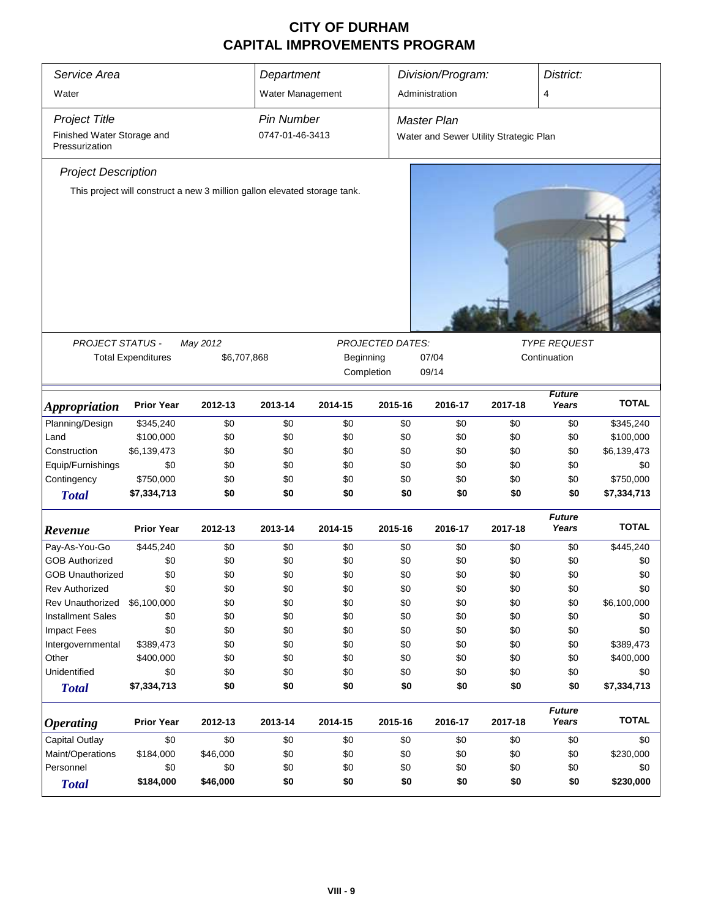| Service Area                                 |                           |                                                                           | Department        |            |                  | Division/Program:                      |         | District:              |              |
|----------------------------------------------|---------------------------|---------------------------------------------------------------------------|-------------------|------------|------------------|----------------------------------------|---------|------------------------|--------------|
| Water                                        |                           |                                                                           | Water Management  |            |                  | Administration                         |         | 4                      |              |
| <b>Project Title</b>                         |                           |                                                                           | <b>Pin Number</b> |            |                  | <b>Master Plan</b>                     |         |                        |              |
| Finished Water Storage and<br>Pressurization |                           |                                                                           | 0747-01-46-3413   |            |                  | Water and Sewer Utility Strategic Plan |         |                        |              |
| <b>Project Description</b>                   |                           |                                                                           |                   |            |                  |                                        |         |                        |              |
|                                              |                           | This project will construct a new 3 million gallon elevated storage tank. |                   |            |                  |                                        |         |                        |              |
|                                              |                           |                                                                           |                   |            |                  |                                        |         |                        |              |
|                                              |                           |                                                                           |                   |            |                  |                                        |         |                        |              |
|                                              |                           |                                                                           |                   |            |                  |                                        |         |                        |              |
|                                              |                           |                                                                           |                   |            |                  |                                        |         |                        |              |
|                                              |                           |                                                                           |                   |            |                  |                                        |         |                        |              |
|                                              |                           |                                                                           |                   |            |                  |                                        |         |                        |              |
| PROJECT STATUS -                             |                           | May 2012                                                                  |                   |            | PROJECTED DATES: |                                        |         | <b>TYPE REQUEST</b>    |              |
|                                              | <b>Total Expenditures</b> | \$6,707,868                                                               |                   | Beginning  |                  | 07/04                                  |         | Continuation           |              |
|                                              |                           |                                                                           |                   | Completion |                  | 09/14                                  |         |                        |              |
|                                              |                           |                                                                           |                   |            |                  |                                        |         | <b>Future</b>          |              |
| <b>Appropriation</b>                         | <b>Prior Year</b>         | 2012-13                                                                   | 2013-14           | 2014-15    | 2015-16          | 2016-17                                | 2017-18 | Years                  | <b>TOTAL</b> |
| Planning/Design                              | \$345,240                 | \$0                                                                       | \$0               | \$0        | \$0              | \$0                                    | \$0     | \$0                    | \$345,240    |
| Land                                         | \$100,000                 | \$0                                                                       | \$0               | \$0        | \$0              | \$0                                    | \$0     | \$0                    | \$100,000    |
| Construction                                 | \$6,139,473               | \$0                                                                       | \$0               | \$0        | \$0              | \$0                                    | \$0     | \$0                    | \$6,139,473  |
| Equip/Furnishings                            | \$0                       | \$0                                                                       | \$0               | \$0        | \$0              | \$0                                    | \$0     | \$0                    | \$0          |
| Contingency                                  | \$750,000                 | \$0                                                                       | \$0               | \$0        | \$0              | \$0                                    | \$0     | \$0                    | \$750,000    |
| <b>Total</b>                                 | \$7,334,713               | \$0                                                                       | \$0               | \$0        | \$0              | \$0                                    | \$0     | \$0                    | \$7,334,713  |
| Revenue                                      | <b>Prior Year</b>         | 2012-13                                                                   | 2013-14           | 2014-15    | 2015-16          | 2016-17                                | 2017-18 | <b>Future</b><br>Years | <b>TOTAL</b> |
| Pay-As-You-Go                                | \$445,240                 | \$0                                                                       | \$0               | \$0        | \$0              | \$0                                    | \$0     | \$0                    | \$445,240    |
| <b>GOB Authorized</b>                        | \$0                       | \$0                                                                       | \$0               | \$0        | \$0              | \$0                                    | \$0     | \$0                    | \$0          |
| <b>GOB Unauthorized</b>                      | \$0                       | \$0                                                                       | \$0               | \$0        | \$0              | \$0                                    | \$0     | \$0                    | \$0          |
| <b>Rev Authorized</b>                        | \$0                       | \$0                                                                       | \$0               | \$0        | \$0              | \$0                                    | \$0     | \$0                    | \$0          |
| <b>Rev Unauthorized</b>                      | \$6,100,000               | \$0                                                                       | \$0               | \$0        | \$0              | \$0                                    | \$0     | \$0                    | \$6,100,000  |
| <b>Installment Sales</b>                     | \$0                       | \$0                                                                       | \$0               | \$0        | \$0              | \$0                                    | \$0     | \$0                    | \$0          |
| <b>Impact Fees</b>                           | \$0                       | \$0                                                                       | \$0               | \$0        | \$0              | \$0                                    | \$0     | \$0                    | \$0          |
| Intergovernmental                            | \$389,473                 | \$0                                                                       | \$0               | \$0        | \$0              | \$0                                    | \$0     | \$0                    | \$389,473    |
| Other                                        | \$400,000                 | \$0                                                                       | \$0               | \$0        | \$0              | \$0                                    | \$0     | \$0                    | \$400,000    |
| Unidentified                                 | \$0                       | \$0                                                                       | \$0               | \$0        | \$0              | \$0                                    | \$0     | \$0                    | \$0          |
| <b>Total</b>                                 | \$7,334,713               | \$0                                                                       | \$0               | \$0        | \$0              | \$0                                    | \$0     | \$0                    | \$7,334,713  |
|                                              |                           |                                                                           |                   |            |                  |                                        |         |                        |              |
| <b>Operating</b>                             | <b>Prior Year</b>         | 2012-13                                                                   | 2013-14           | 2014-15    | 2015-16          | 2016-17                                | 2017-18 | <b>Future</b><br>Years | <b>TOTAL</b> |
| Capital Outlay                               | \$0                       | \$0                                                                       | \$0               | \$0        | \$0              | \$0                                    | \$0     | \$0                    | \$0          |
| Maint/Operations                             | \$184,000                 | \$46,000                                                                  | \$0               | \$0        | \$0              | \$0                                    | \$0     | \$0                    | \$230,000    |
| Personnel                                    | \$0                       | \$0                                                                       | \$0               | \$0        | \$0              | \$0                                    | \$0     | \$0                    | \$0          |
| <b>Total</b>                                 | \$184,000                 | \$46,000                                                                  | \$0               | \$0        | \$0              | \$0                                    | \$0     | \$0                    | \$230,000    |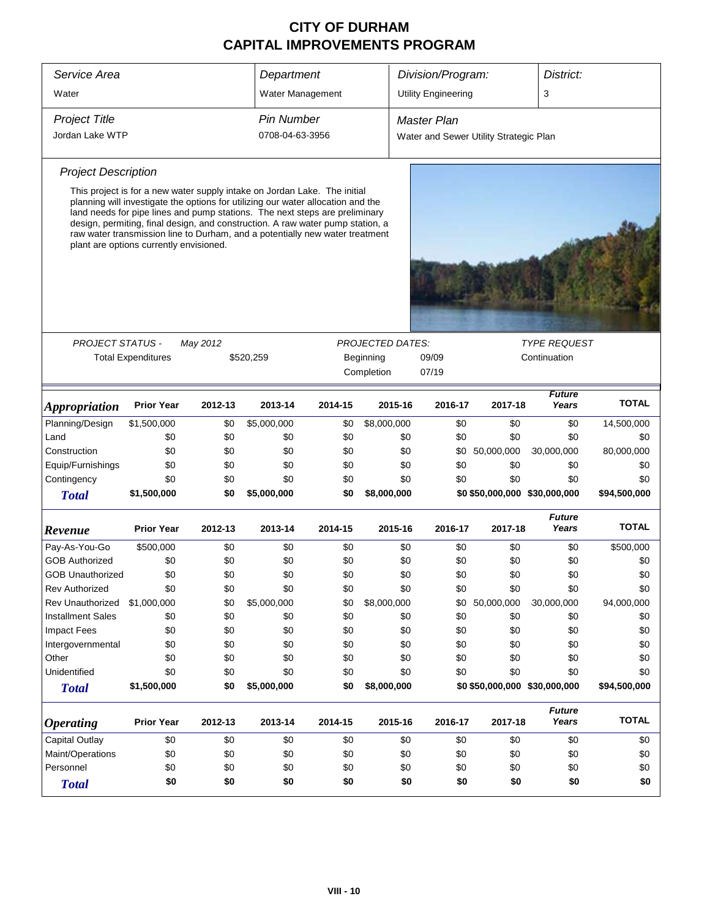| Service Area                            |                                                                                                                                                                                                                                                                                                                                                                                                                                                           |          | Department                           |         |                         | Division/Program:          |                                        | District:              |              |  |
|-----------------------------------------|-----------------------------------------------------------------------------------------------------------------------------------------------------------------------------------------------------------------------------------------------------------------------------------------------------------------------------------------------------------------------------------------------------------------------------------------------------------|----------|--------------------------------------|---------|-------------------------|----------------------------|----------------------------------------|------------------------|--------------|--|
| Water                                   |                                                                                                                                                                                                                                                                                                                                                                                                                                                           |          | Water Management                     |         |                         | <b>Utility Engineering</b> |                                        | 3                      |              |  |
| <b>Project Title</b><br>Jordan Lake WTP |                                                                                                                                                                                                                                                                                                                                                                                                                                                           |          | <b>Pin Number</b><br>0708-04-63-3956 |         |                         | <b>Master Plan</b>         | Water and Sewer Utility Strategic Plan |                        |              |  |
|                                         |                                                                                                                                                                                                                                                                                                                                                                                                                                                           |          |                                      |         |                         |                            |                                        |                        |              |  |
| <b>Project Description</b>              |                                                                                                                                                                                                                                                                                                                                                                                                                                                           |          |                                      |         |                         |                            |                                        |                        |              |  |
|                                         | This project is for a new water supply intake on Jordan Lake. The initial<br>planning will investigate the options for utilizing our water allocation and the<br>land needs for pipe lines and pump stations. The next steps are preliminary<br>design, permiting, final design, and construction. A raw water pump station, a<br>raw water transmission line to Durham, and a potentially new water treatment<br>plant are options currently envisioned. |          |                                      |         |                         |                            |                                        |                        |              |  |
|                                         |                                                                                                                                                                                                                                                                                                                                                                                                                                                           |          |                                      |         |                         |                            |                                        |                        |              |  |
| <b>PROJECT STATUS -</b>                 |                                                                                                                                                                                                                                                                                                                                                                                                                                                           | May 2012 |                                      |         | <b>PROJECTED DATES:</b> |                            |                                        | <b>TYPE REQUEST</b>    |              |  |
|                                         | <b>Total Expenditures</b>                                                                                                                                                                                                                                                                                                                                                                                                                                 |          | \$520,259                            |         | Beginning               | 09/09                      | Continuation                           |                        |              |  |
|                                         |                                                                                                                                                                                                                                                                                                                                                                                                                                                           |          |                                      |         | Completion              | 07/19                      |                                        |                        |              |  |
| <b>Appropriation</b>                    | <b>Prior Year</b>                                                                                                                                                                                                                                                                                                                                                                                                                                         | 2012-13  | 2013-14                              | 2014-15 | 2015-16                 | 2016-17                    | 2017-18                                | Future<br>Years        | <b>TOTAL</b> |  |
| Planning/Design                         | \$1,500,000                                                                                                                                                                                                                                                                                                                                                                                                                                               | \$0      | \$5,000,000                          | \$0     | \$8,000,000             | \$0                        | \$0                                    | \$0                    | 14,500,000   |  |
| Land                                    | \$0                                                                                                                                                                                                                                                                                                                                                                                                                                                       | \$0      | \$0                                  | \$0     | \$0                     | \$0                        | \$0                                    | \$0                    | \$0          |  |
| Construction                            | \$0                                                                                                                                                                                                                                                                                                                                                                                                                                                       | \$0      | \$0                                  | \$0     | \$0                     | \$0                        | 50,000,000                             | 30,000,000             | 80,000,000   |  |
| Equip/Furnishings                       | \$0                                                                                                                                                                                                                                                                                                                                                                                                                                                       | \$0      | \$0                                  | \$0     | \$0                     | \$0                        | \$0                                    | \$0                    | \$0          |  |
| Contingency                             | \$0                                                                                                                                                                                                                                                                                                                                                                                                                                                       | \$0      | \$0                                  | \$0     | \$0                     | \$0                        | \$0                                    | \$0                    | \$0          |  |
| <b>Total</b>                            | \$1,500,000                                                                                                                                                                                                                                                                                                                                                                                                                                               | \$0      | \$5,000,000                          | \$0     | \$8,000,000             |                            | \$0 \$50,000,000 \$30,000,000          |                        | \$94,500,000 |  |
| Revenue                                 | <b>Prior Year</b>                                                                                                                                                                                                                                                                                                                                                                                                                                         | 2012-13  | 2013-14                              | 2014-15 | 2015-16                 | 2016-17                    | 2017-18                                | <b>Future</b><br>Years | <b>TOTAL</b> |  |
| Pay-As-You-Go                           | \$500,000                                                                                                                                                                                                                                                                                                                                                                                                                                                 | \$0      | \$0                                  | \$0     | \$0                     | \$0                        | \$0                                    | \$0                    | \$500,000    |  |
| <b>GOB Authorized</b>                   | \$0                                                                                                                                                                                                                                                                                                                                                                                                                                                       | \$0      | \$0                                  | \$0     | \$0                     | \$0                        | \$0                                    | \$0                    | \$0          |  |
| <b>GOB Unauthorized</b>                 | \$0                                                                                                                                                                                                                                                                                                                                                                                                                                                       | \$0      | \$0                                  | \$0     | \$0                     | \$0                        | \$0                                    | \$0                    | \$0          |  |
| <b>Rev Authorized</b>                   | \$0                                                                                                                                                                                                                                                                                                                                                                                                                                                       | \$0      | \$0                                  | \$0     | \$0                     | \$0                        | \$0                                    | \$0                    | \$0          |  |
| Rev Unauthorized                        | \$1,000,000                                                                                                                                                                                                                                                                                                                                                                                                                                               | \$0      | \$5,000,000                          | \$0     | \$8,000,000             | \$0                        | 50,000,000                             | 30,000,000             | 94,000,000   |  |
| <b>Installment Sales</b>                | \$0                                                                                                                                                                                                                                                                                                                                                                                                                                                       | \$0      | \$0                                  | \$0     | \$0                     | \$0                        | \$0                                    | \$0                    | \$0          |  |
| Impact Fees                             | \$0                                                                                                                                                                                                                                                                                                                                                                                                                                                       | \$0      | \$0                                  | \$0     | \$0                     | \$0                        | \$0                                    | \$0                    | \$0          |  |
| Intergovernmental                       | \$0                                                                                                                                                                                                                                                                                                                                                                                                                                                       | \$0      | \$0                                  | \$0     | \$0                     | \$0                        | \$0                                    | \$0                    | \$0          |  |
| Other                                   | \$0                                                                                                                                                                                                                                                                                                                                                                                                                                                       | \$0      | \$0                                  | \$0     | \$0                     | \$0                        | \$0                                    | \$0                    | \$0          |  |
| Unidentified                            | \$0                                                                                                                                                                                                                                                                                                                                                                                                                                                       | \$0      | \$0                                  | \$0     | \$0                     | \$0                        | \$0                                    | \$0                    | \$0          |  |
| <b>Total</b>                            | \$1,500,000                                                                                                                                                                                                                                                                                                                                                                                                                                               | \$0      | \$5,000,000                          | \$0     | \$8,000,000             |                            | \$0 \$50,000,000 \$30,000,000          |                        | \$94,500,000 |  |
| <b>Operating</b>                        | <b>Prior Year</b>                                                                                                                                                                                                                                                                                                                                                                                                                                         | 2012-13  | 2013-14                              | 2014-15 | 2015-16                 | 2016-17                    | 2017-18                                | <b>Future</b><br>Years | <b>TOTAL</b> |  |
| <b>Capital Outlay</b>                   | \$0                                                                                                                                                                                                                                                                                                                                                                                                                                                       | \$0      | \$0                                  | \$0     | \$0                     | \$0                        | \$0                                    | \$0                    | \$0          |  |
| Maint/Operations                        | \$0                                                                                                                                                                                                                                                                                                                                                                                                                                                       | \$0      | \$0                                  | \$0     | \$0                     | \$0                        | \$0                                    | \$0                    | \$0          |  |
| Personnel                               | \$0                                                                                                                                                                                                                                                                                                                                                                                                                                                       | \$0      | \$0                                  | \$0     | \$0                     | \$0                        | \$0                                    | \$0                    | \$0          |  |
| <b>Total</b>                            | \$0                                                                                                                                                                                                                                                                                                                                                                                                                                                       | \$0      | \$0                                  | \$0     | \$0                     | \$0                        | \$0                                    | \$0                    | \$0          |  |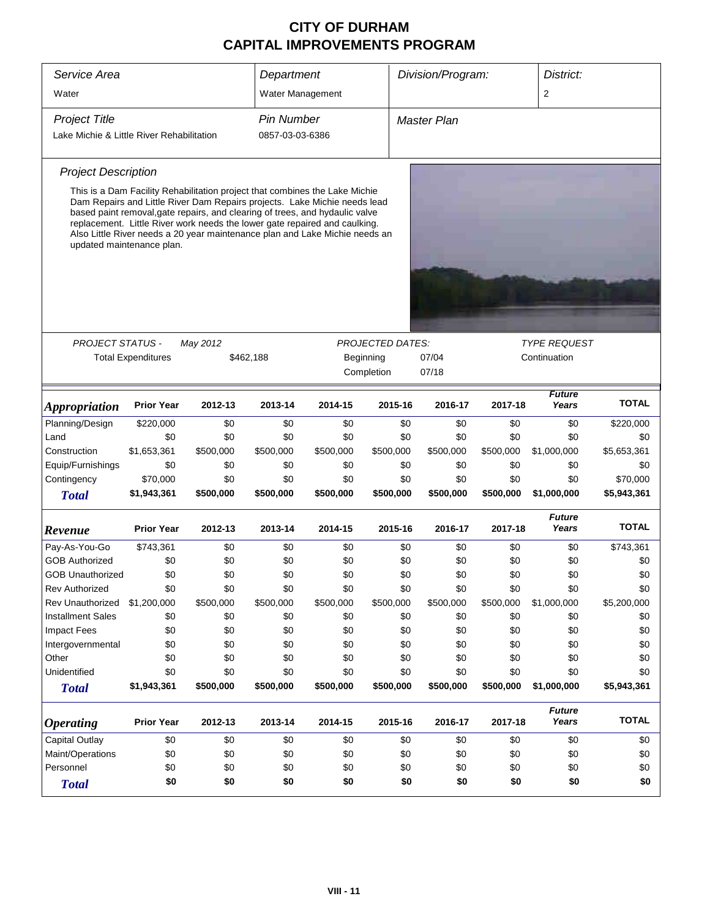| Service Area                              |                                                                                                                                                                                                                                                                                                                                                     |           | Department        |           |                         | Division/Program: |              | District:              |              |  |
|-------------------------------------------|-----------------------------------------------------------------------------------------------------------------------------------------------------------------------------------------------------------------------------------------------------------------------------------------------------------------------------------------------------|-----------|-------------------|-----------|-------------------------|-------------------|--------------|------------------------|--------------|--|
| Water                                     |                                                                                                                                                                                                                                                                                                                                                     |           | Water Management  |           |                         |                   |              | $\overline{2}$         |              |  |
| <b>Project Title</b>                      |                                                                                                                                                                                                                                                                                                                                                     |           | <b>Pin Number</b> |           |                         | Master Plan       |              |                        |              |  |
|                                           |                                                                                                                                                                                                                                                                                                                                                     |           | 0857-03-03-6386   |           |                         |                   |              |                        |              |  |
| Lake Michie & Little River Rehabilitation |                                                                                                                                                                                                                                                                                                                                                     |           |                   |           |                         |                   |              |                        |              |  |
| <b>Project Description</b>                |                                                                                                                                                                                                                                                                                                                                                     |           |                   |           |                         |                   |              |                        |              |  |
|                                           | This is a Dam Facility Rehabilitation project that combines the Lake Michie                                                                                                                                                                                                                                                                         |           |                   |           |                         |                   |              |                        |              |  |
|                                           | Dam Repairs and Little River Dam Repairs projects. Lake Michie needs lead<br>based paint removal, gate repairs, and clearing of trees, and hydaulic valve<br>replacement. Little River work needs the lower gate repaired and caulking.<br>Also Little River needs a 20 year maintenance plan and Lake Michie needs an<br>updated maintenance plan. |           |                   |           |                         |                   |              |                        |              |  |
|                                           |                                                                                                                                                                                                                                                                                                                                                     |           |                   |           |                         |                   |              |                        |              |  |
|                                           |                                                                                                                                                                                                                                                                                                                                                     |           |                   |           |                         |                   |              |                        |              |  |
|                                           |                                                                                                                                                                                                                                                                                                                                                     |           |                   |           |                         |                   |              |                        |              |  |
|                                           |                                                                                                                                                                                                                                                                                                                                                     |           |                   |           |                         |                   |              |                        |              |  |
| <b>PROJECT STATUS -</b>                   |                                                                                                                                                                                                                                                                                                                                                     | May 2012  |                   |           | <b>PROJECTED DATES:</b> |                   |              | <b>TYPE REQUEST</b>    |              |  |
|                                           | <b>Total Expenditures</b>                                                                                                                                                                                                                                                                                                                           |           | \$462,188         |           | Beginning               | 07/04             | Continuation |                        |              |  |
|                                           |                                                                                                                                                                                                                                                                                                                                                     |           |                   |           | Completion              | 07/18             |              |                        |              |  |
| <b>Appropriation</b>                      | <b>Prior Year</b>                                                                                                                                                                                                                                                                                                                                   | 2012-13   | 2013-14           | 2014-15   | 2015-16                 | 2016-17           | 2017-18      | <b>Future</b><br>Years | <b>TOTAL</b> |  |
| Planning/Design                           | \$220,000                                                                                                                                                                                                                                                                                                                                           | \$0       | \$0               | \$0       | \$0                     | \$0               | \$0          | \$0                    | \$220,000    |  |
| Land                                      | \$0                                                                                                                                                                                                                                                                                                                                                 | \$0       | \$0               | \$0       | \$0                     | \$0               | \$0          | \$0                    | \$0          |  |
| Construction                              | \$1,653,361                                                                                                                                                                                                                                                                                                                                         | \$500,000 | \$500,000         | \$500,000 | \$500,000               | \$500,000         | \$500,000    | \$1,000,000            | \$5,653,361  |  |
| Equip/Furnishings                         | \$0                                                                                                                                                                                                                                                                                                                                                 | \$0       | \$0               | \$0       | \$0                     | \$0               | \$0          | \$0                    | \$0          |  |
| Contingency                               | \$70,000                                                                                                                                                                                                                                                                                                                                            | \$0       | \$0               | \$0       | \$0                     | \$0               | \$0          | \$0                    | \$70,000     |  |
| <b>Total</b>                              | \$1,943,361                                                                                                                                                                                                                                                                                                                                         | \$500,000 | \$500,000         | \$500,000 | \$500,000               | \$500,000         | \$500,000    | \$1,000,000            | \$5,943,361  |  |
| Revenue                                   | <b>Prior Year</b>                                                                                                                                                                                                                                                                                                                                   | 2012-13   | 2013-14           | 2014-15   | 2015-16                 | 2016-17           | 2017-18      | <b>Future</b><br>Years | <b>TOTAL</b> |  |
| Pay-As-You-Go                             | \$743,361                                                                                                                                                                                                                                                                                                                                           | \$0       | \$0               | \$0       | \$0                     | \$0               | \$0          | \$0                    | \$743,361    |  |
| <b>GOB Authorized</b>                     | \$0                                                                                                                                                                                                                                                                                                                                                 | \$0       | \$0               | \$0       | \$0                     | \$0               | \$0          | \$0                    | \$0          |  |
| <b>GOB Unauthorized</b>                   | \$0                                                                                                                                                                                                                                                                                                                                                 | \$0       | \$0               | \$0       | \$0                     | \$0               | \$0          | \$0                    | \$0          |  |
| <b>Rev Authorized</b>                     | \$0                                                                                                                                                                                                                                                                                                                                                 | \$0       | \$0               | \$0       | \$0                     | \$0               | \$0          | \$0                    | \$0          |  |
| Rev Unauthorized                          | \$1,200,000                                                                                                                                                                                                                                                                                                                                         | \$500,000 | \$500,000         | \$500,000 | \$500,000               | \$500,000         | \$500,000    | \$1,000,000            | \$5,200,000  |  |
| <b>Installment Sales</b>                  | \$0                                                                                                                                                                                                                                                                                                                                                 | \$0       | \$0               | \$0       | \$0                     | \$0               | \$0          | \$0                    | \$0          |  |
| <b>Impact Fees</b>                        | \$0                                                                                                                                                                                                                                                                                                                                                 | \$0       | \$0               | \$0       | \$0                     | \$0               | \$0          | \$0                    | \$0          |  |
| Intergovernmental                         | \$0                                                                                                                                                                                                                                                                                                                                                 | \$0       | \$0               | \$0       | \$0                     | \$0               | \$0          | \$0                    | \$0          |  |
| Other                                     | \$0                                                                                                                                                                                                                                                                                                                                                 | \$0       | \$0               | \$0       | \$0                     | \$0               | \$0          | \$0                    | \$0          |  |
| Unidentified                              | \$0                                                                                                                                                                                                                                                                                                                                                 | \$0       | \$0               | \$0       | \$0                     | \$0               | \$0          | \$0                    | \$0          |  |
| <b>Total</b>                              | \$1,943,361                                                                                                                                                                                                                                                                                                                                         | \$500,000 | \$500,000         | \$500,000 | \$500,000               | \$500,000         | \$500,000    | \$1,000,000            | \$5,943,361  |  |
| <b>Operating</b>                          | <b>Prior Year</b>                                                                                                                                                                                                                                                                                                                                   | 2012-13   | 2013-14           | 2014-15   | 2015-16                 | 2016-17           | 2017-18      | <b>Future</b><br>Years | <b>TOTAL</b> |  |
| Capital Outlay                            | \$0                                                                                                                                                                                                                                                                                                                                                 | \$0       | \$0               | \$0       | \$0                     | \$0               | \$0          | \$0                    | \$0          |  |
| Maint/Operations                          | \$0                                                                                                                                                                                                                                                                                                                                                 | \$0       | \$0               | \$0       | \$0                     | \$0               | \$0          | \$0                    | \$0          |  |
| Personnel                                 | \$0                                                                                                                                                                                                                                                                                                                                                 | \$0       | \$0               | \$0       | \$0                     | \$0               | \$0          | \$0                    | \$0          |  |
| <b>Total</b>                              | \$0                                                                                                                                                                                                                                                                                                                                                 | \$0       | \$0               | \$0       | \$0                     | \$0               | \$0          | \$0                    | \$0          |  |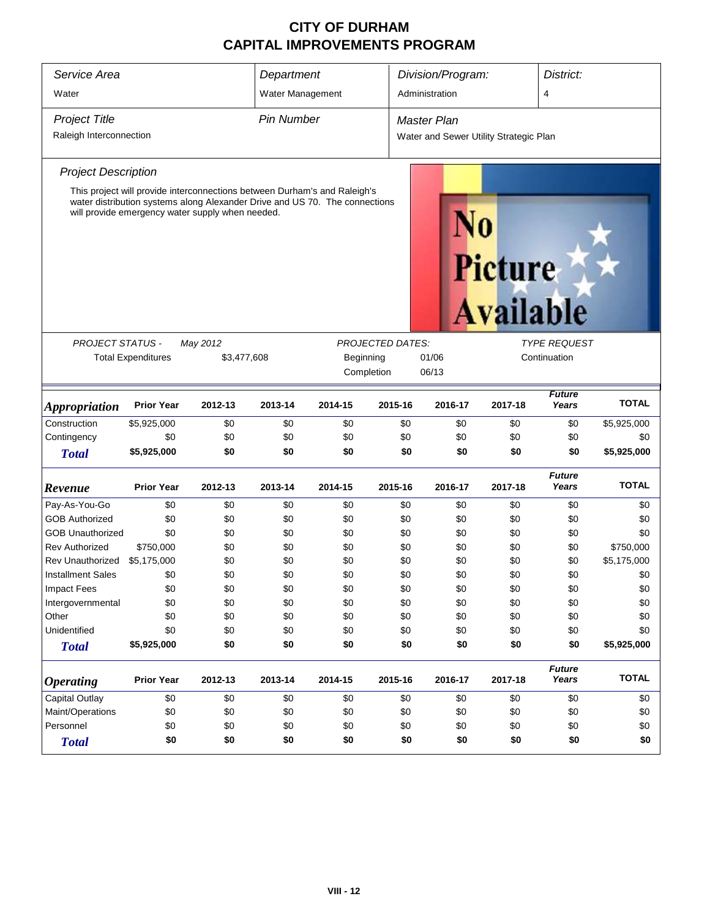| Service Area<br>Water       |                           |                                                                                                                                                                                                              | Department<br>Water Management |            |                         | Division/Program:<br>Administration    |                                    | District:<br>$\overline{4}$ |              |  |
|-----------------------------|---------------------------|--------------------------------------------------------------------------------------------------------------------------------------------------------------------------------------------------------------|--------------------------------|------------|-------------------------|----------------------------------------|------------------------------------|-----------------------------|--------------|--|
|                             |                           |                                                                                                                                                                                                              |                                |            |                         |                                        |                                    |                             |              |  |
| <b>Project Title</b>        |                           |                                                                                                                                                                                                              | <b>Pin Number</b>              |            |                         | <b>Master Plan</b>                     |                                    |                             |              |  |
| Raleigh Interconnection     |                           |                                                                                                                                                                                                              |                                |            |                         | Water and Sewer Utility Strategic Plan |                                    |                             |              |  |
| <b>Project Description</b>  |                           |                                                                                                                                                                                                              |                                |            |                         |                                        |                                    |                             |              |  |
|                             |                           | This project will provide interconnections between Durham's and Raleigh's<br>water distribution systems along Alexander Drive and US 70. The connections<br>will provide emergency water supply when needed. |                                |            |                         |                                        | <b>Picture</b><br><b>Available</b> |                             |              |  |
|                             |                           |                                                                                                                                                                                                              |                                |            |                         |                                        |                                    |                             |              |  |
| PROJECT STATUS -            |                           | May 2012                                                                                                                                                                                                     |                                |            | <b>PROJECTED DATES:</b> | <b>TYPE REQUEST</b>                    |                                    |                             |              |  |
|                             | <b>Total Expenditures</b> | \$3,477,608                                                                                                                                                                                                  |                                | Beginning  |                         | 01/06<br>06/13                         |                                    | Continuation                |              |  |
|                             |                           |                                                                                                                                                                                                              |                                | Completion |                         |                                        |                                    |                             |              |  |
| <i><b>Appropriation</b></i> | <b>Prior Year</b>         | 2012-13                                                                                                                                                                                                      | 2013-14                        | 2014-15    | 2015-16                 | 2016-17                                | 2017-18                            | <b>Future</b><br>Years      | <b>TOTAL</b> |  |
| Construction                | \$5,925,000               | \$0                                                                                                                                                                                                          | \$0                            | \$0        | \$0                     | \$0                                    | \$0                                | \$0                         | \$5,925,000  |  |
| Contingency                 | \$0                       | \$0                                                                                                                                                                                                          | \$0                            | \$0        | \$0                     | \$0                                    | \$0                                | \$0                         | \$0          |  |
| <b>Total</b>                | \$5,925,000               | \$0                                                                                                                                                                                                          | \$0                            | \$0        | \$0                     | \$0                                    | \$0                                | \$0                         | \$5,925,000  |  |
| Revenue                     | <b>Prior Year</b>         | 2012-13                                                                                                                                                                                                      | 2013-14                        | 2014-15    | 2015-16                 | 2016-17                                | 2017-18                            | <b>Future</b><br>Years      | <b>TOTAL</b> |  |
| Pay-As-You-Go               | \$0                       | \$0                                                                                                                                                                                                          | \$0                            | \$0        | \$0                     | \$0                                    | \$0                                | \$0                         | \$0          |  |
| <b>GOB Authorized</b>       | \$0                       | \$0                                                                                                                                                                                                          | \$0                            | \$0        | \$0                     | \$0                                    | \$0                                | \$0                         | \$0          |  |
| <b>GOB Unauthorized</b>     | \$0                       | \$0                                                                                                                                                                                                          | \$0                            | \$0        | \$0                     | \$0                                    | \$0                                | \$0                         | \$0          |  |
| <b>Rev Authorized</b>       | \$750,000                 | \$0                                                                                                                                                                                                          | \$0                            | \$0        | \$0                     | \$0                                    | \$0                                | \$0                         | \$750,000    |  |
| Rev Unauthorized            | \$5,175,000               | \$0                                                                                                                                                                                                          | \$0                            | \$0        | \$0                     | \$0                                    | \$0                                | \$0                         | \$5,175,000  |  |
| <b>Installment Sales</b>    | \$0                       | \$0                                                                                                                                                                                                          | \$0                            | \$0        | \$0                     | \$0                                    | \$0                                | \$0                         | \$0          |  |
| <b>Impact Fees</b>          | \$0                       | \$0                                                                                                                                                                                                          | \$0                            | \$0        | \$0                     | \$0                                    | \$0                                | \$0                         | \$0          |  |
| Intergovernmental           | \$0                       | \$0                                                                                                                                                                                                          | \$0                            | \$0        | \$0                     | \$0                                    | \$0                                | \$0                         | \$0          |  |
| Other                       | \$0                       | \$0                                                                                                                                                                                                          | \$0                            | \$0        | \$0                     | \$0                                    | \$0                                | \$0                         | \$0          |  |
| Unidentified                | \$0                       | \$0                                                                                                                                                                                                          | \$0                            | \$0        | \$0                     | \$0                                    | \$0                                | \$0                         | \$0          |  |
| <b>Total</b>                | \$5,925,000               | \$0                                                                                                                                                                                                          | \$0                            | \$0        | \$0                     | \$0                                    | \$0                                | \$0                         | \$5,925,000  |  |
| <b>Operating</b>            | <b>Prior Year</b>         | 2012-13                                                                                                                                                                                                      | 2013-14                        | 2014-15    | 2015-16                 | 2016-17                                | 2017-18                            | <b>Future</b><br>Years      | <b>TOTAL</b> |  |
| Capital Outlay              | \$0                       | \$0<br>\$0<br>\$0<br>\$0<br>\$0<br>\$0                                                                                                                                                                       |                                |            |                         |                                        |                                    | \$0                         | \$0          |  |
| Maint/Operations            | \$0                       | \$0                                                                                                                                                                                                          | \$0                            | \$0        | \$0                     | \$0                                    | \$0                                | \$0                         | \$0          |  |
| Personnel                   | \$0                       | \$0                                                                                                                                                                                                          | \$0                            | \$0        | \$0                     | \$0                                    | \$0                                | \$0                         | \$0          |  |
| <b>Total</b>                | \$0                       | \$0<br>\$0<br>\$0<br>\$0<br>\$0<br>\$0<br>\$0<br>\$0                                                                                                                                                         |                                |            |                         |                                        |                                    |                             |              |  |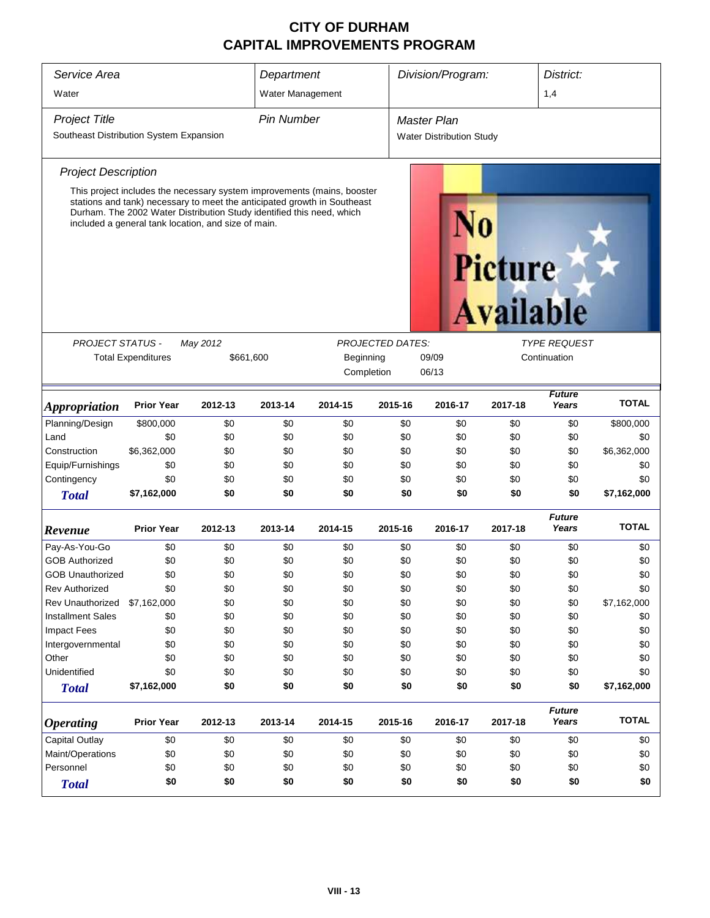| Service Area<br>Water                                           |                                                                                                                                                                                                                                                                                     |                                                            | Department<br>Water Management |                                                                    |         | Division/Program:                                     |                                    | District:<br>1,4       |              |  |  |
|-----------------------------------------------------------------|-------------------------------------------------------------------------------------------------------------------------------------------------------------------------------------------------------------------------------------------------------------------------------------|------------------------------------------------------------|--------------------------------|--------------------------------------------------------------------|---------|-------------------------------------------------------|------------------------------------|------------------------|--------------|--|--|
| <b>Project Title</b><br>Southeast Distribution System Expansion |                                                                                                                                                                                                                                                                                     |                                                            | <b>Pin Number</b>              |                                                                    |         | <b>Master Plan</b><br><b>Water Distribution Study</b> |                                    |                        |              |  |  |
|                                                                 |                                                                                                                                                                                                                                                                                     |                                                            |                                |                                                                    |         |                                                       |                                    |                        |              |  |  |
| <b>Project Description</b>                                      |                                                                                                                                                                                                                                                                                     |                                                            |                                |                                                                    |         |                                                       |                                    |                        |              |  |  |
|                                                                 | This project includes the necessary system improvements (mains, booster<br>stations and tank) necessary to meet the anticipated growth in Southeast<br>Durham. The 2002 Water Distribution Study identified this need, which<br>included a general tank location, and size of main. |                                                            |                                |                                                                    |         |                                                       | <b>Picture</b><br><b>Available</b> |                        |              |  |  |
| <b>PROJECT STATUS -</b>                                         |                                                                                                                                                                                                                                                                                     | May 2012<br><b>PROJECTED DATES:</b><br><b>TYPE REQUEST</b> |                                |                                                                    |         |                                                       |                                    |                        |              |  |  |
|                                                                 | <b>Total Expenditures</b>                                                                                                                                                                                                                                                           | \$661,600                                                  |                                | Beginning                                                          |         | 09/09<br>Continuation                                 |                                    |                        |              |  |  |
|                                                                 |                                                                                                                                                                                                                                                                                     |                                                            | Completion<br>06/13            |                                                                    |         |                                                       |                                    |                        |              |  |  |
| <b>Appropriation</b>                                            | <b>Prior Year</b>                                                                                                                                                                                                                                                                   | 2012-13                                                    | 2013-14                        | <b>Future</b><br>2015-16<br>Years<br>2014-15<br>2016-17<br>2017-18 |         |                                                       |                                    |                        | <b>TOTAL</b> |  |  |
| Planning/Design                                                 | \$800,000                                                                                                                                                                                                                                                                           | \$0                                                        | \$0                            | \$0                                                                | \$0     | \$0                                                   | \$0                                | \$0                    | \$800,000    |  |  |
| Land                                                            | \$0                                                                                                                                                                                                                                                                                 | \$0                                                        | \$0                            | \$0                                                                | \$0     | \$0                                                   | \$0                                | \$0                    | \$0          |  |  |
| Construction                                                    | \$6,362,000                                                                                                                                                                                                                                                                         | \$0                                                        | \$0                            | \$0                                                                | \$0     | \$0                                                   | \$0                                | \$0                    | \$6,362,000  |  |  |
| Equip/Furnishings                                               | \$0                                                                                                                                                                                                                                                                                 | \$0                                                        | \$0                            | \$0                                                                | \$0     | \$0                                                   | \$0                                | \$0                    | \$0          |  |  |
| Contingency                                                     | \$0                                                                                                                                                                                                                                                                                 | \$0                                                        | \$0                            | \$0                                                                | \$0     | \$0                                                   | \$0                                | \$0                    | \$0          |  |  |
| <b>Total</b>                                                    | \$7,162,000                                                                                                                                                                                                                                                                         | \$0                                                        | \$0                            | \$0                                                                | \$0     | \$0                                                   | \$0                                | \$0                    | \$7,162,000  |  |  |
| Revenue                                                         | <b>Prior Year</b>                                                                                                                                                                                                                                                                   | 2012-13                                                    | 2013-14                        | 2014-15                                                            | 2015-16 | 2016-17                                               | 2017-18                            | <b>Future</b><br>Years | <b>TOTAL</b> |  |  |
| Pay-As-You-Go                                                   | \$0                                                                                                                                                                                                                                                                                 | \$0                                                        | \$0                            | \$0                                                                | \$0     | \$0                                                   | \$0                                | \$0                    | \$0          |  |  |
| <b>GOB Authorized</b>                                           | \$0                                                                                                                                                                                                                                                                                 | \$0                                                        | \$0                            | \$0                                                                | \$0     | \$0                                                   | \$0                                | \$0                    | \$0          |  |  |
| <b>GOB Unauthorized</b>                                         | \$0                                                                                                                                                                                                                                                                                 | \$0                                                        | \$0                            | \$0                                                                | \$0     | \$0                                                   | \$0                                | \$0                    | \$0          |  |  |
| <b>Rev Authorized</b>                                           | \$0                                                                                                                                                                                                                                                                                 | \$0                                                        | \$0                            | \$0                                                                | \$0     | \$0                                                   | \$0                                | \$0                    | \$0          |  |  |
| <b>Rev Unauthorized</b>                                         | \$7,162,000                                                                                                                                                                                                                                                                         | \$0                                                        | \$0                            | \$0                                                                | \$0     | \$0                                                   | \$0                                | \$0                    | \$7,162,000  |  |  |
| <b>Installment Sales</b>                                        | \$0                                                                                                                                                                                                                                                                                 | \$0                                                        | \$0                            | \$0                                                                | \$0     | \$0                                                   | \$0                                | \$0                    | \$0          |  |  |
| Impact Fees                                                     | \$0                                                                                                                                                                                                                                                                                 | \$0                                                        | \$0                            | \$0                                                                | \$0     | \$0                                                   | \$0                                | \$0                    | \$0          |  |  |
| Intergovernmental                                               | \$0                                                                                                                                                                                                                                                                                 | \$0                                                        | \$0                            | \$0                                                                | \$0     | \$0                                                   | \$0                                | \$0                    | \$0          |  |  |
| Other                                                           | \$0                                                                                                                                                                                                                                                                                 | \$0                                                        | \$0                            | \$0                                                                | \$0     | \$0                                                   | \$0                                | \$0                    | \$0          |  |  |
| Unidentified                                                    | \$0                                                                                                                                                                                                                                                                                 | \$0                                                        | \$0                            | \$0                                                                | \$0     | \$0                                                   | \$0                                | \$0                    | \$0          |  |  |
| <b>Total</b>                                                    | \$7,162,000                                                                                                                                                                                                                                                                         | \$0                                                        | \$0                            | \$0                                                                | \$0     | \$0                                                   | \$0                                | \$0                    | \$7,162,000  |  |  |
| <b>Operating</b>                                                | <b>Prior Year</b>                                                                                                                                                                                                                                                                   | 2012-13                                                    | 2013-14                        | 2014-15                                                            | 2015-16 | 2016-17                                               | 2017-18                            | <b>Future</b><br>Years | <b>TOTAL</b> |  |  |
| <b>Capital Outlay</b>                                           | \$0                                                                                                                                                                                                                                                                                 | \$0                                                        | \$0                            | \$0                                                                | \$0     | \$0                                                   | \$0                                | \$0                    | \$0          |  |  |
| Maint/Operations                                                | \$0                                                                                                                                                                                                                                                                                 | \$0                                                        | \$0                            | \$0                                                                | \$0     | \$0                                                   | \$0                                | \$0                    | \$0          |  |  |
| Personnel                                                       | \$0<br>\$0<br>\$0<br>\$0<br>\$0<br>\$0                                                                                                                                                                                                                                              |                                                            |                                |                                                                    |         |                                                       | \$0                                | \$0                    | \$0          |  |  |
| <b>Total</b>                                                    | \$0<br>\$0<br>\$0<br>\$0<br>\$0<br>\$0<br>\$0<br>\$0                                                                                                                                                                                                                                |                                                            |                                |                                                                    |         |                                                       |                                    |                        |              |  |  |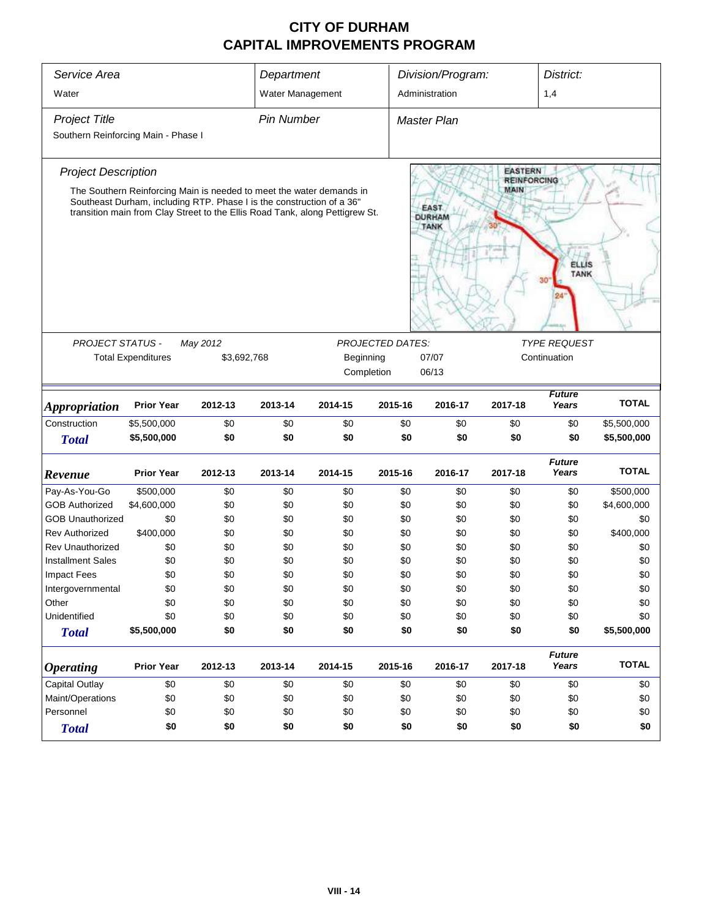| Service Area                         |                           |                                                                                                                                                                                                                               | Department        |                                       |                         | Division/Program:<br>District: |                                      |                        |              |
|--------------------------------------|---------------------------|-------------------------------------------------------------------------------------------------------------------------------------------------------------------------------------------------------------------------------|-------------------|---------------------------------------|-------------------------|--------------------------------|--------------------------------------|------------------------|--------------|
| Water                                |                           |                                                                                                                                                                                                                               | Water Management  |                                       |                         | Administration                 |                                      | 1,4                    |              |
| <b>Project Title</b>                 |                           |                                                                                                                                                                                                                               | <b>Pin Number</b> |                                       |                         | <b>Master Plan</b>             |                                      |                        |              |
| Southern Reinforcing Main - Phase I  |                           |                                                                                                                                                                                                                               |                   |                                       |                         |                                |                                      |                        |              |
| <b>Project Description</b>           |                           |                                                                                                                                                                                                                               |                   |                                       |                         |                                | <b>EASTERN</b><br><b>REINFORCING</b> |                        |              |
|                                      |                           | The Southern Reinforcing Main is needed to meet the water demands in<br>Southeast Durham, including RTP. Phase I is the construction of a 36"<br>transition main from Clay Street to the Ellis Road Tank, along Pettigrew St. |                   | EAST.<br><b>DURHAM</b><br><b>TANK</b> | MAIN                    | <b>ELLIS</b><br><b>TANK</b>    |                                      |                        |              |
| PROJECT STATUS -                     |                           | May 2012                                                                                                                                                                                                                      |                   |                                       | <b>PROJECTED DATES:</b> |                                |                                      | <b>TYPE REQUEST</b>    |              |
|                                      | <b>Total Expenditures</b> | \$3,692,768                                                                                                                                                                                                                   |                   | Beginning                             |                         | 07/07                          |                                      | Continuation           |              |
|                                      |                           |                                                                                                                                                                                                                               |                   |                                       | Completion              | 06/13                          |                                      |                        |              |
|                                      | <b>Prior Year</b>         | 2012-13                                                                                                                                                                                                                       | 2013-14           | 2014-15                               | 2015-16                 | 2016-17                        | 2017-18                              | <b>Future</b><br>Years | <b>TOTAL</b> |
| <b>Appropriation</b><br>Construction | \$5,500,000               | \$0                                                                                                                                                                                                                           | \$0               | \$0                                   | \$0                     | \$0                            | \$0                                  | \$0                    | \$5,500,000  |
| <b>Total</b>                         | \$5,500,000               | \$0                                                                                                                                                                                                                           | \$0               | \$0                                   | \$0                     | \$0                            | \$0                                  | \$0                    | \$5,500,000  |
| Revenue                              | <b>Prior Year</b>         | 2012-13                                                                                                                                                                                                                       | 2013-14           | 2014-15                               | 2015-16                 | 2016-17                        | 2017-18                              | <b>Future</b><br>Years | <b>TOTAL</b> |
| Pay-As-You-Go                        | \$500,000                 | \$0                                                                                                                                                                                                                           | \$0               | \$0                                   | \$0                     | \$0                            | \$0                                  | \$0                    | \$500,000    |
| <b>GOB Authorized</b>                | \$4,600,000               | \$0                                                                                                                                                                                                                           | \$0               | \$0                                   | \$0                     | \$0                            | \$0                                  | \$0                    | \$4,600,000  |
| <b>GOB Unauthorized</b>              | \$0                       | \$0                                                                                                                                                                                                                           | \$0               | \$0                                   | \$0                     | \$0                            | \$0                                  | \$0                    | \$0          |
| <b>Rev Authorized</b>                | \$400,000                 | \$0                                                                                                                                                                                                                           | \$0               | \$0                                   | \$0                     | \$0                            | \$0                                  | \$0                    | \$400,000    |
| <b>Rev Unauthorized</b>              | \$0                       | \$0                                                                                                                                                                                                                           | \$0               | \$0                                   | \$0                     | \$0                            | \$0                                  | \$0                    | \$0          |
| <b>Installment Sales</b>             | \$0                       | \$0                                                                                                                                                                                                                           | \$0               | \$0                                   | \$0                     | \$0                            | \$0                                  | \$0                    | \$0          |
| <b>Impact Fees</b>                   | \$0                       | \$0                                                                                                                                                                                                                           | \$0               | \$0                                   | \$0                     | \$0                            | \$0                                  | \$0                    | \$0          |
| Intergovernmental                    | \$0                       | \$0                                                                                                                                                                                                                           | \$0               | \$0                                   | \$0                     | \$0                            | \$0                                  | \$0                    | \$0          |
| Other                                | \$0                       | \$0                                                                                                                                                                                                                           | \$0               | \$0                                   | \$0                     | \$0                            | \$0                                  | \$0                    | \$0          |
| Unidentified                         | \$0                       | \$0                                                                                                                                                                                                                           | \$0               | \$0                                   | \$0                     | \$0                            | \$0                                  | \$0                    | \$0          |
| <b>Total</b>                         | \$5,500,000               | \$0                                                                                                                                                                                                                           | \$0               | \$0                                   | \$0                     | \$0                            | \$0                                  | \$0                    | \$5,500,000  |
| <b>Operating</b>                     | <b>Prior Year</b>         | 2012-13                                                                                                                                                                                                                       | 2013-14           | 2014-15                               | 2015-16                 | 2016-17                        | 2017-18                              | <b>Future</b><br>Years | <b>TOTAL</b> |
| <b>Capital Outlay</b>                | \$0                       | \$0                                                                                                                                                                                                                           | \$0               | \$0                                   | \$0                     | \$0                            | \$0                                  | \$0                    | \$0          |
| Maint/Operations                     | \$0                       | \$0                                                                                                                                                                                                                           | \$0               | \$0                                   | \$0                     | \$0                            | \$0                                  | \$0                    | \$0          |
| Personnel                            | \$0                       | \$0                                                                                                                                                                                                                           | \$0               | \$0                                   | \$0                     | \$0                            | \$0                                  | \$0                    | \$0          |
| <b>Total</b>                         | \$0                       | \$0                                                                                                                                                                                                                           | \$0               | \$0                                   | \$0                     | \$0                            | \$0                                  | \$0                    | \$0          |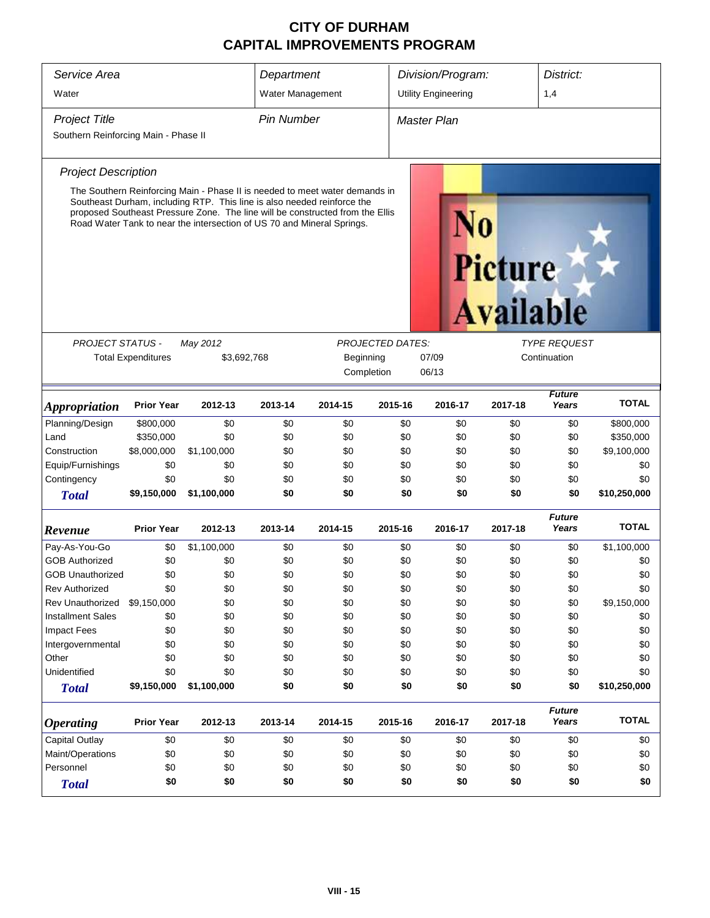| Service Area                         |                           |                                                                                                                                                                                                                                    | Department                                                     |            | District:<br>Division/Program: |                            |                                    |                        |              |  |  |
|--------------------------------------|---------------------------|------------------------------------------------------------------------------------------------------------------------------------------------------------------------------------------------------------------------------------|----------------------------------------------------------------|------------|--------------------------------|----------------------------|------------------------------------|------------------------|--------------|--|--|
| Water                                |                           |                                                                                                                                                                                                                                    | Water Management                                               |            |                                | <b>Utility Engineering</b> |                                    | 1,4                    |              |  |  |
| <b>Project Title</b>                 |                           |                                                                                                                                                                                                                                    | <b>Pin Number</b>                                              |            |                                | <b>Master Plan</b>         |                                    |                        |              |  |  |
| Southern Reinforcing Main - Phase II |                           |                                                                                                                                                                                                                                    |                                                                |            |                                |                            |                                    |                        |              |  |  |
| <b>Project Description</b>           |                           |                                                                                                                                                                                                                                    |                                                                |            |                                |                            |                                    |                        |              |  |  |
|                                      |                           | The Southern Reinforcing Main - Phase II is needed to meet water demands in                                                                                                                                                        |                                                                |            |                                |                            |                                    |                        |              |  |  |
|                                      |                           | Southeast Durham, including RTP. This line is also needed reinforce the<br>proposed Southeast Pressure Zone. The line will be constructed from the Ellis<br>Road Water Tank to near the intersection of US 70 and Mineral Springs. |                                                                |            |                                |                            | <b>Picture</b><br><b>Available</b> |                        |              |  |  |
|                                      |                           |                                                                                                                                                                                                                                    |                                                                |            |                                |                            |                                    |                        |              |  |  |
| <b>PROJECT STATUS -</b>              |                           | May 2012                                                                                                                                                                                                                           | <b>PROJECTED DATES:</b><br><b>TYPE REQUEST</b><br>Continuation |            |                                |                            |                                    |                        |              |  |  |
|                                      | <b>Total Expenditures</b> |                                                                                                                                                                                                                                    | 07/09<br>\$3,692,768<br>Beginning                              |            |                                |                            |                                    |                        |              |  |  |
|                                      |                           |                                                                                                                                                                                                                                    |                                                                | Completion |                                | 06/13                      |                                    |                        |              |  |  |
| <b>Appropriation</b>                 | <b>Prior Year</b>         | 2012-13                                                                                                                                                                                                                            | 2013-14                                                        | 2014-15    | 2015-16                        | 2016-17                    | 2017-18                            | <b>Future</b><br>Years | <b>TOTAL</b> |  |  |
| Planning/Design                      | \$800,000                 | \$0                                                                                                                                                                                                                                | \$0                                                            | \$0        | \$0                            | \$0                        | \$0                                | \$0                    | \$800,000    |  |  |
| Land                                 | \$350,000                 | \$0                                                                                                                                                                                                                                | \$0                                                            | \$0        | \$0                            | \$0                        | \$0                                | \$0                    | \$350,000    |  |  |
| Construction                         | \$8,000,000               | \$1,100,000                                                                                                                                                                                                                        | \$0                                                            | \$0        | \$0                            | \$0                        | \$0                                | \$0                    | \$9,100,000  |  |  |
| Equip/Furnishings                    | \$0                       | \$0                                                                                                                                                                                                                                | \$0                                                            | \$0        | \$0                            | \$0                        | \$0                                | \$0                    | \$0          |  |  |
| Contingency                          | \$0                       | \$0                                                                                                                                                                                                                                | \$0                                                            | \$0        | \$0                            | \$0                        | \$0                                | \$0                    | \$0          |  |  |
| <b>Total</b>                         | \$9,150,000               | \$1,100,000                                                                                                                                                                                                                        | \$0                                                            | \$0        | \$0                            | \$0                        | \$0                                | \$0                    | \$10,250,000 |  |  |
| Revenue                              | <b>Prior Year</b>         | 2012-13                                                                                                                                                                                                                            | 2013-14                                                        | 2014-15    | 2015-16                        | 2016-17                    | 2017-18                            | <b>Future</b><br>Years | <b>TOTAL</b> |  |  |
| Pay-As-You-Go                        | \$0                       | \$1,100,000                                                                                                                                                                                                                        | \$0                                                            | \$0        | \$0                            | \$0                        | \$0                                | \$0                    | \$1,100,000  |  |  |
| <b>GOB Authorized</b>                | \$0                       | \$0                                                                                                                                                                                                                                | \$0                                                            | \$0        | \$0                            | \$0                        | \$0                                | \$0                    | \$0          |  |  |
| <b>GOB Unauthorized</b>              | \$0                       | \$0                                                                                                                                                                                                                                | \$0                                                            | \$0        | \$0                            | \$0                        | \$0                                | \$0                    | \$0          |  |  |
| <b>Rev Authorized</b>                | \$0                       | \$0                                                                                                                                                                                                                                | \$0                                                            | \$0        | \$0                            | \$0                        | \$0                                | \$0                    | \$0          |  |  |
| Rev Unauthorized                     | \$9,150,000               | \$0                                                                                                                                                                                                                                | \$0                                                            | \$0        | \$0                            | \$0                        | \$0                                | \$0                    | \$9,150,000  |  |  |
| <b>Installment Sales</b>             | \$0                       | \$0                                                                                                                                                                                                                                | \$0                                                            | \$0        | \$0                            | \$0                        | \$0                                | \$0                    | \$0          |  |  |
| <b>Impact Fees</b>                   | \$0                       | \$0                                                                                                                                                                                                                                | \$0                                                            | \$0        | \$0                            | \$0                        | \$0                                | \$0                    | \$0          |  |  |
| Intergovernmental                    | \$0                       | \$0                                                                                                                                                                                                                                | \$0                                                            | \$0        | \$0                            | \$0                        | \$0                                | \$0                    | \$0          |  |  |
| Other                                | \$0                       | \$0                                                                                                                                                                                                                                | \$0                                                            | \$0        | \$0                            | \$0                        | \$0                                | \$0                    | \$0          |  |  |
| Unidentified                         | \$0                       | \$0                                                                                                                                                                                                                                | \$0                                                            | \$0        | \$0                            | \$0                        | \$0                                | \$0                    | \$0          |  |  |
| <b>Total</b>                         | \$9,150,000               | \$1,100,000                                                                                                                                                                                                                        | \$0                                                            | \$0        | \$0                            | \$0                        | \$0                                | \$0                    | \$10,250,000 |  |  |
| <b>Operating</b>                     | <b>Prior Year</b>         | 2012-13                                                                                                                                                                                                                            | 2013-14                                                        | 2014-15    | 2015-16                        | 2016-17                    | 2017-18                            | <b>Future</b><br>Years | <b>TOTAL</b> |  |  |
| Capital Outlay                       | \$0                       | \$0                                                                                                                                                                                                                                | \$0                                                            | \$0        | \$0                            | \$0                        | \$0                                | \$0                    | \$0          |  |  |
| Maint/Operations                     | \$0                       | \$0                                                                                                                                                                                                                                | \$0                                                            | \$0        | \$0                            | \$0                        | \$0                                | \$0                    | \$0          |  |  |
| Personnel                            | \$0                       | \$0                                                                                                                                                                                                                                | \$0                                                            | \$0        | \$0                            | \$0                        | \$0                                | \$0                    | \$0          |  |  |
| <b>Total</b>                         | \$0                       | \$0<br>\$0<br>\$0<br>\$0<br>\$0<br>\$0<br>\$0<br>\$0                                                                                                                                                                               |                                                                |            |                                |                            |                                    |                        |              |  |  |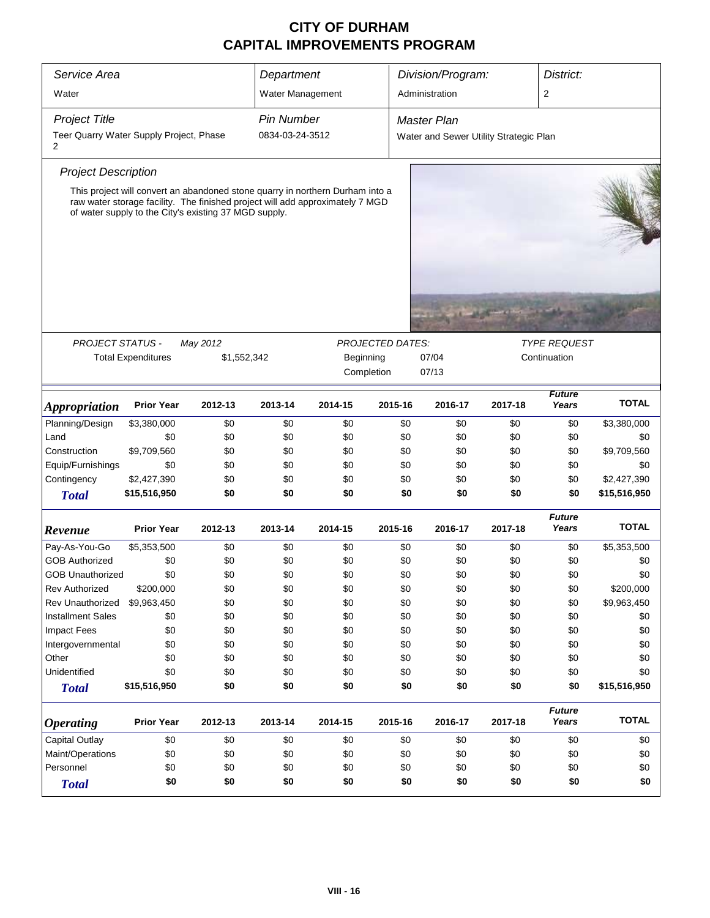| Service Area                                 |                                                                                                                                                                                                                         |             | Department        |           |                         | Division/Program:<br>District:         |              |                        |              |  |
|----------------------------------------------|-------------------------------------------------------------------------------------------------------------------------------------------------------------------------------------------------------------------------|-------------|-------------------|-----------|-------------------------|----------------------------------------|--------------|------------------------|--------------|--|
| Water                                        |                                                                                                                                                                                                                         |             | Water Management  |           |                         | Administration                         |              | 2                      |              |  |
| <b>Project Title</b>                         |                                                                                                                                                                                                                         |             | <b>Pin Number</b> |           |                         | <b>Master Plan</b>                     |              |                        |              |  |
| Teer Quarry Water Supply Project, Phase<br>2 |                                                                                                                                                                                                                         |             | 0834-03-24-3512   |           |                         | Water and Sewer Utility Strategic Plan |              |                        |              |  |
| <b>Project Description</b>                   |                                                                                                                                                                                                                         |             |                   |           |                         |                                        |              |                        |              |  |
|                                              |                                                                                                                                                                                                                         |             |                   |           |                         |                                        |              |                        |              |  |
|                                              | This project will convert an abandoned stone quarry in northern Durham into a<br>raw water storage facility. The finished project will add approximately 7 MGD<br>of water supply to the City's existing 37 MGD supply. |             |                   |           |                         |                                        |              |                        |              |  |
| <b>PROJECT STATUS -</b>                      |                                                                                                                                                                                                                         | May 2012    |                   |           | <b>PROJECTED DATES:</b> |                                        |              | <b>TYPE REQUEST</b>    |              |  |
|                                              | <b>Total Expenditures</b>                                                                                                                                                                                               | \$1,552,342 |                   | Beginning |                         | 07/04                                  | Continuation |                        |              |  |
|                                              |                                                                                                                                                                                                                         |             |                   |           | Completion              | 07/13                                  |              |                        |              |  |
|                                              |                                                                                                                                                                                                                         |             |                   |           |                         |                                        |              |                        |              |  |
| <i><b>Appropriation</b></i>                  | <b>Prior Year</b>                                                                                                                                                                                                       | 2012-13     | 2013-14           | 2014-15   | 2015-16                 | 2016-17                                | 2017-18      | <b>Future</b><br>Years | <b>TOTAL</b> |  |
| Planning/Design                              | \$3,380,000                                                                                                                                                                                                             | \$0         | \$0               | \$0       | \$0                     | \$0                                    | \$0          | \$0                    | \$3,380,000  |  |
| Land                                         | \$0                                                                                                                                                                                                                     | \$0         | \$0               | \$0       | \$0                     | \$0                                    | \$0          | \$0                    | \$0          |  |
| Construction                                 | \$9,709,560                                                                                                                                                                                                             | \$0         | \$0               | \$0       | \$0                     | \$0                                    | \$0          | \$0                    | \$9,709,560  |  |
| Equip/Furnishings                            | \$0                                                                                                                                                                                                                     | \$0         | \$0               | \$0       | \$0                     | \$0                                    | \$0          | \$0                    | \$0          |  |
| Contingency                                  | \$2,427,390                                                                                                                                                                                                             | \$0         | \$0               | \$0       | \$0                     | \$0                                    | \$0          | \$0                    | \$2,427,390  |  |
| <b>Total</b>                                 | \$15,516,950                                                                                                                                                                                                            | \$0         | \$0               | \$0       | \$0                     | \$0                                    | \$0          | \$0                    | \$15,516,950 |  |
| Revenue                                      | <b>Prior Year</b>                                                                                                                                                                                                       | 2012-13     | 2013-14           | 2014-15   | 2015-16                 | 2016-17                                | 2017-18      | <b>Future</b><br>Years | <b>TOTAL</b> |  |
| Pay-As-You-Go                                | \$5,353,500                                                                                                                                                                                                             | \$0         | \$0               | \$0       | \$0                     | \$0                                    | \$0          | \$0                    | \$5,353,500  |  |
| <b>GOB Authorized</b>                        | \$0                                                                                                                                                                                                                     | \$0         | \$0               | \$0       | \$0                     | \$0                                    | \$0          | \$0                    | \$0          |  |
| <b>GOB Unauthorized</b>                      | \$0                                                                                                                                                                                                                     | \$0         | \$0               | \$0       | \$0                     | \$0                                    | \$0          | \$0                    | \$0          |  |
| <b>Rev Authorized</b>                        | \$200,000                                                                                                                                                                                                               | \$0         | \$0               | \$0       | \$0                     | \$0                                    | \$0          | \$0                    | \$200,000    |  |
| Rev Unauthorized                             | \$9,963,450                                                                                                                                                                                                             | \$0         | \$0               | \$0       | \$0                     | \$0                                    | \$0          | \$0                    | \$9,963,450  |  |
| <b>Installment Sales</b>                     | \$0                                                                                                                                                                                                                     | \$0         | \$0               | \$0       | \$0                     | \$0                                    | \$0          | \$0                    | \$0          |  |
| <b>Impact Fees</b>                           | \$0                                                                                                                                                                                                                     | \$0         | \$0               | \$0       | \$0                     | \$0                                    | \$0          | \$0                    | \$0          |  |
| Intergovernmental                            | \$0                                                                                                                                                                                                                     | \$0         | \$0               | \$0       | \$0                     | \$0                                    | \$0          | \$0                    | \$0          |  |
| Other                                        | \$0                                                                                                                                                                                                                     | \$0         | \$0               | \$0       | \$0                     | \$0                                    | \$0          | \$0                    | \$0          |  |
| Unidentified                                 | \$0                                                                                                                                                                                                                     | \$0         | \$0               | \$0       | \$0                     | \$0                                    | \$0          | \$0                    | \$0          |  |
| <b>Total</b>                                 | \$15,516,950                                                                                                                                                                                                            | \$0         | \$0               | \$0       | \$0                     | \$0                                    | \$0          | \$0                    | \$15,516,950 |  |
| <b>Operating</b>                             | <b>Prior Year</b>                                                                                                                                                                                                       | 2012-13     | 2013-14           | 2014-15   | 2015-16                 | 2016-17                                | 2017-18      | <b>Future</b><br>Years | <b>TOTAL</b> |  |
| <b>Capital Outlay</b>                        | \$0                                                                                                                                                                                                                     | \$0         | \$0               | \$0       | \$0                     | \$0                                    | \$0          | \$0                    | \$0          |  |
| Maint/Operations                             | \$0                                                                                                                                                                                                                     | \$0         | \$0               | \$0       | \$0                     | \$0                                    | \$0          | \$0                    | \$0          |  |
| Personnel                                    | \$0                                                                                                                                                                                                                     | \$0         | \$0               | \$0       | \$0                     | \$0                                    | \$0          | \$0                    | \$0          |  |
| <b>Total</b>                                 | \$0                                                                                                                                                                                                                     | \$0         | \$0               | \$0       | \$0                     | \$0                                    | \$0          | \$0                    | \$0          |  |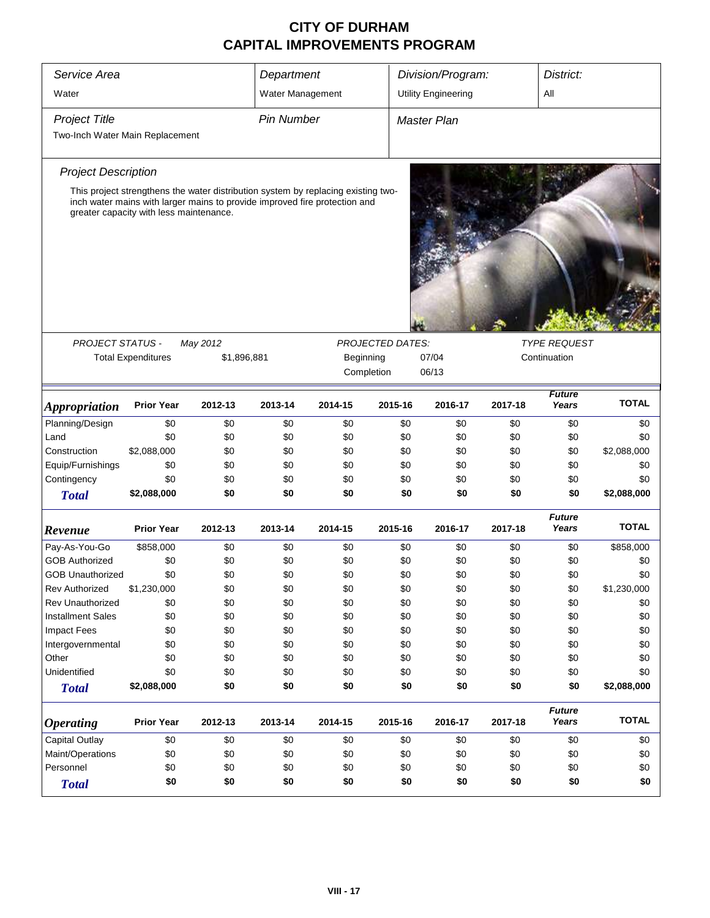| Service Area                    |                                                                                                                       |             | Department        |           | Division/Program:<br>District: |                            |         |                        |              |  |
|---------------------------------|-----------------------------------------------------------------------------------------------------------------------|-------------|-------------------|-----------|--------------------------------|----------------------------|---------|------------------------|--------------|--|
| Water                           |                                                                                                                       |             | Water Management  |           |                                | <b>Utility Engineering</b> |         | All                    |              |  |
| <b>Project Title</b>            |                                                                                                                       |             | <b>Pin Number</b> |           |                                | <b>Master Plan</b>         |         |                        |              |  |
|                                 |                                                                                                                       |             |                   |           |                                |                            |         |                        |              |  |
| Two-Inch Water Main Replacement |                                                                                                                       |             |                   |           |                                |                            |         |                        |              |  |
| <b>Project Description</b>      |                                                                                                                       |             |                   |           |                                |                            |         |                        |              |  |
|                                 | This project strengthens the water distribution system by replacing existing two-                                     |             |                   |           |                                |                            |         |                        |              |  |
|                                 | inch water mains with larger mains to provide improved fire protection and<br>greater capacity with less maintenance. |             |                   |           |                                |                            |         |                        |              |  |
|                                 |                                                                                                                       |             |                   |           |                                |                            |         |                        |              |  |
|                                 |                                                                                                                       |             |                   |           |                                |                            |         |                        |              |  |
|                                 |                                                                                                                       |             |                   |           |                                |                            |         |                        |              |  |
|                                 |                                                                                                                       |             |                   |           |                                |                            |         |                        |              |  |
|                                 |                                                                                                                       |             |                   |           |                                |                            |         |                        |              |  |
|                                 |                                                                                                                       |             |                   |           |                                |                            |         |                        |              |  |
| PROJECT STATUS -                |                                                                                                                       | May 2012    |                   |           | <b>PROJECTED DATES:</b>        |                            |         | <b>TYPE REQUEST</b>    |              |  |
|                                 | <b>Total Expenditures</b>                                                                                             | \$1,896,881 |                   | Beginning | Completion                     | 07/04<br>06/13             |         | Continuation           |              |  |
|                                 |                                                                                                                       |             |                   |           |                                |                            |         |                        |              |  |
| <i><b>Appropriation</b></i>     | <b>Prior Year</b>                                                                                                     | 2012-13     | 2013-14           | 2014-15   | 2015-16                        | 2016-17                    | 2017-18 | <b>Future</b><br>Years | <b>TOTAL</b> |  |
| Planning/Design                 | \$0                                                                                                                   | \$0         | \$0               | \$0       | \$0                            | \$0                        | \$0     | \$0                    | \$0          |  |
| Land                            | \$0                                                                                                                   | \$0         | \$0               | \$0       | \$0                            | \$0                        | \$0     | \$0                    | \$0          |  |
| Construction                    | \$2,088,000                                                                                                           | \$0         | \$0               | \$0       | \$0                            | \$0                        | \$0     | \$0                    | \$2,088,000  |  |
| Equip/Furnishings               | \$0                                                                                                                   | \$0         | \$0               | \$0       | \$0                            | \$0                        | \$0     | \$0                    | \$0          |  |
| Contingency                     | \$0                                                                                                                   | \$0         | \$0               | \$0       | \$0                            | \$0                        | \$0     | \$0                    | \$0          |  |
| <b>Total</b>                    | \$2,088,000                                                                                                           | \$0         | \$0               | \$0       | \$0                            | \$0                        | \$0     | \$0                    | \$2,088,000  |  |
| Revenue                         | <b>Prior Year</b>                                                                                                     | 2012-13     | 2013-14           | 2014-15   | 2015-16                        | 2016-17                    | 2017-18 | <b>Future</b><br>Years | <b>TOTAL</b> |  |
| Pay-As-You-Go                   | \$858,000                                                                                                             | \$0         | \$0               | \$0       | \$0                            | \$0                        | \$0     | \$0                    | \$858,000    |  |
| <b>GOB Authorized</b>           | \$0                                                                                                                   | \$0         | \$0               | \$0       | \$0                            | \$0                        | \$0     | \$0                    | \$0          |  |
| <b>GOB Unauthorized</b>         | \$0                                                                                                                   | \$0         | \$0               | \$0       | \$0                            | \$0                        | \$0     | \$0                    | \$0          |  |
| <b>Rev Authorized</b>           | \$1,230,000                                                                                                           | \$0         | \$0               | \$0       | \$0                            | \$0                        | \$0     | \$0                    | \$1,230,000  |  |
| Rev Unauthorized                | \$0                                                                                                                   | \$0         | \$0               | \$0       | \$0                            | \$0                        | \$0     | \$0                    | \$0          |  |
| <b>Installment Sales</b>        | \$0                                                                                                                   | \$0         | \$0               | \$0       | \$0                            | \$0                        | \$0     | \$0                    | \$0          |  |
| <b>Impact Fees</b>              | \$0                                                                                                                   | \$0         | \$0               | \$0       | \$0                            | \$0                        | \$0     | \$0                    | \$0          |  |
| Intergovernmental               | \$0                                                                                                                   | \$0         | \$0               | \$0       | \$0                            | \$0                        | \$0     | \$0                    | \$0          |  |
| Other                           | \$0                                                                                                                   | \$0         | \$0               | \$0       | \$0                            | \$0                        | \$0     | \$0                    | \$0          |  |
| Unidentified                    | \$0                                                                                                                   | \$0         | \$0               | \$0       | \$0                            | \$0                        | \$0     | \$0                    | \$0          |  |
| <b>Total</b>                    | \$2,088,000                                                                                                           | \$0         | \$0               | \$0       | \$0                            | \$0                        | \$0     | \$0                    | \$2,088,000  |  |
| <b>Operating</b>                | <b>Prior Year</b>                                                                                                     | 2012-13     | 2013-14           | 2014-15   | 2015-16                        | 2016-17                    | 2017-18 | <b>Future</b><br>Years | <b>TOTAL</b> |  |
| Capital Outlay                  | \$0                                                                                                                   | \$0         | \$0               | \$0       | \$0                            | \$0                        | \$0     | \$0                    | \$0          |  |
| Maint/Operations                | \$0                                                                                                                   | \$0         | \$0               | \$0       | \$0                            | \$0                        | \$0     | \$0                    | \$0          |  |
| Personnel                       | \$0                                                                                                                   | \$0         | \$0               | \$0       | \$0                            | \$0                        | \$0     | \$0                    | \$0          |  |
| <b>Total</b>                    | \$0                                                                                                                   | \$0         | \$0               | \$0       | \$0                            | \$0                        | \$0     | \$0                    | \$0          |  |
|                                 |                                                                                                                       |             |                   |           |                                |                            |         |                        |              |  |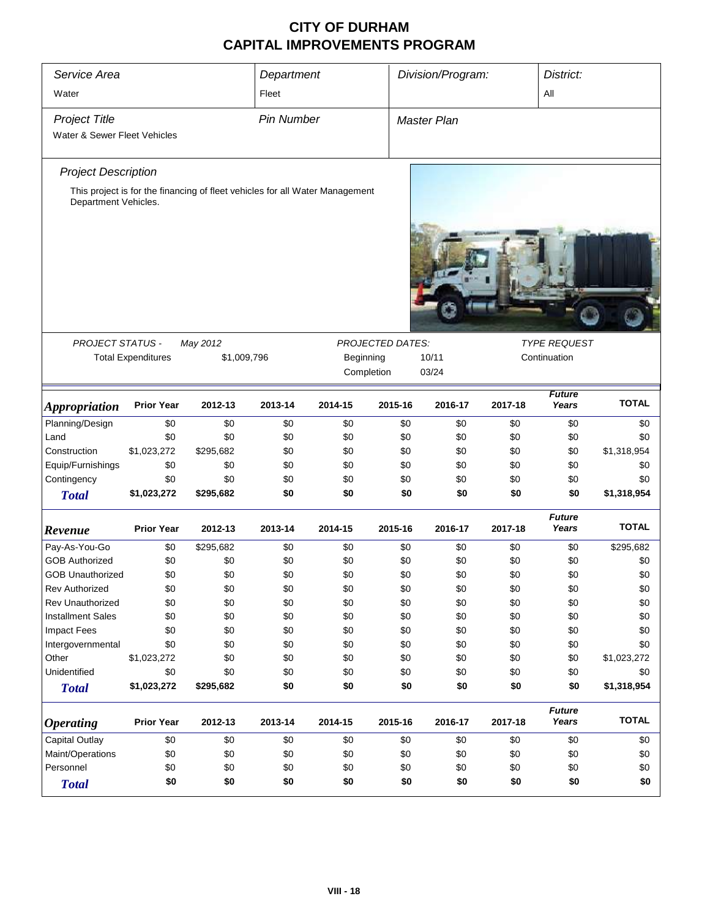| Service Area<br>Water        |                           |                                                                              | Department<br>Fleet |            |                         | Division/Program:<br>District:<br>All |         |                        |              |  |
|------------------------------|---------------------------|------------------------------------------------------------------------------|---------------------|------------|-------------------------|---------------------------------------|---------|------------------------|--------------|--|
| <b>Project Title</b>         |                           |                                                                              | <b>Pin Number</b>   |            |                         | Master Plan                           |         |                        |              |  |
| Water & Sewer Fleet Vehicles |                           |                                                                              |                     |            |                         |                                       |         |                        |              |  |
| <b>Project Description</b>   |                           |                                                                              |                     |            |                         |                                       |         |                        |              |  |
| Department Vehicles.         |                           | This project is for the financing of fleet vehicles for all Water Management |                     |            |                         |                                       |         |                        |              |  |
|                              |                           |                                                                              |                     |            |                         |                                       |         |                        |              |  |
| PROJECT STATUS -             |                           | May 2012                                                                     |                     |            | <b>PROJECTED DATES:</b> |                                       |         | <b>TYPE REQUEST</b>    |              |  |
|                              | <b>Total Expenditures</b> | \$1,009,796                                                                  |                     | Beginning  |                         | 10/11                                 |         | Continuation           |              |  |
|                              |                           |                                                                              |                     | Completion |                         | 03/24                                 |         |                        |              |  |
| <b>Appropriation</b>         | <b>Prior Year</b>         | 2012-13                                                                      | 2013-14             | 2014-15    | 2015-16                 | 2016-17                               | 2017-18 | <b>Future</b><br>Years | <b>TOTAL</b> |  |
| Planning/Design              | \$0                       | \$0                                                                          | \$0                 | \$0        | \$0                     | \$0                                   | \$0     | \$0                    | \$0          |  |
| Land                         | \$0                       | \$0                                                                          | \$0                 | \$0        | \$0                     | \$0                                   | \$0     | \$0                    | \$0          |  |
| Construction                 | \$1,023,272               | \$295,682                                                                    | \$0                 | \$0        | \$0                     | \$0                                   | \$0     | \$0                    | \$1,318,954  |  |
| Equip/Furnishings            | \$0                       | \$0                                                                          | \$0                 | \$0        | \$0                     | \$0                                   | \$0     | \$0                    | \$0          |  |
| Contingency                  | \$0                       | \$0                                                                          | \$0                 | \$0        | \$0                     | \$0                                   | \$0     | \$0                    | \$0          |  |
| <b>Total</b>                 | \$1,023,272               | \$295,682                                                                    | \$0                 | \$0        | \$0                     | \$0                                   | \$0     | \$0                    | \$1,318,954  |  |
| Revenue                      | <b>Prior Year</b>         | 2012-13                                                                      | 2013-14             | 2014-15    | 2015-16                 | 2016-17                               | 2017-18 | <b>Future</b><br>Years | <b>TOTAL</b> |  |
| Pay-As-You-Go                | \$0                       | \$295,682                                                                    | \$0                 | \$0        | \$0                     | \$0                                   | \$0     | \$0                    | \$295,682    |  |
| <b>GOB Authorized</b>        | \$0                       | \$0                                                                          | \$0                 | \$0        | \$0                     | \$0                                   | \$0     | \$0                    | \$0          |  |
| <b>GOB Unauthorized</b>      | \$0                       | \$0                                                                          | \$0                 | \$0        | \$0                     | \$0                                   | \$0     | \$0                    | \$0          |  |
| Rev Authorized               | \$0                       | \$0                                                                          | \$0                 | \$0        | \$0                     | \$0                                   | \$0     | \$0                    | \$0          |  |
| Rev Unauthorized             | \$0                       | \$0                                                                          | \$0                 | \$0        | \$0                     | \$0                                   | \$0     | \$0                    | \$0          |  |
| <b>Installment Sales</b>     | \$0                       | \$0                                                                          | \$0                 | \$0        | \$0                     | \$0                                   | \$0     | \$0                    | \$0          |  |
| <b>Impact Fees</b>           | \$0                       | \$0                                                                          | \$0                 | \$0        | \$0                     | \$0                                   | \$0     | \$0                    | \$0          |  |
| Intergovernmental            | \$0                       | \$0                                                                          | \$0                 | \$0        | \$0                     | \$0                                   | \$0     | \$0                    | \$0          |  |
| Other                        | \$1,023,272               | \$0                                                                          | \$0                 | \$0        | \$0                     | \$0                                   | \$0     | \$0                    | \$1,023,272  |  |
| Unidentified                 | \$0                       | \$0                                                                          | \$0                 | \$0        | \$0                     | \$0                                   | \$0     | \$0                    | \$0          |  |
| <b>Total</b>                 | \$1,023,272               | \$295,682                                                                    | \$0                 | \$0        | \$0                     | \$0                                   | \$0     | \$0                    | \$1,318,954  |  |
| <i><b>Operating</b></i>      | <b>Prior Year</b>         | 2012-13                                                                      | 2013-14             | 2014-15    | 2015-16                 | 2016-17                               | 2017-18 | <b>Future</b><br>Years | <b>TOTAL</b> |  |
| Capital Outlay               | \$0                       | \$0                                                                          | \$0                 | \$0        | \$0                     | \$0                                   | \$0     | \$0                    | \$0          |  |
| Maint/Operations             | \$0                       | \$0                                                                          | \$0                 | \$0        | \$0                     | \$0                                   | \$0     | \$0                    | \$0          |  |
| Personnel                    | \$0                       | \$0                                                                          | \$0                 | \$0        | \$0                     | \$0                                   | \$0     | \$0                    | \$0          |  |
| <b>Total</b>                 | \$0                       | \$0                                                                          | \$0                 | \$0        | \$0                     | \$0                                   | \$0     | \$0                    | \$0          |  |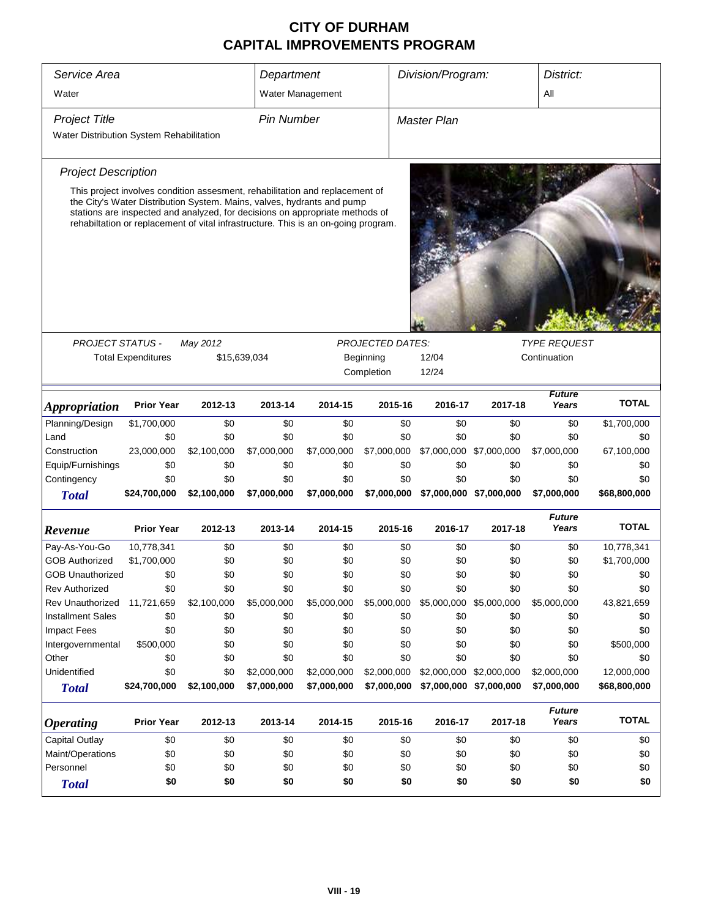| Service Area<br>Division/Program:<br>District:<br>Department<br>Water<br>All<br>Water Management<br><b>Pin Number</b><br><b>Project Title</b><br><b>Master Plan</b><br>Water Distribution System Rehabilitation<br><b>Project Description</b><br>This project involves condition assesment, rehabilitation and replacement of<br>the City's Water Distribution System. Mains, valves, hydrants and pump<br>stations are inspected and analyzed, for decisions on appropriate methods of<br>rehabiltation or replacement of vital infrastructure. This is an on-going program.<br><b>TYPE REQUEST</b><br><b>PROJECT STATUS -</b><br>May 2012<br><b>PROJECTED DATES:</b><br><b>Total Expenditures</b><br>\$15,639,034<br>Beginning<br>12/04<br>Continuation<br>12/24<br>Completion<br><b>Future</b><br><b>TOTAL</b><br><b>Prior Year</b><br>2013-14<br>2015-16<br>2017-18<br>Years<br>2012-13<br>2014-15<br>2016-17<br><i><b>Appropriation</b></i><br>Planning/Design<br>\$1,700,000<br>\$0<br>\$0<br>\$0<br>\$0<br>\$0<br>\$0<br>\$0<br>\$1,700,000<br>Land<br>\$0<br>\$0<br>\$0<br>\$0<br>\$0<br>\$0<br>\$0<br>\$0<br>\$0<br>67,100,000<br>Construction<br>23,000,000<br>\$2,100,000<br>\$7,000,000<br>\$7,000,000<br>\$7,000,000<br>\$7,000,000 \$7,000,000<br>\$7,000,000<br>Equip/Furnishings<br>\$0<br>\$0<br>\$0<br>\$0<br>\$0<br>\$0<br>\$0<br>\$0<br>\$0<br>Contingency<br>\$0<br>\$0<br>\$0<br>\$0<br>\$0<br>\$0<br>\$0<br>\$0<br>\$0<br>\$24,700,000<br>\$2,100,000<br>\$7,000,000<br>\$7,000,000<br>\$7,000,000<br>\$7,000,000 \$7,000,000<br>\$7,000,000<br>\$68,800,000<br><b>Total</b><br><b>Future</b><br><b>TOTAL</b><br><b>Prior Year</b><br>2013-14<br>2015-16<br>2017-18<br>Years<br>2012-13<br>2014-15<br>2016-17<br>Revenue<br>10,778,341<br>\$0<br>\$0<br>\$0<br>\$0<br>\$0<br>\$0<br>\$0<br>10,778,341<br>Pay-As-You-Go<br><b>GOB Authorized</b><br>\$1,700,000<br>\$0<br>\$0<br>\$0<br>\$0<br>\$0<br>\$0<br>\$0<br>\$1,700,000<br>\$0<br>\$0<br>\$0<br>\$0<br>\$0<br>\$0<br>\$0<br>\$0<br><b>GOB Unauthorized</b><br>\$0<br>\$0<br>\$0<br>\$0<br>\$0<br><b>Rev Authorized</b><br>\$0<br>\$0<br>\$0<br>\$0<br>\$0<br>\$5,000,000<br>Rev Unauthorized<br>11,721,659<br>\$2,100,000<br>\$5,000,000<br>\$5,000,000<br>\$5,000,000 \$5,000,000<br>\$5,000,000<br>43,821,659<br><b>Installment Sales</b><br>\$0<br>\$0<br>\$0<br>\$0<br>\$0<br>\$0<br>\$0<br>\$0<br>\$0<br><b>Impact Fees</b><br>\$0<br>\$0<br>\$0<br>\$0<br>\$0<br>\$0<br>\$0<br>\$0<br>\$0<br>\$0<br>\$0<br>\$0<br>\$0<br>\$0<br>\$0<br>\$0<br>\$500,000<br>Intergovernmental<br>\$500,000<br>Other<br>\$0<br>\$0<br>\$0<br>\$0<br>\$0<br>\$0<br>\$0<br>\$0<br>\$0<br>Unidentified<br>\$0<br>\$0<br>\$2,000,000<br>\$2,000,000<br>\$2,000,000<br>\$2,000,000 \$2,000,000<br>\$2,000,000<br>12,000,000<br>\$24,700,000<br>\$2,100,000<br>\$7,000,000<br>\$7,000,000<br>\$7,000,000<br>\$7,000,000 \$7,000,000<br>\$7,000,000<br>\$68,800,000<br><b>Total</b><br><b>Future</b><br><b>TOTAL</b><br><b>Prior Year</b><br>Years<br>2012-13<br>2013-14<br>2014-15<br>2015-16<br>2016-17<br>2017-18<br><b>Operating</b><br>Capital Outlay<br>\$0<br>\$0<br>\$0<br>\$0<br>\$0<br>\$0<br>\$0<br>\$0<br>\$0<br>Maint/Operations<br>\$0<br>\$0<br>\$0<br>\$0<br>\$0<br>\$0<br>\$0<br>\$0<br>\$0<br>Personnel<br>\$0<br>\$0<br>\$0<br>\$0<br>\$0<br>\$0<br>\$0<br>\$0<br>\$0<br>\$0<br>\$0<br>\$0<br>\$0<br>\$0<br>\$0<br>\$0<br>\$0<br>\$0<br><b>Total</b> |  |  |  |  |  |  |  |  |
|------------------------------------------------------------------------------------------------------------------------------------------------------------------------------------------------------------------------------------------------------------------------------------------------------------------------------------------------------------------------------------------------------------------------------------------------------------------------------------------------------------------------------------------------------------------------------------------------------------------------------------------------------------------------------------------------------------------------------------------------------------------------------------------------------------------------------------------------------------------------------------------------------------------------------------------------------------------------------------------------------------------------------------------------------------------------------------------------------------------------------------------------------------------------------------------------------------------------------------------------------------------------------------------------------------------------------------------------------------------------------------------------------------------------------------------------------------------------------------------------------------------------------------------------------------------------------------------------------------------------------------------------------------------------------------------------------------------------------------------------------------------------------------------------------------------------------------------------------------------------------------------------------------------------------------------------------------------------------------------------------------------------------------------------------------------------------------------------------------------------------------------------------------------------------------------------------------------------------------------------------------------------------------------------------------------------------------------------------------------------------------------------------------------------------------------------------------------------------------------------------------------------------------------------------------------------------------------------------------------------------------------------------------------------------------------------------------------------------------------------------------------------------------------------------------------------------------------------------------------------------------------------------------------------------------------------------------------------------------------------------------------------------------------------------------------------------------------------------------------------------------------------------------------------------------------------------------------------------------------------------------------------------------------------------------------------------------------------------------------------------------------------------------------------------------|--|--|--|--|--|--|--|--|
|                                                                                                                                                                                                                                                                                                                                                                                                                                                                                                                                                                                                                                                                                                                                                                                                                                                                                                                                                                                                                                                                                                                                                                                                                                                                                                                                                                                                                                                                                                                                                                                                                                                                                                                                                                                                                                                                                                                                                                                                                                                                                                                                                                                                                                                                                                                                                                                                                                                                                                                                                                                                                                                                                                                                                                                                                                                                                                                                                                                                                                                                                                                                                                                                                                                                                                                                                                                                                                    |  |  |  |  |  |  |  |  |
|                                                                                                                                                                                                                                                                                                                                                                                                                                                                                                                                                                                                                                                                                                                                                                                                                                                                                                                                                                                                                                                                                                                                                                                                                                                                                                                                                                                                                                                                                                                                                                                                                                                                                                                                                                                                                                                                                                                                                                                                                                                                                                                                                                                                                                                                                                                                                                                                                                                                                                                                                                                                                                                                                                                                                                                                                                                                                                                                                                                                                                                                                                                                                                                                                                                                                                                                                                                                                                    |  |  |  |  |  |  |  |  |
|                                                                                                                                                                                                                                                                                                                                                                                                                                                                                                                                                                                                                                                                                                                                                                                                                                                                                                                                                                                                                                                                                                                                                                                                                                                                                                                                                                                                                                                                                                                                                                                                                                                                                                                                                                                                                                                                                                                                                                                                                                                                                                                                                                                                                                                                                                                                                                                                                                                                                                                                                                                                                                                                                                                                                                                                                                                                                                                                                                                                                                                                                                                                                                                                                                                                                                                                                                                                                                    |  |  |  |  |  |  |  |  |
|                                                                                                                                                                                                                                                                                                                                                                                                                                                                                                                                                                                                                                                                                                                                                                                                                                                                                                                                                                                                                                                                                                                                                                                                                                                                                                                                                                                                                                                                                                                                                                                                                                                                                                                                                                                                                                                                                                                                                                                                                                                                                                                                                                                                                                                                                                                                                                                                                                                                                                                                                                                                                                                                                                                                                                                                                                                                                                                                                                                                                                                                                                                                                                                                                                                                                                                                                                                                                                    |  |  |  |  |  |  |  |  |
|                                                                                                                                                                                                                                                                                                                                                                                                                                                                                                                                                                                                                                                                                                                                                                                                                                                                                                                                                                                                                                                                                                                                                                                                                                                                                                                                                                                                                                                                                                                                                                                                                                                                                                                                                                                                                                                                                                                                                                                                                                                                                                                                                                                                                                                                                                                                                                                                                                                                                                                                                                                                                                                                                                                                                                                                                                                                                                                                                                                                                                                                                                                                                                                                                                                                                                                                                                                                                                    |  |  |  |  |  |  |  |  |
|                                                                                                                                                                                                                                                                                                                                                                                                                                                                                                                                                                                                                                                                                                                                                                                                                                                                                                                                                                                                                                                                                                                                                                                                                                                                                                                                                                                                                                                                                                                                                                                                                                                                                                                                                                                                                                                                                                                                                                                                                                                                                                                                                                                                                                                                                                                                                                                                                                                                                                                                                                                                                                                                                                                                                                                                                                                                                                                                                                                                                                                                                                                                                                                                                                                                                                                                                                                                                                    |  |  |  |  |  |  |  |  |
|                                                                                                                                                                                                                                                                                                                                                                                                                                                                                                                                                                                                                                                                                                                                                                                                                                                                                                                                                                                                                                                                                                                                                                                                                                                                                                                                                                                                                                                                                                                                                                                                                                                                                                                                                                                                                                                                                                                                                                                                                                                                                                                                                                                                                                                                                                                                                                                                                                                                                                                                                                                                                                                                                                                                                                                                                                                                                                                                                                                                                                                                                                                                                                                                                                                                                                                                                                                                                                    |  |  |  |  |  |  |  |  |
|                                                                                                                                                                                                                                                                                                                                                                                                                                                                                                                                                                                                                                                                                                                                                                                                                                                                                                                                                                                                                                                                                                                                                                                                                                                                                                                                                                                                                                                                                                                                                                                                                                                                                                                                                                                                                                                                                                                                                                                                                                                                                                                                                                                                                                                                                                                                                                                                                                                                                                                                                                                                                                                                                                                                                                                                                                                                                                                                                                                                                                                                                                                                                                                                                                                                                                                                                                                                                                    |  |  |  |  |  |  |  |  |
|                                                                                                                                                                                                                                                                                                                                                                                                                                                                                                                                                                                                                                                                                                                                                                                                                                                                                                                                                                                                                                                                                                                                                                                                                                                                                                                                                                                                                                                                                                                                                                                                                                                                                                                                                                                                                                                                                                                                                                                                                                                                                                                                                                                                                                                                                                                                                                                                                                                                                                                                                                                                                                                                                                                                                                                                                                                                                                                                                                                                                                                                                                                                                                                                                                                                                                                                                                                                                                    |  |  |  |  |  |  |  |  |
|                                                                                                                                                                                                                                                                                                                                                                                                                                                                                                                                                                                                                                                                                                                                                                                                                                                                                                                                                                                                                                                                                                                                                                                                                                                                                                                                                                                                                                                                                                                                                                                                                                                                                                                                                                                                                                                                                                                                                                                                                                                                                                                                                                                                                                                                                                                                                                                                                                                                                                                                                                                                                                                                                                                                                                                                                                                                                                                                                                                                                                                                                                                                                                                                                                                                                                                                                                                                                                    |  |  |  |  |  |  |  |  |
|                                                                                                                                                                                                                                                                                                                                                                                                                                                                                                                                                                                                                                                                                                                                                                                                                                                                                                                                                                                                                                                                                                                                                                                                                                                                                                                                                                                                                                                                                                                                                                                                                                                                                                                                                                                                                                                                                                                                                                                                                                                                                                                                                                                                                                                                                                                                                                                                                                                                                                                                                                                                                                                                                                                                                                                                                                                                                                                                                                                                                                                                                                                                                                                                                                                                                                                                                                                                                                    |  |  |  |  |  |  |  |  |
|                                                                                                                                                                                                                                                                                                                                                                                                                                                                                                                                                                                                                                                                                                                                                                                                                                                                                                                                                                                                                                                                                                                                                                                                                                                                                                                                                                                                                                                                                                                                                                                                                                                                                                                                                                                                                                                                                                                                                                                                                                                                                                                                                                                                                                                                                                                                                                                                                                                                                                                                                                                                                                                                                                                                                                                                                                                                                                                                                                                                                                                                                                                                                                                                                                                                                                                                                                                                                                    |  |  |  |  |  |  |  |  |
|                                                                                                                                                                                                                                                                                                                                                                                                                                                                                                                                                                                                                                                                                                                                                                                                                                                                                                                                                                                                                                                                                                                                                                                                                                                                                                                                                                                                                                                                                                                                                                                                                                                                                                                                                                                                                                                                                                                                                                                                                                                                                                                                                                                                                                                                                                                                                                                                                                                                                                                                                                                                                                                                                                                                                                                                                                                                                                                                                                                                                                                                                                                                                                                                                                                                                                                                                                                                                                    |  |  |  |  |  |  |  |  |
|                                                                                                                                                                                                                                                                                                                                                                                                                                                                                                                                                                                                                                                                                                                                                                                                                                                                                                                                                                                                                                                                                                                                                                                                                                                                                                                                                                                                                                                                                                                                                                                                                                                                                                                                                                                                                                                                                                                                                                                                                                                                                                                                                                                                                                                                                                                                                                                                                                                                                                                                                                                                                                                                                                                                                                                                                                                                                                                                                                                                                                                                                                                                                                                                                                                                                                                                                                                                                                    |  |  |  |  |  |  |  |  |
|                                                                                                                                                                                                                                                                                                                                                                                                                                                                                                                                                                                                                                                                                                                                                                                                                                                                                                                                                                                                                                                                                                                                                                                                                                                                                                                                                                                                                                                                                                                                                                                                                                                                                                                                                                                                                                                                                                                                                                                                                                                                                                                                                                                                                                                                                                                                                                                                                                                                                                                                                                                                                                                                                                                                                                                                                                                                                                                                                                                                                                                                                                                                                                                                                                                                                                                                                                                                                                    |  |  |  |  |  |  |  |  |
|                                                                                                                                                                                                                                                                                                                                                                                                                                                                                                                                                                                                                                                                                                                                                                                                                                                                                                                                                                                                                                                                                                                                                                                                                                                                                                                                                                                                                                                                                                                                                                                                                                                                                                                                                                                                                                                                                                                                                                                                                                                                                                                                                                                                                                                                                                                                                                                                                                                                                                                                                                                                                                                                                                                                                                                                                                                                                                                                                                                                                                                                                                                                                                                                                                                                                                                                                                                                                                    |  |  |  |  |  |  |  |  |
|                                                                                                                                                                                                                                                                                                                                                                                                                                                                                                                                                                                                                                                                                                                                                                                                                                                                                                                                                                                                                                                                                                                                                                                                                                                                                                                                                                                                                                                                                                                                                                                                                                                                                                                                                                                                                                                                                                                                                                                                                                                                                                                                                                                                                                                                                                                                                                                                                                                                                                                                                                                                                                                                                                                                                                                                                                                                                                                                                                                                                                                                                                                                                                                                                                                                                                                                                                                                                                    |  |  |  |  |  |  |  |  |
|                                                                                                                                                                                                                                                                                                                                                                                                                                                                                                                                                                                                                                                                                                                                                                                                                                                                                                                                                                                                                                                                                                                                                                                                                                                                                                                                                                                                                                                                                                                                                                                                                                                                                                                                                                                                                                                                                                                                                                                                                                                                                                                                                                                                                                                                                                                                                                                                                                                                                                                                                                                                                                                                                                                                                                                                                                                                                                                                                                                                                                                                                                                                                                                                                                                                                                                                                                                                                                    |  |  |  |  |  |  |  |  |
|                                                                                                                                                                                                                                                                                                                                                                                                                                                                                                                                                                                                                                                                                                                                                                                                                                                                                                                                                                                                                                                                                                                                                                                                                                                                                                                                                                                                                                                                                                                                                                                                                                                                                                                                                                                                                                                                                                                                                                                                                                                                                                                                                                                                                                                                                                                                                                                                                                                                                                                                                                                                                                                                                                                                                                                                                                                                                                                                                                                                                                                                                                                                                                                                                                                                                                                                                                                                                                    |  |  |  |  |  |  |  |  |
|                                                                                                                                                                                                                                                                                                                                                                                                                                                                                                                                                                                                                                                                                                                                                                                                                                                                                                                                                                                                                                                                                                                                                                                                                                                                                                                                                                                                                                                                                                                                                                                                                                                                                                                                                                                                                                                                                                                                                                                                                                                                                                                                                                                                                                                                                                                                                                                                                                                                                                                                                                                                                                                                                                                                                                                                                                                                                                                                                                                                                                                                                                                                                                                                                                                                                                                                                                                                                                    |  |  |  |  |  |  |  |  |
|                                                                                                                                                                                                                                                                                                                                                                                                                                                                                                                                                                                                                                                                                                                                                                                                                                                                                                                                                                                                                                                                                                                                                                                                                                                                                                                                                                                                                                                                                                                                                                                                                                                                                                                                                                                                                                                                                                                                                                                                                                                                                                                                                                                                                                                                                                                                                                                                                                                                                                                                                                                                                                                                                                                                                                                                                                                                                                                                                                                                                                                                                                                                                                                                                                                                                                                                                                                                                                    |  |  |  |  |  |  |  |  |
|                                                                                                                                                                                                                                                                                                                                                                                                                                                                                                                                                                                                                                                                                                                                                                                                                                                                                                                                                                                                                                                                                                                                                                                                                                                                                                                                                                                                                                                                                                                                                                                                                                                                                                                                                                                                                                                                                                                                                                                                                                                                                                                                                                                                                                                                                                                                                                                                                                                                                                                                                                                                                                                                                                                                                                                                                                                                                                                                                                                                                                                                                                                                                                                                                                                                                                                                                                                                                                    |  |  |  |  |  |  |  |  |
|                                                                                                                                                                                                                                                                                                                                                                                                                                                                                                                                                                                                                                                                                                                                                                                                                                                                                                                                                                                                                                                                                                                                                                                                                                                                                                                                                                                                                                                                                                                                                                                                                                                                                                                                                                                                                                                                                                                                                                                                                                                                                                                                                                                                                                                                                                                                                                                                                                                                                                                                                                                                                                                                                                                                                                                                                                                                                                                                                                                                                                                                                                                                                                                                                                                                                                                                                                                                                                    |  |  |  |  |  |  |  |  |
|                                                                                                                                                                                                                                                                                                                                                                                                                                                                                                                                                                                                                                                                                                                                                                                                                                                                                                                                                                                                                                                                                                                                                                                                                                                                                                                                                                                                                                                                                                                                                                                                                                                                                                                                                                                                                                                                                                                                                                                                                                                                                                                                                                                                                                                                                                                                                                                                                                                                                                                                                                                                                                                                                                                                                                                                                                                                                                                                                                                                                                                                                                                                                                                                                                                                                                                                                                                                                                    |  |  |  |  |  |  |  |  |
|                                                                                                                                                                                                                                                                                                                                                                                                                                                                                                                                                                                                                                                                                                                                                                                                                                                                                                                                                                                                                                                                                                                                                                                                                                                                                                                                                                                                                                                                                                                                                                                                                                                                                                                                                                                                                                                                                                                                                                                                                                                                                                                                                                                                                                                                                                                                                                                                                                                                                                                                                                                                                                                                                                                                                                                                                                                                                                                                                                                                                                                                                                                                                                                                                                                                                                                                                                                                                                    |  |  |  |  |  |  |  |  |
|                                                                                                                                                                                                                                                                                                                                                                                                                                                                                                                                                                                                                                                                                                                                                                                                                                                                                                                                                                                                                                                                                                                                                                                                                                                                                                                                                                                                                                                                                                                                                                                                                                                                                                                                                                                                                                                                                                                                                                                                                                                                                                                                                                                                                                                                                                                                                                                                                                                                                                                                                                                                                                                                                                                                                                                                                                                                                                                                                                                                                                                                                                                                                                                                                                                                                                                                                                                                                                    |  |  |  |  |  |  |  |  |
|                                                                                                                                                                                                                                                                                                                                                                                                                                                                                                                                                                                                                                                                                                                                                                                                                                                                                                                                                                                                                                                                                                                                                                                                                                                                                                                                                                                                                                                                                                                                                                                                                                                                                                                                                                                                                                                                                                                                                                                                                                                                                                                                                                                                                                                                                                                                                                                                                                                                                                                                                                                                                                                                                                                                                                                                                                                                                                                                                                                                                                                                                                                                                                                                                                                                                                                                                                                                                                    |  |  |  |  |  |  |  |  |
|                                                                                                                                                                                                                                                                                                                                                                                                                                                                                                                                                                                                                                                                                                                                                                                                                                                                                                                                                                                                                                                                                                                                                                                                                                                                                                                                                                                                                                                                                                                                                                                                                                                                                                                                                                                                                                                                                                                                                                                                                                                                                                                                                                                                                                                                                                                                                                                                                                                                                                                                                                                                                                                                                                                                                                                                                                                                                                                                                                                                                                                                                                                                                                                                                                                                                                                                                                                                                                    |  |  |  |  |  |  |  |  |
|                                                                                                                                                                                                                                                                                                                                                                                                                                                                                                                                                                                                                                                                                                                                                                                                                                                                                                                                                                                                                                                                                                                                                                                                                                                                                                                                                                                                                                                                                                                                                                                                                                                                                                                                                                                                                                                                                                                                                                                                                                                                                                                                                                                                                                                                                                                                                                                                                                                                                                                                                                                                                                                                                                                                                                                                                                                                                                                                                                                                                                                                                                                                                                                                                                                                                                                                                                                                                                    |  |  |  |  |  |  |  |  |
|                                                                                                                                                                                                                                                                                                                                                                                                                                                                                                                                                                                                                                                                                                                                                                                                                                                                                                                                                                                                                                                                                                                                                                                                                                                                                                                                                                                                                                                                                                                                                                                                                                                                                                                                                                                                                                                                                                                                                                                                                                                                                                                                                                                                                                                                                                                                                                                                                                                                                                                                                                                                                                                                                                                                                                                                                                                                                                                                                                                                                                                                                                                                                                                                                                                                                                                                                                                                                                    |  |  |  |  |  |  |  |  |
|                                                                                                                                                                                                                                                                                                                                                                                                                                                                                                                                                                                                                                                                                                                                                                                                                                                                                                                                                                                                                                                                                                                                                                                                                                                                                                                                                                                                                                                                                                                                                                                                                                                                                                                                                                                                                                                                                                                                                                                                                                                                                                                                                                                                                                                                                                                                                                                                                                                                                                                                                                                                                                                                                                                                                                                                                                                                                                                                                                                                                                                                                                                                                                                                                                                                                                                                                                                                                                    |  |  |  |  |  |  |  |  |
|                                                                                                                                                                                                                                                                                                                                                                                                                                                                                                                                                                                                                                                                                                                                                                                                                                                                                                                                                                                                                                                                                                                                                                                                                                                                                                                                                                                                                                                                                                                                                                                                                                                                                                                                                                                                                                                                                                                                                                                                                                                                                                                                                                                                                                                                                                                                                                                                                                                                                                                                                                                                                                                                                                                                                                                                                                                                                                                                                                                                                                                                                                                                                                                                                                                                                                                                                                                                                                    |  |  |  |  |  |  |  |  |
|                                                                                                                                                                                                                                                                                                                                                                                                                                                                                                                                                                                                                                                                                                                                                                                                                                                                                                                                                                                                                                                                                                                                                                                                                                                                                                                                                                                                                                                                                                                                                                                                                                                                                                                                                                                                                                                                                                                                                                                                                                                                                                                                                                                                                                                                                                                                                                                                                                                                                                                                                                                                                                                                                                                                                                                                                                                                                                                                                                                                                                                                                                                                                                                                                                                                                                                                                                                                                                    |  |  |  |  |  |  |  |  |
|                                                                                                                                                                                                                                                                                                                                                                                                                                                                                                                                                                                                                                                                                                                                                                                                                                                                                                                                                                                                                                                                                                                                                                                                                                                                                                                                                                                                                                                                                                                                                                                                                                                                                                                                                                                                                                                                                                                                                                                                                                                                                                                                                                                                                                                                                                                                                                                                                                                                                                                                                                                                                                                                                                                                                                                                                                                                                                                                                                                                                                                                                                                                                                                                                                                                                                                                                                                                                                    |  |  |  |  |  |  |  |  |
|                                                                                                                                                                                                                                                                                                                                                                                                                                                                                                                                                                                                                                                                                                                                                                                                                                                                                                                                                                                                                                                                                                                                                                                                                                                                                                                                                                                                                                                                                                                                                                                                                                                                                                                                                                                                                                                                                                                                                                                                                                                                                                                                                                                                                                                                                                                                                                                                                                                                                                                                                                                                                                                                                                                                                                                                                                                                                                                                                                                                                                                                                                                                                                                                                                                                                                                                                                                                                                    |  |  |  |  |  |  |  |  |
|                                                                                                                                                                                                                                                                                                                                                                                                                                                                                                                                                                                                                                                                                                                                                                                                                                                                                                                                                                                                                                                                                                                                                                                                                                                                                                                                                                                                                                                                                                                                                                                                                                                                                                                                                                                                                                                                                                                                                                                                                                                                                                                                                                                                                                                                                                                                                                                                                                                                                                                                                                                                                                                                                                                                                                                                                                                                                                                                                                                                                                                                                                                                                                                                                                                                                                                                                                                                                                    |  |  |  |  |  |  |  |  |
|                                                                                                                                                                                                                                                                                                                                                                                                                                                                                                                                                                                                                                                                                                                                                                                                                                                                                                                                                                                                                                                                                                                                                                                                                                                                                                                                                                                                                                                                                                                                                                                                                                                                                                                                                                                                                                                                                                                                                                                                                                                                                                                                                                                                                                                                                                                                                                                                                                                                                                                                                                                                                                                                                                                                                                                                                                                                                                                                                                                                                                                                                                                                                                                                                                                                                                                                                                                                                                    |  |  |  |  |  |  |  |  |
|                                                                                                                                                                                                                                                                                                                                                                                                                                                                                                                                                                                                                                                                                                                                                                                                                                                                                                                                                                                                                                                                                                                                                                                                                                                                                                                                                                                                                                                                                                                                                                                                                                                                                                                                                                                                                                                                                                                                                                                                                                                                                                                                                                                                                                                                                                                                                                                                                                                                                                                                                                                                                                                                                                                                                                                                                                                                                                                                                                                                                                                                                                                                                                                                                                                                                                                                                                                                                                    |  |  |  |  |  |  |  |  |
|                                                                                                                                                                                                                                                                                                                                                                                                                                                                                                                                                                                                                                                                                                                                                                                                                                                                                                                                                                                                                                                                                                                                                                                                                                                                                                                                                                                                                                                                                                                                                                                                                                                                                                                                                                                                                                                                                                                                                                                                                                                                                                                                                                                                                                                                                                                                                                                                                                                                                                                                                                                                                                                                                                                                                                                                                                                                                                                                                                                                                                                                                                                                                                                                                                                                                                                                                                                                                                    |  |  |  |  |  |  |  |  |
|                                                                                                                                                                                                                                                                                                                                                                                                                                                                                                                                                                                                                                                                                                                                                                                                                                                                                                                                                                                                                                                                                                                                                                                                                                                                                                                                                                                                                                                                                                                                                                                                                                                                                                                                                                                                                                                                                                                                                                                                                                                                                                                                                                                                                                                                                                                                                                                                                                                                                                                                                                                                                                                                                                                                                                                                                                                                                                                                                                                                                                                                                                                                                                                                                                                                                                                                                                                                                                    |  |  |  |  |  |  |  |  |
|                                                                                                                                                                                                                                                                                                                                                                                                                                                                                                                                                                                                                                                                                                                                                                                                                                                                                                                                                                                                                                                                                                                                                                                                                                                                                                                                                                                                                                                                                                                                                                                                                                                                                                                                                                                                                                                                                                                                                                                                                                                                                                                                                                                                                                                                                                                                                                                                                                                                                                                                                                                                                                                                                                                                                                                                                                                                                                                                                                                                                                                                                                                                                                                                                                                                                                                                                                                                                                    |  |  |  |  |  |  |  |  |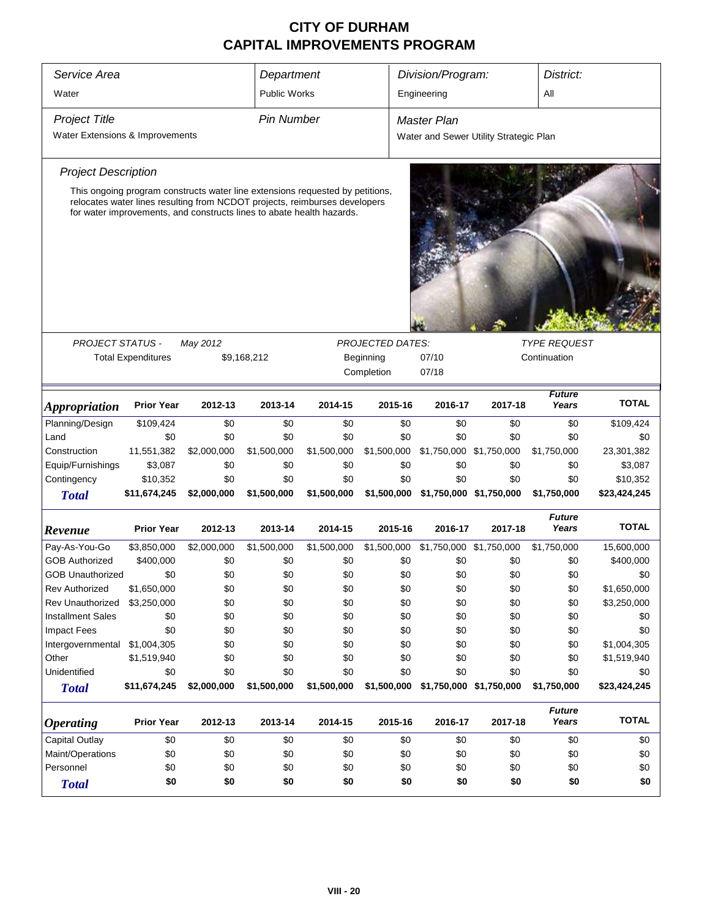| Service Area<br>Water                                                                                                                                                                                                                |                           |             | Department<br><b>Public Works</b>                                                                   |             |             | Division/Program:<br>Engineering |                                        | District:<br>All       |              |
|--------------------------------------------------------------------------------------------------------------------------------------------------------------------------------------------------------------------------------------|---------------------------|-------------|-----------------------------------------------------------------------------------------------------|-------------|-------------|----------------------------------|----------------------------------------|------------------------|--------------|
| <b>Project Title</b><br>Water Extensions & Improvements                                                                                                                                                                              |                           |             | <b>Pin Number</b>                                                                                   |             |             | <b>Master Plan</b>               | Water and Sewer Utility Strategic Plan |                        |              |
| <b>Project Description</b>                                                                                                                                                                                                           |                           |             |                                                                                                     |             |             |                                  |                                        |                        |              |
| This ongoing program constructs water line extensions requested by petitions,<br>relocates water lines resulting from NCDOT projects, reimburses developers<br>for water improvements, and constructs lines to abate health hazards. |                           |             |                                                                                                     |             |             |                                  |                                        |                        |              |
| <b>PROJECT STATUS -</b>                                                                                                                                                                                                              |                           |             |                                                                                                     |             |             |                                  |                                        | <b>TYPE REQUEST</b>    |              |
|                                                                                                                                                                                                                                      | <b>Total Expenditures</b> | May 2012    | <b>PROJECTED DATES:</b><br>\$9,168,212<br>07/10<br>Continuation<br>Beginning<br>Completion<br>07/18 |             |             |                                  |                                        |                        |              |
| <i><b>Appropriation</b></i>                                                                                                                                                                                                          | <b>Prior Year</b>         | 2012-13     | 2013-14                                                                                             | 2014-15     | 2015-16     | 2016-17                          | 2017-18                                | <b>Future</b><br>Years | <b>TOTAL</b> |
| Planning/Design                                                                                                                                                                                                                      | \$109,424                 | \$0         | \$0                                                                                                 | \$0         | \$0         | \$0                              | \$0                                    | \$0                    | \$109,424    |
| Land                                                                                                                                                                                                                                 | \$0                       | \$0         | \$0                                                                                                 | \$0         | \$0         | \$0                              | \$0                                    | \$0                    | \$0          |
| Construction                                                                                                                                                                                                                         | 11,551,382                | \$2,000,000 | \$1,500,000                                                                                         | \$1,500,000 | \$1,500,000 | \$1,750,000 \$1,750,000          |                                        | \$1,750,000            | 23,301,382   |
| Equip/Furnishings                                                                                                                                                                                                                    | \$3,087                   | \$0         | \$0                                                                                                 | \$0         | \$0         | \$0                              | \$0                                    | \$0                    | \$3,087      |
| Contingency                                                                                                                                                                                                                          | \$10,352                  | \$0         | \$0                                                                                                 | \$0         | \$0         | \$0                              | \$0                                    | \$0                    | \$10,352     |
| <b>Total</b>                                                                                                                                                                                                                         | \$11,674,245              | \$2,000,000 | \$1,500,000                                                                                         | \$1,500,000 | \$1,500,000 |                                  | \$1,750,000 \$1,750,000                | \$1,750,000            | \$23,424,245 |
| Revenue                                                                                                                                                                                                                              | <b>Prior Year</b>         | 2012-13     | 2013-14                                                                                             | 2014-15     | 2015-16     | 2016-17                          | 2017-18                                | <b>Future</b><br>Years | <b>TOTAL</b> |
| Pay-As-You-Go                                                                                                                                                                                                                        | \$3,850,000               | \$2,000,000 | \$1,500,000                                                                                         | \$1,500,000 | \$1,500,000 | \$1,750,000 \$1,750,000          |                                        | \$1,750,000            | 15,600,000   |
| <b>GOB Authorized</b>                                                                                                                                                                                                                | \$400,000                 | \$0         | \$0                                                                                                 | \$0         | \$0         | \$0                              | \$0                                    | \$0                    | \$400,000    |
| <b>GOB Unauthorized</b>                                                                                                                                                                                                              | \$0                       | \$0         | \$0                                                                                                 | \$0         | \$0         | \$0                              | \$0                                    | \$0                    | \$0          |
| <b>Rev Authorized</b>                                                                                                                                                                                                                | \$1,650,000               | \$0         | \$0                                                                                                 | \$0         | \$0         | \$0                              | \$0                                    | \$0                    | \$1,650,000  |
| Rev Unauthorized                                                                                                                                                                                                                     | \$3,250,000               | \$0         | \$0                                                                                                 | \$0         | \$0         | \$0                              | \$0                                    | \$0                    | \$3,250,000  |
| <b>Installment Sales</b>                                                                                                                                                                                                             | \$0                       | \$0         | \$0                                                                                                 | \$0         | \$0         | \$0                              | \$0                                    | \$0                    | \$0          |
| Impact Fees                                                                                                                                                                                                                          | \$0                       | \$0         | \$0                                                                                                 | \$0         | \$0         | \$0                              | \$0                                    | \$0                    | \$0          |
| Intergovernmental                                                                                                                                                                                                                    | \$1,004,305               | \$0         | \$0                                                                                                 | \$0         | \$0         | \$0                              | \$0                                    | \$0                    | \$1,004,305  |
| Other                                                                                                                                                                                                                                | \$1,519,940               | \$0         | \$0                                                                                                 | \$0         | \$0         | \$0                              | \$0                                    | \$0                    | \$1,519,940  |
| Unidentified                                                                                                                                                                                                                         | \$0                       | \$0         | \$0                                                                                                 | \$0         | \$0         | \$0                              | \$0                                    | \$0                    | \$0          |
| <b>Total</b>                                                                                                                                                                                                                         | \$11,674,245              |             | \$2,000,000<br>\$1,500,000<br>\$1,500,000<br>\$1,500,000<br>\$1,750,000 \$1,750,000<br>\$1,750,000  |             |             |                                  |                                        |                        | \$23,424,245 |
| <b>Operating</b>                                                                                                                                                                                                                     | <b>Prior Year</b>         | 2012-13     | 2013-14                                                                                             | 2014-15     | 2015-16     | 2016-17                          | 2017-18                                | <b>Future</b><br>Years | <b>TOTAL</b> |
| <b>Capital Outlay</b>                                                                                                                                                                                                                | \$0                       | \$0         | \$0                                                                                                 | \$0         | \$0         | \$0                              | \$0                                    | \$0                    | \$0          |
| Maint/Operations                                                                                                                                                                                                                     | \$0                       | \$0         | \$0                                                                                                 | \$0         | \$0         | \$0                              | \$0                                    | \$0                    | \$0          |
| Personnel                                                                                                                                                                                                                            | \$0                       | \$0         | \$0                                                                                                 | \$0         | \$0         | \$0                              | \$0                                    | \$0                    | \$0          |
| <b>Total</b>                                                                                                                                                                                                                         | \$0                       | \$0         | \$0                                                                                                 | \$0         | \$0         | \$0                              | \$0                                    | \$0                    | \$0          |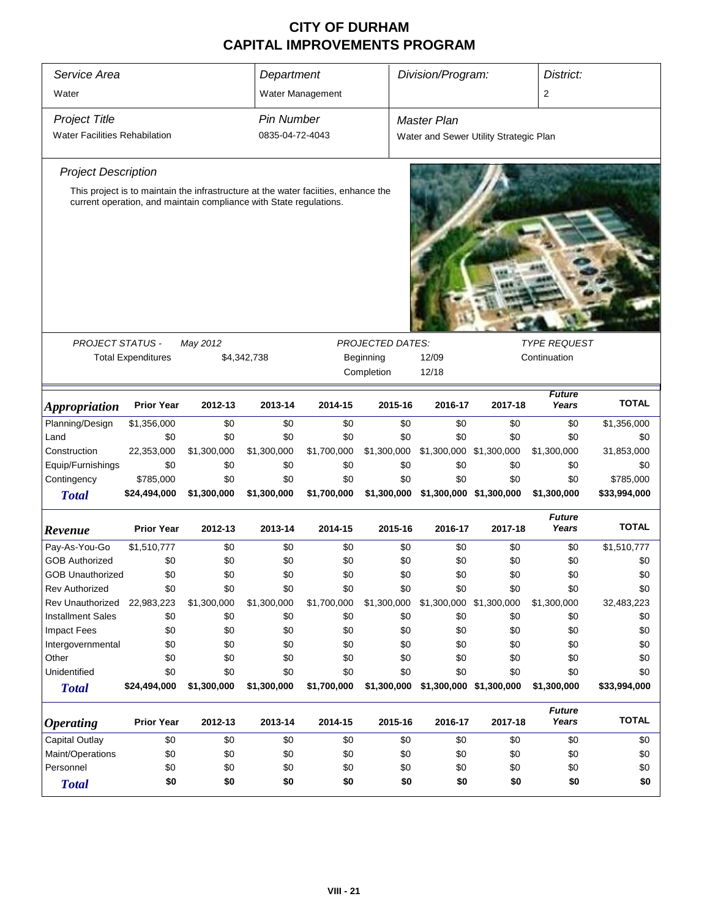| Service Area<br>Water                                        |                                                                    | Division/Program:<br>Department<br>District:<br>2<br>Water Management |                                                |                                                                                     |                         |                                                              |                                |                        |                           |  |
|--------------------------------------------------------------|--------------------------------------------------------------------|-----------------------------------------------------------------------|------------------------------------------------|-------------------------------------------------------------------------------------|-------------------------|--------------------------------------------------------------|--------------------------------|------------------------|---------------------------|--|
| <b>Project Title</b><br><b>Water Facilities Rehabilation</b> |                                                                    |                                                                       | <b>Pin Number</b><br>0835-04-72-4043           |                                                                                     |                         | <b>Master Plan</b><br>Water and Sewer Utility Strategic Plan |                                |                        |                           |  |
| <b>Project Description</b>                                   |                                                                    |                                                                       |                                                |                                                                                     |                         |                                                              |                                |                        |                           |  |
|                                                              | current operation, and maintain compliance with State regulations. |                                                                       |                                                | This project is to maintain the infrastructure at the water facilities, enhance the |                         |                                                              |                                |                        |                           |  |
| <b>PROJECT STATUS -</b>                                      |                                                                    | May 2012                                                              | <b>TYPE REQUEST</b><br><b>PROJECTED DATES:</b> |                                                                                     |                         |                                                              |                                |                        |                           |  |
|                                                              | <b>Total Expenditures</b>                                          |                                                                       | \$4,342,738                                    |                                                                                     | Beginning<br>Completion | 12/09<br>12/18                                               |                                | Continuation           |                           |  |
| <b>Appropriation</b>                                         | <b>Prior Year</b>                                                  | 2012-13                                                               | 2013-14                                        | 2014-15                                                                             | 2015-16                 | 2016-17                                                      | 2017-18                        | <b>Future</b><br>Years | <b>TOTAL</b>              |  |
| Planning/Design                                              | \$1,356,000                                                        | \$0                                                                   | \$0                                            | \$0                                                                                 | \$0                     | \$0                                                          | \$0                            | \$0                    | \$1,356,000               |  |
| Land                                                         | \$0                                                                | \$0                                                                   | \$0                                            | \$0                                                                                 | \$0                     | \$0                                                          | \$0                            | \$0                    | \$0                       |  |
| Construction                                                 | 22,353,000                                                         | \$1,300,000                                                           | \$1,300,000                                    | \$1,700,000                                                                         | \$1,300,000             |                                                              | \$1,300,000 \$1,300,000        | \$1,300,000            | 31,853,000                |  |
| Equip/Furnishings                                            | \$0                                                                | \$0                                                                   | \$0                                            | \$0                                                                                 | \$0                     | \$0                                                          | \$0                            | \$0                    | \$0                       |  |
| Contingency<br><b>Total</b>                                  | \$785,000<br>\$24,494,000                                          | \$0<br>\$1,300,000                                                    | \$0<br>\$1,300,000                             | \$0<br>\$1,700,000                                                                  | \$0<br>\$1,300,000      | \$0                                                          | \$0<br>\$1,300,000 \$1,300,000 | \$0<br>\$1,300,000     | \$785,000<br>\$33,994,000 |  |
| Revenue                                                      | <b>Prior Year</b>                                                  | 2012-13                                                               | 2013-14                                        | 2014-15                                                                             | 2015-16                 | 2016-17                                                      | 2017-18                        | <b>Future</b><br>Years | <b>TOTAL</b>              |  |
| Pay-As-You-Go                                                | \$1,510,777                                                        | \$0                                                                   | \$0                                            | \$0                                                                                 | \$0                     | \$0                                                          | \$0                            | \$0                    | \$1,510,777               |  |
| <b>GOB Authorized</b>                                        | \$0                                                                | \$0                                                                   | \$0                                            | \$0                                                                                 | \$0                     | \$0                                                          | \$0                            | \$0                    | \$0                       |  |
| <b>GOB Unauthorized</b>                                      | \$0                                                                | \$0                                                                   | \$0                                            | \$0                                                                                 | \$0                     | \$0                                                          | \$0                            | \$0                    | \$0                       |  |
| <b>Rev Authorized</b>                                        | \$0                                                                | \$0                                                                   | \$0                                            | \$0                                                                                 | \$0                     | \$0                                                          | \$0                            | \$0                    | \$0                       |  |
| <b>Rev Unauthorized</b>                                      | 22,983,223                                                         | \$1,300,000                                                           | \$1,300,000                                    | \$1,700,000                                                                         | \$1,300,000             |                                                              | \$1,300,000 \$1,300,000        | \$1,300,000            | 32,483,223                |  |
| <b>Installment Sales</b>                                     | \$0                                                                | \$0                                                                   | \$0                                            | \$0                                                                                 | \$0                     | \$0                                                          | \$0                            | \$0                    | \$0                       |  |
| Impact Fees                                                  | \$0                                                                | \$0                                                                   | \$0                                            | \$0                                                                                 | \$0                     | \$0                                                          | \$0                            | \$0                    | \$0                       |  |
| Intergovernmental                                            | \$0                                                                | \$0                                                                   | \$0                                            | \$0                                                                                 | \$0                     | \$0                                                          | \$0                            | \$0                    | \$0                       |  |
| Other<br>Unidentified                                        | \$0<br>\$0                                                         | \$0<br>\$0                                                            | \$0<br>\$0                                     | \$0<br>\$0                                                                          | \$0<br>\$0              | \$0<br>\$0                                                   | \$0<br>\$0                     | \$0<br>\$0             | \$0<br>\$0                |  |
| <b>Total</b>                                                 | \$24,494,000                                                       | \$1,300,000                                                           | \$1,300,000                                    | \$1,700,000                                                                         | \$1,300,000             |                                                              | \$1,300,000 \$1,300,000        | \$1,300,000            | \$33,994,000              |  |
| <b>Operating</b>                                             | <b>Prior Year</b>                                                  | 2012-13                                                               | 2013-14                                        | 2014-15                                                                             | 2015-16                 | 2016-17                                                      | 2017-18                        | <b>Future</b><br>Years | <b>TOTAL</b>              |  |
| <b>Capital Outlay</b>                                        | \$0                                                                | \$0                                                                   | \$0                                            | \$0                                                                                 | \$0                     | \$0                                                          | \$0                            | \$0                    | \$0                       |  |
| Maint/Operations                                             | \$0                                                                | \$0                                                                   | \$0                                            | \$0                                                                                 | \$0                     | \$0                                                          | \$0                            | \$0                    | \$0                       |  |
| Personnel                                                    | \$0                                                                | \$0                                                                   | \$0                                            | \$0                                                                                 | \$0                     | \$0                                                          | \$0                            | \$0                    | \$0                       |  |
| <b>Total</b>                                                 | \$0                                                                | \$0                                                                   | \$0                                            | \$0                                                                                 | \$0                     | \$0                                                          | \$0                            | \$0                    | \$0                       |  |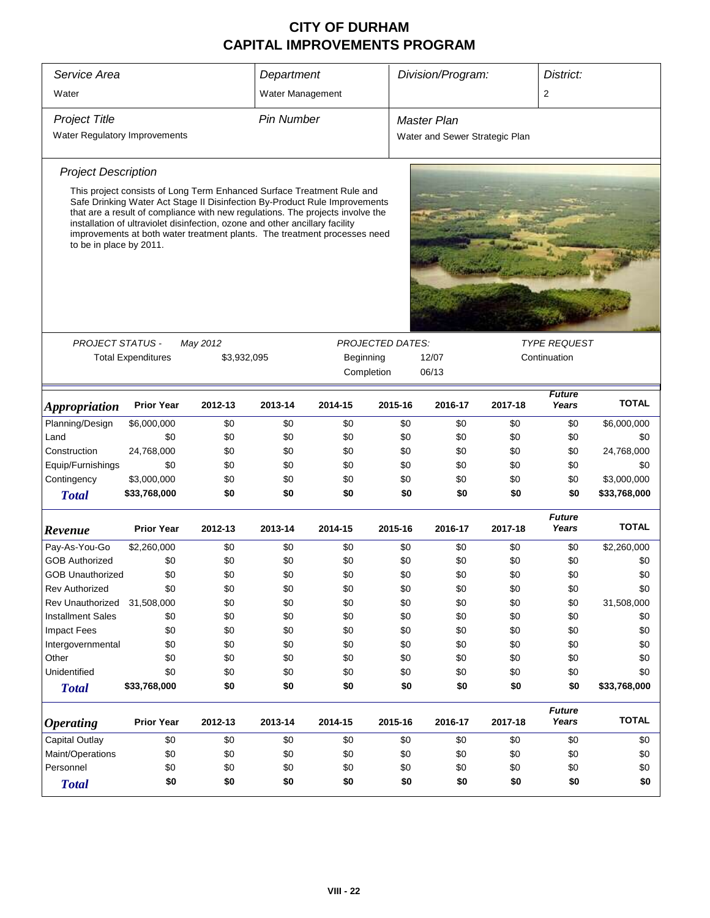| Service Area                  |                                                                                                                                                                                                                                                                                                                                                                                                     |             | Department        |            |                         | Division/Program:              |         | District:              |              |
|-------------------------------|-----------------------------------------------------------------------------------------------------------------------------------------------------------------------------------------------------------------------------------------------------------------------------------------------------------------------------------------------------------------------------------------------------|-------------|-------------------|------------|-------------------------|--------------------------------|---------|------------------------|--------------|
| Water                         |                                                                                                                                                                                                                                                                                                                                                                                                     |             | Water Management  |            |                         |                                |         | $\overline{2}$         |              |
| <b>Project Title</b>          |                                                                                                                                                                                                                                                                                                                                                                                                     |             | <b>Pin Number</b> |            |                         | Master Plan                    |         |                        |              |
| Water Regulatory Improvements |                                                                                                                                                                                                                                                                                                                                                                                                     |             |                   |            |                         | Water and Sewer Strategic Plan |         |                        |              |
|                               |                                                                                                                                                                                                                                                                                                                                                                                                     |             |                   |            |                         |                                |         |                        |              |
| <b>Project Description</b>    |                                                                                                                                                                                                                                                                                                                                                                                                     |             |                   |            |                         |                                |         |                        |              |
| to be in place by 2011.       | This project consists of Long Term Enhanced Surface Treatment Rule and<br>Safe Drinking Water Act Stage II Disinfection By-Product Rule Improvements<br>that are a result of compliance with new regulations. The projects involve the<br>installation of ultraviolet disinfection, ozone and other ancillary facility<br>improvements at both water treatment plants. The treatment processes need |             |                   |            |                         |                                |         |                        |              |
|                               |                                                                                                                                                                                                                                                                                                                                                                                                     |             |                   |            |                         |                                |         |                        |              |
| PROJECT STATUS -              |                                                                                                                                                                                                                                                                                                                                                                                                     | May 2012    |                   |            | <b>PROJECTED DATES:</b> |                                |         | <b>TYPE REQUEST</b>    |              |
|                               | <b>Total Expenditures</b>                                                                                                                                                                                                                                                                                                                                                                           | \$3,932,095 |                   | Beginning  |                         | 12/07                          |         | Continuation           |              |
|                               |                                                                                                                                                                                                                                                                                                                                                                                                     |             |                   | Completion |                         | 06/13                          |         |                        |              |
| <i><b>Appropriation</b></i>   | <b>Prior Year</b>                                                                                                                                                                                                                                                                                                                                                                                   | 2012-13     | 2013-14           | 2014-15    | 2015-16                 | 2016-17                        | 2017-18 | <b>Future</b><br>Years | <b>TOTAL</b> |
| Planning/Design               | \$6,000,000                                                                                                                                                                                                                                                                                                                                                                                         | \$0         | \$0               | \$0        | \$0                     | \$0                            | \$0     | \$0                    | \$6,000,000  |
| Land                          | \$0                                                                                                                                                                                                                                                                                                                                                                                                 | \$0         | \$0               | \$0        | \$0                     | \$0                            | \$0     | \$0                    | \$0          |
| Construction                  | 24,768,000                                                                                                                                                                                                                                                                                                                                                                                          | \$0         | \$0               | \$0        | \$0                     | \$0                            | \$0     | \$0                    | 24,768,000   |
| Equip/Furnishings             | \$0                                                                                                                                                                                                                                                                                                                                                                                                 | \$0         | \$0               | \$0        | \$0                     | \$0                            | \$0     | \$0                    | \$0          |
| Contingency                   | \$3,000,000                                                                                                                                                                                                                                                                                                                                                                                         | \$0         | \$0               | \$0        | \$0                     | \$0                            | \$0     | \$0                    | \$3,000,000  |
| <b>Total</b>                  | \$33,768,000                                                                                                                                                                                                                                                                                                                                                                                        | \$0         | \$0               | \$0        | \$0                     | \$0                            | \$0     | \$0                    | \$33,768,000 |
| Revenue                       | <b>Prior Year</b>                                                                                                                                                                                                                                                                                                                                                                                   | 2012-13     | 2013-14           | 2014-15    | 2015-16                 | 2016-17                        | 2017-18 | <b>Future</b><br>Years | <b>TOTAL</b> |
| Pay-As-You-Go                 | \$2,260,000                                                                                                                                                                                                                                                                                                                                                                                         | \$0         | \$0               | \$0        | \$0                     | \$0                            | \$0     | \$0                    | \$2,260,000  |
| <b>GOB Authorized</b>         | \$0                                                                                                                                                                                                                                                                                                                                                                                                 | \$0         | \$0               | \$0        | \$0                     | \$0                            | \$0     | \$0                    | \$0          |
| <b>GOB Unauthorized</b>       | \$0                                                                                                                                                                                                                                                                                                                                                                                                 | \$0         | \$0               | \$0        | \$0                     | \$0                            | \$0     | \$0                    | \$0          |
| <b>Rev Authorized</b>         | \$0                                                                                                                                                                                                                                                                                                                                                                                                 | \$0         | \$0               | \$0        | \$0                     | \$0                            | \$0     | \$0                    | \$0          |
| Rev Unauthorized              | 31,508,000                                                                                                                                                                                                                                                                                                                                                                                          | \$0         | \$0               | \$0        | \$0                     | \$0                            | \$0     | \$0                    | 31,508,000   |
| <b>Installment Sales</b>      | \$0                                                                                                                                                                                                                                                                                                                                                                                                 | \$0         | \$0               | \$0        | \$0                     | \$0                            | \$0     | \$0                    | \$0          |
| <b>Impact Fees</b>            | \$0                                                                                                                                                                                                                                                                                                                                                                                                 | \$0         | \$0               | \$0        | \$0                     | \$0                            | \$0     | \$0                    | \$0          |
| Intergovernmental             | \$0                                                                                                                                                                                                                                                                                                                                                                                                 | \$0         | \$0               | \$0        | \$0                     | \$0                            | \$0     | \$0                    | \$0          |
| Other                         | \$0                                                                                                                                                                                                                                                                                                                                                                                                 | \$0         | \$0               | \$0        | \$0                     | \$0                            | \$0     | \$0                    | \$0          |
| Unidentified                  | \$0                                                                                                                                                                                                                                                                                                                                                                                                 | \$0         | \$0               | \$0        | \$0                     | \$0                            | \$0     | \$0                    | \$0          |
| <b>Total</b>                  | \$33,768,000                                                                                                                                                                                                                                                                                                                                                                                        | \$0         | \$0               | \$0        | \$0                     | \$0                            | \$0     | \$0                    | \$33,768,000 |
| <b>Operating</b>              | <b>Prior Year</b>                                                                                                                                                                                                                                                                                                                                                                                   | 2012-13     | 2013-14           | 2014-15    | 2015-16                 | 2016-17                        | 2017-18 | <b>Future</b><br>Years | <b>TOTAL</b> |
| <b>Capital Outlay</b>         | \$0                                                                                                                                                                                                                                                                                                                                                                                                 | \$0         | \$0               | \$0        | \$0                     | \$0                            | \$0     | \$0                    | \$0          |
| Maint/Operations              | \$0                                                                                                                                                                                                                                                                                                                                                                                                 | \$0         | \$0               | \$0        | \$0                     | \$0                            | \$0     | \$0                    | \$0          |
| Personnel                     | \$0<br>\$0<br>\$0<br>\$0                                                                                                                                                                                                                                                                                                                                                                            |             |                   |            |                         |                                | \$0     | \$0                    | \$0          |
| <b>Total</b>                  | \$0                                                                                                                                                                                                                                                                                                                                                                                                 | \$0         | \$0               | \$0        | \$0<br>\$0              | \$0<br>\$0                     | \$0     | \$0                    | \$0          |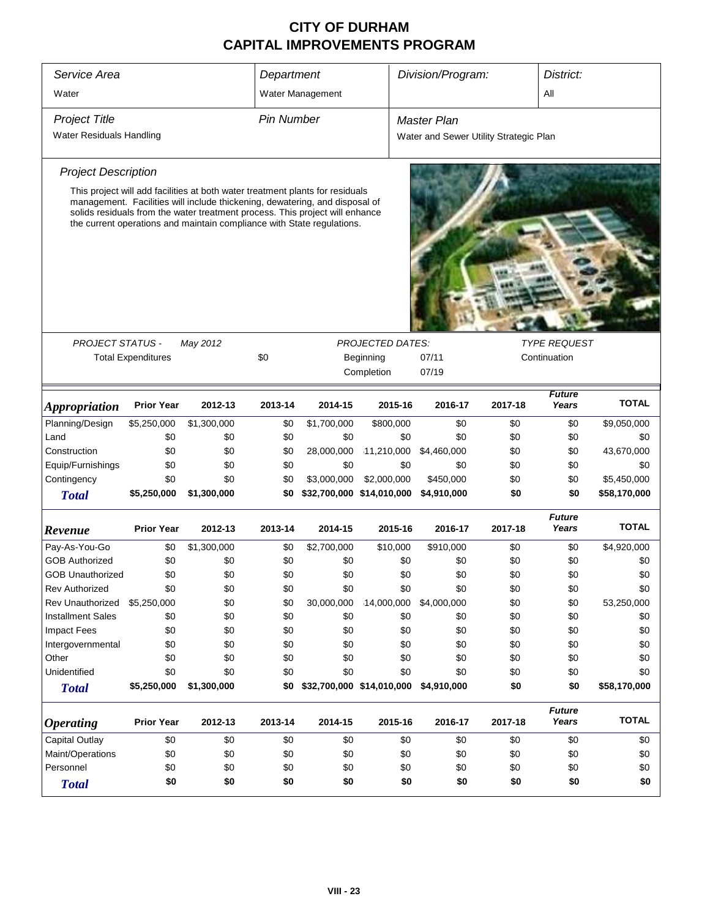| Service Area<br>Department<br>Water<br>Water Management |                           |                                                                                                                                                                                                                                                                                                                        |                   |                           |                           | Division/Program:  |                                        | District:<br>All       |              |
|---------------------------------------------------------|---------------------------|------------------------------------------------------------------------------------------------------------------------------------------------------------------------------------------------------------------------------------------------------------------------------------------------------------------------|-------------------|---------------------------|---------------------------|--------------------|----------------------------------------|------------------------|--------------|
| <b>Project Title</b>                                    |                           |                                                                                                                                                                                                                                                                                                                        | <b>Pin Number</b> |                           |                           | <b>Master Plan</b> |                                        |                        |              |
| Water Residuals Handling                                |                           |                                                                                                                                                                                                                                                                                                                        |                   |                           |                           |                    | Water and Sewer Utility Strategic Plan |                        |              |
| <b>Project Description</b>                              |                           |                                                                                                                                                                                                                                                                                                                        |                   |                           |                           |                    |                                        |                        |              |
|                                                         |                           | This project will add facilities at both water treatment plants for residuals<br>management. Facilities will include thickening, dewatering, and disposal of<br>solids residuals from the water treatment process. This project will enhance<br>the current operations and maintain compliance with State regulations. |                   |                           |                           |                    |                                        |                        |              |
| <b>PROJECT STATUS -</b>                                 |                           | May 2012                                                                                                                                                                                                                                                                                                               |                   |                           | <b>PROJECTED DATES:</b>   |                    |                                        | <b>TYPE REQUEST</b>    |              |
|                                                         | <b>Total Expenditures</b> |                                                                                                                                                                                                                                                                                                                        | \$0               |                           | Beginning<br>Completion   | 07/11<br>07/19     |                                        | Continuation           |              |
| <b>Appropriation</b>                                    | <b>Prior Year</b>         | 2012-13                                                                                                                                                                                                                                                                                                                | 2013-14           | 2014-15                   | 2015-16                   | 2016-17            | 2017-18                                | <b>Future</b><br>Years | <b>TOTAL</b> |
| Planning/Design                                         | \$5,250,000               | \$1,300,000                                                                                                                                                                                                                                                                                                            | \$0               | \$1,700,000               | \$800,000                 | \$0                | \$0                                    | \$0                    | \$9,050,000  |
| Land                                                    | \$0                       | \$0                                                                                                                                                                                                                                                                                                                    | \$0               | \$0                       | \$0                       | \$0                | \$0                                    | \$0                    | \$0          |
| Construction                                            | \$0                       | \$0                                                                                                                                                                                                                                                                                                                    | \$0               | 28,000,000                | 11,210,000                | \$4,460,000        | \$0                                    | \$0                    | 43,670,000   |
| Equip/Furnishings                                       | \$0                       | \$0                                                                                                                                                                                                                                                                                                                    | \$0               | \$0                       | \$0                       | \$0                | \$0                                    | \$0                    | \$0          |
| Contingency                                             | \$0                       | \$0                                                                                                                                                                                                                                                                                                                    | \$0               | \$3,000,000               | \$2,000,000               | \$450,000          | \$0                                    | \$0                    | \$5,450,000  |
| <b>Total</b>                                            | \$5,250,000               | \$1,300,000                                                                                                                                                                                                                                                                                                            | \$0               |                           | \$32,700,000 \$14,010,000 | \$4,910,000        | \$0                                    | \$0                    | \$58,170,000 |
| Revenue                                                 | <b>Prior Year</b>         | 2012-13                                                                                                                                                                                                                                                                                                                | 2013-14           | 2014-15                   | 2015-16                   | 2016-17            | 2017-18                                | <b>Future</b><br>Years | <b>TOTAL</b> |
| Pay-As-You-Go                                           | \$0                       | \$1,300,000                                                                                                                                                                                                                                                                                                            | \$0               | \$2,700,000               | \$10,000                  | \$910,000          | \$0                                    | \$0                    | \$4,920,000  |
| <b>GOB Authorized</b>                                   | \$0                       | \$0                                                                                                                                                                                                                                                                                                                    | \$0               | \$0                       | \$0                       | \$0                | \$0                                    | \$0                    | \$0          |
| <b>GOB Unauthorized</b>                                 | \$0                       | \$0                                                                                                                                                                                                                                                                                                                    | \$0               | \$0                       | \$0                       | \$0                | \$0                                    | \$0                    | \$0          |
| <b>Rev Authorized</b>                                   | \$0                       | \$0                                                                                                                                                                                                                                                                                                                    | \$0               | \$0                       | \$0                       | \$0                | \$0                                    | \$0                    | \$0          |
| <b>Rev Unauthorized</b>                                 | \$5,250,000               | \$0                                                                                                                                                                                                                                                                                                                    | \$0               | 30,000,000                | 14,000,000                | \$4,000,000        | \$0                                    | \$0                    | 53,250,000   |
| <b>Installment Sales</b>                                | \$0                       | \$0                                                                                                                                                                                                                                                                                                                    | \$0               | \$0                       | \$0                       | \$0                | \$0                                    | \$0                    | \$0          |
| Impact Fees                                             | \$0                       | \$0                                                                                                                                                                                                                                                                                                                    | \$0               | \$0                       | \$0                       | \$0                | \$0                                    | \$0                    | \$0          |
| Intergovernmental                                       | \$0                       | \$0                                                                                                                                                                                                                                                                                                                    | \$0               | \$0                       | \$0                       | \$0                | \$0                                    | \$0                    | \$0          |
| Other                                                   | \$0                       | \$0                                                                                                                                                                                                                                                                                                                    | \$0               | \$0                       | \$0                       | \$0                | \$0                                    | \$0                    | \$0          |
| Unidentified                                            | \$0                       | \$0                                                                                                                                                                                                                                                                                                                    | \$0               | \$0                       | \$0                       | \$0                | \$0                                    | \$0                    | \$0          |
| <b>Total</b>                                            | \$5,250,000               | \$1,300,000                                                                                                                                                                                                                                                                                                            | \$0               | \$32,700,000 \$14,010,000 |                           | \$4,910,000        | \$0                                    | \$0                    | \$58,170,000 |
| <b>Operating</b>                                        | <b>Prior Year</b>         | 2012-13                                                                                                                                                                                                                                                                                                                | 2013-14           | 2014-15                   | 2015-16                   | 2016-17            | 2017-18                                | <b>Future</b><br>Years | <b>TOTAL</b> |
| <b>Capital Outlay</b>                                   | \$0                       | \$0                                                                                                                                                                                                                                                                                                                    | \$0               | \$0                       | \$0                       | \$0                | \$0                                    | \$0                    | \$0          |
| Maint/Operations                                        | \$0                       | \$0                                                                                                                                                                                                                                                                                                                    | \$0               | \$0                       | \$0                       | \$0                | \$0                                    | \$0                    | \$0          |
| Personnel                                               | \$0                       | \$0                                                                                                                                                                                                                                                                                                                    | \$0               | \$0                       | \$0                       | \$0                | \$0                                    | \$0                    | \$0          |
| <b>Total</b>                                            | \$0                       | \$0                                                                                                                                                                                                                                                                                                                    | \$0               | \$0                       | \$0                       | \$0                | \$0                                    | \$0                    | \$0          |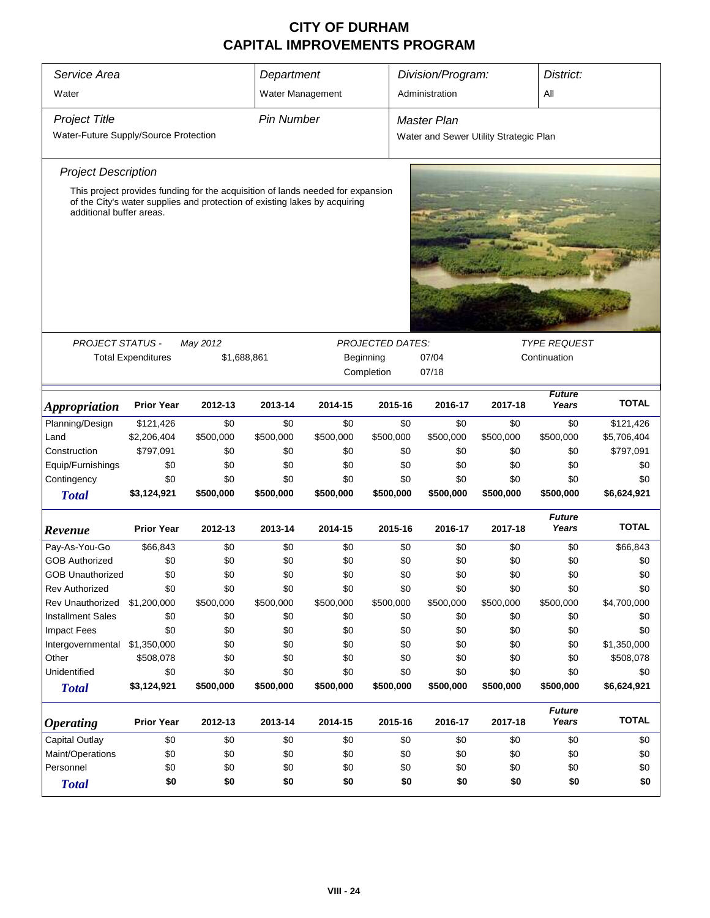| Service Area                                                                                           |                   |           | Department              |                    |            | Division/Program:   |              | District:              |              |  |  |  |
|--------------------------------------------------------------------------------------------------------|-------------------|-----------|-------------------------|--------------------|------------|---------------------|--------------|------------------------|--------------|--|--|--|
| Water                                                                                                  |                   |           | Water Management        |                    |            | Administration      |              | All                    |              |  |  |  |
|                                                                                                        |                   |           |                         |                    |            |                     |              |                        |              |  |  |  |
| <b>Project Title</b>                                                                                   | <b>Pin Number</b> |           |                         | <b>Master Plan</b> |            |                     |              |                        |              |  |  |  |
| Water-Future Supply/Source Protection<br>Water and Sewer Utility Strategic Plan                        |                   |           |                         |                    |            |                     |              |                        |              |  |  |  |
| <b>Project Description</b>                                                                             |                   |           |                         |                    |            |                     |              |                        |              |  |  |  |
| This project provides funding for the acquisition of lands needed for expansion                        |                   |           |                         |                    |            |                     |              |                        |              |  |  |  |
| of the City's water supplies and protection of existing lakes by acquiring<br>additional buffer areas. |                   |           |                         |                    |            |                     |              |                        |              |  |  |  |
|                                                                                                        |                   |           |                         |                    |            |                     |              |                        |              |  |  |  |
|                                                                                                        |                   |           |                         |                    |            |                     |              |                        |              |  |  |  |
|                                                                                                        |                   |           |                         |                    |            |                     |              |                        |              |  |  |  |
|                                                                                                        |                   |           |                         |                    |            |                     |              |                        |              |  |  |  |
|                                                                                                        |                   |           |                         |                    |            |                     |              |                        |              |  |  |  |
| <b>PROJECT STATUS -</b>                                                                                |                   |           | <b>PROJECTED DATES:</b> |                    |            | <b>TYPE REQUEST</b> |              |                        |              |  |  |  |
| <b>Total Expenditures</b><br>\$1,688,861                                                               |                   |           |                         | Beginning          | 07/04      |                     | Continuation |                        |              |  |  |  |
|                                                                                                        |                   |           |                         |                    | Completion | 07/18               |              |                        |              |  |  |  |
| <i><b>Appropriation</b></i>                                                                            | <b>Prior Year</b> | 2012-13   | 2013-14                 | 2014-15            | 2015-16    | 2016-17             | 2017-18      | <b>Future</b><br>Years | <b>TOTAL</b> |  |  |  |
| Planning/Design                                                                                        | \$121,426         | \$0       | \$0                     | \$0                | \$0        | \$0                 | \$0          | \$0                    | \$121,426    |  |  |  |
| Land                                                                                                   | \$2,206,404       | \$500,000 | \$500,000               | \$500,000          | \$500,000  | \$500,000           | \$500,000    | \$500,000              | \$5,706,404  |  |  |  |
| Construction                                                                                           | \$797,091         | \$0       | \$0                     | \$0                | \$0        | \$0                 | \$0          | \$0                    | \$797,091    |  |  |  |
| Equip/Furnishings                                                                                      | \$0               | \$0       | \$0                     | \$0                | \$0        | \$0                 | \$0          | \$0                    | \$0          |  |  |  |
| Contingency                                                                                            | \$0               | \$0       | \$0                     | \$0                | \$0        | \$0                 | \$0          | \$0                    | \$0          |  |  |  |
| <b>Total</b>                                                                                           | \$3,124,921       | \$500,000 | \$500,000               | \$500,000          | \$500,000  | \$500,000           | \$500,000    | \$500,000              | \$6,624,921  |  |  |  |
| Revenue                                                                                                | <b>Prior Year</b> | 2012-13   | 2013-14                 | 2014-15            | 2015-16    | 2016-17             | 2017-18      | <b>Future</b><br>Years | <b>TOTAL</b> |  |  |  |
| Pay-As-You-Go                                                                                          | \$66,843          | \$0       | \$0                     | \$0                | \$0        | \$0                 | \$0          | \$0                    | \$66,843     |  |  |  |
| <b>GOB Authorized</b>                                                                                  | \$0               | \$0       | \$0                     | \$0                | \$0        | \$0                 | \$0          | \$0                    | \$0          |  |  |  |
| <b>GOB Unauthorized</b>                                                                                | \$0               | \$0       | \$0                     | \$0                | \$0        | \$0                 | \$0          | \$0                    | \$0          |  |  |  |
| <b>Rev Authorized</b>                                                                                  | \$0               | \$0       | \$0                     | \$0                | \$0        | \$0                 | \$0          | \$0                    | \$0          |  |  |  |
| Rev Unauthorized                                                                                       | \$1,200,000       | \$500,000 | \$500,000               | \$500,000          | \$500,000  | \$500,000           | \$500,000    | \$500,000              | \$4,700,000  |  |  |  |
| <b>Installment Sales</b>                                                                               | \$0               | \$0       | \$0                     | \$0                | \$0        | \$0                 | \$0          | \$0                    | \$0          |  |  |  |
| Impact Fees                                                                                            | \$0               | \$0       | \$0                     | \$0                | \$0        | \$0                 | \$0          | \$0                    | \$0          |  |  |  |
| Intergovernmental                                                                                      | \$1,350,000       | \$0       | \$0                     | \$0                | \$0        | \$0                 | \$0          | \$0                    | \$1,350,000  |  |  |  |
| Other                                                                                                  | \$508,078         | \$0       | \$0                     | \$0                | \$0        | \$0                 | \$0          | \$0                    | \$508,078    |  |  |  |
| Unidentified                                                                                           | \$0               | \$0       | \$0                     | \$0                | \$0        | \$0                 | \$0          | \$0                    | \$0          |  |  |  |
| <b>Total</b>                                                                                           | \$3,124,921       | \$500,000 | \$500,000               | \$500,000          | \$500,000  | \$500,000           | \$500,000    | \$500,000              | \$6,624,921  |  |  |  |
| <b>Operating</b>                                                                                       | <b>Prior Year</b> | 2012-13   | 2013-14                 | 2014-15            | 2015-16    | 2016-17             | 2017-18      | <b>Future</b><br>Years | <b>TOTAL</b> |  |  |  |
| <b>Capital Outlay</b>                                                                                  | \$0               | \$0       | \$0                     | \$0                | \$0        | \$0                 | \$0          | \$0                    | \$0          |  |  |  |
| Maint/Operations                                                                                       | \$0               | \$0       | \$0                     | \$0                | \$0        | \$0                 | \$0          | \$0                    | \$0          |  |  |  |
| Personnel                                                                                              | \$0               | \$0       | \$0                     | \$0                | \$0        | \$0                 | \$0          | \$0                    | \$0          |  |  |  |
| <b>Total</b>                                                                                           | \$0               | \$0       | \$0                     | \$0                | \$0        | \$0                 | \$0          | \$0                    | \$0          |  |  |  |